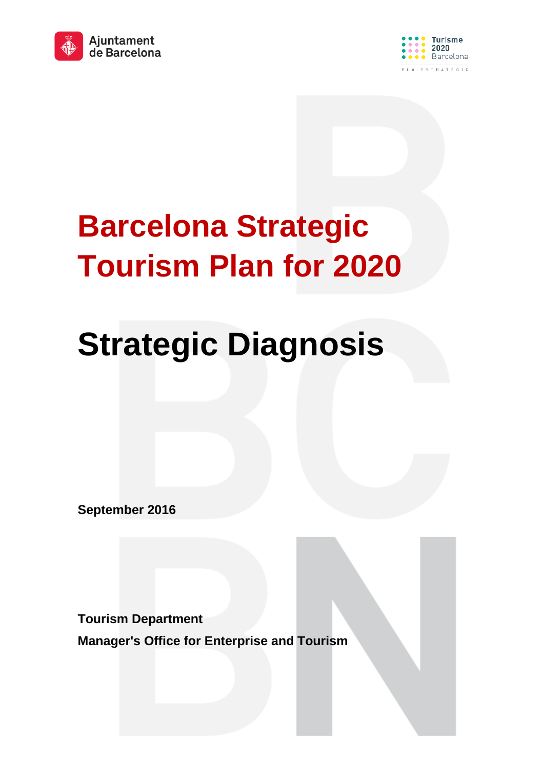



# **Barcelona Strategic Tourism Plan for 2020**

# **Strategic Diagnosis**

**September 2016**

**Tourism Department**

**Manager's Office for Enterprise and Tourism**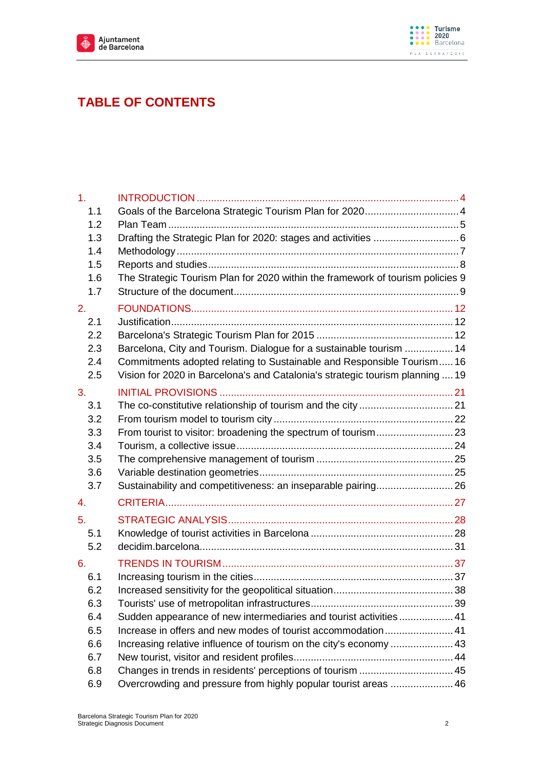



# **TABLE OF CONTENTS**

| 1 <sub>1</sub>   |                                                                                                                                    |  |
|------------------|------------------------------------------------------------------------------------------------------------------------------------|--|
| 1.1              |                                                                                                                                    |  |
| 1.2              |                                                                                                                                    |  |
| 1.3              |                                                                                                                                    |  |
| 1.4              |                                                                                                                                    |  |
| 1.5              |                                                                                                                                    |  |
| 1.6              | The Strategic Tourism Plan for 2020 within the framework of tourism policies 9                                                     |  |
| 1.7              |                                                                                                                                    |  |
| 2.               |                                                                                                                                    |  |
| 2.1              |                                                                                                                                    |  |
| $2.2\phantom{0}$ |                                                                                                                                    |  |
| 2.3              | Barcelona, City and Tourism. Dialogue for a sustainable tourism  14                                                                |  |
| 2.4              | Commitments adopted relating to Sustainable and Responsible Tourism 16                                                             |  |
| 2.5              | Vision for 2020 in Barcelona's and Catalonia's strategic tourism planning  19                                                      |  |
| 3.               |                                                                                                                                    |  |
| 3.1              |                                                                                                                                    |  |
| 3.2              |                                                                                                                                    |  |
| 3.3              | From tourist to visitor: broadening the spectrum of tourism 23                                                                     |  |
| 3.4              |                                                                                                                                    |  |
| 3.5              |                                                                                                                                    |  |
| 3.6              |                                                                                                                                    |  |
| 3.7              | Sustainability and competitiveness: an inseparable pairing 26                                                                      |  |
| 4.               |                                                                                                                                    |  |
| 5.               |                                                                                                                                    |  |
| 5.1              |                                                                                                                                    |  |
| 5.2              |                                                                                                                                    |  |
|                  |                                                                                                                                    |  |
| 6.               |                                                                                                                                    |  |
| 6.1              |                                                                                                                                    |  |
| 6.2              |                                                                                                                                    |  |
| 6.3              |                                                                                                                                    |  |
| 6.4              | Sudden appearance of new intermediaries and tourist activities  41<br>Increase in offers and new modes of tourist accommodation 41 |  |
| 6.5              |                                                                                                                                    |  |
| 6.6<br>6.7       |                                                                                                                                    |  |
| 6.8              | Changes in trends in residents' perceptions of tourism  45                                                                         |  |
|                  |                                                                                                                                    |  |
| 6.9              | Overcrowding and pressure from highly popular tourist areas  46                                                                    |  |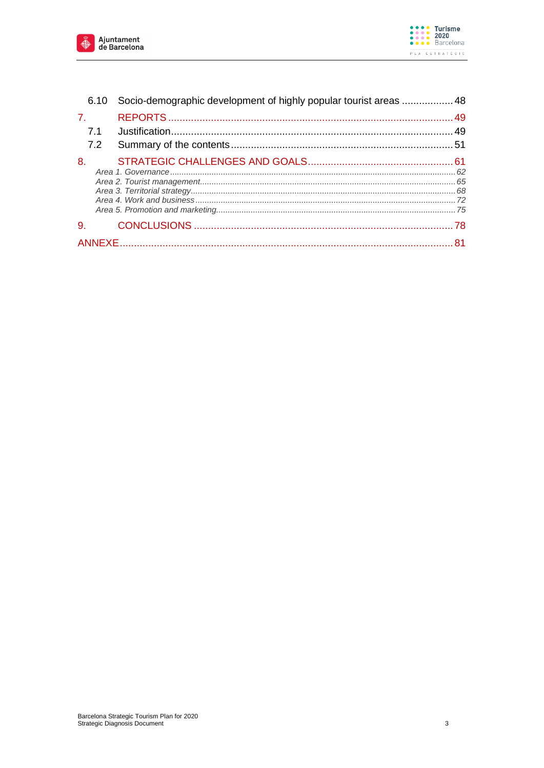



|                | 6.10 Socio-demographic development of highly popular tourist areas  48 |  |
|----------------|------------------------------------------------------------------------|--|
| $\mathbf{7}$ . |                                                                        |  |
| 7.1            |                                                                        |  |
| 7.2            |                                                                        |  |
| 8.             |                                                                        |  |
| 9.             |                                                                        |  |
|                |                                                                        |  |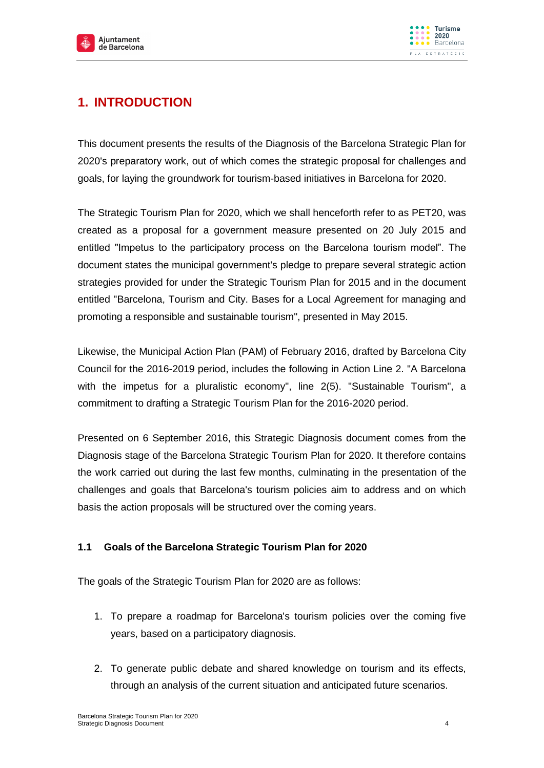

# <span id="page-3-0"></span>**1. INTRODUCTION**

This document presents the results of the Diagnosis of the Barcelona Strategic Plan for 2020's preparatory work, out of which comes the strategic proposal for challenges and goals, for laying the groundwork for tourism-based initiatives in Barcelona for 2020.

The Strategic Tourism Plan for 2020, which we shall henceforth refer to as PET20, was created as a proposal for a government measure presented on 20 July 2015 and entitled "Impetus to the participatory process on the Barcelona tourism model". The document states the municipal government's pledge to prepare several strategic action strategies provided for under the Strategic Tourism Plan for 2015 and in the document entitled "Barcelona, Tourism and City. Bases for a Local Agreement for managing and promoting a responsible and sustainable tourism", presented in May 2015.

Likewise, the Municipal Action Plan (PAM) of February 2016, drafted by Barcelona City Council for the 2016-2019 period, includes the following in Action Line 2. "A Barcelona with the impetus for a pluralistic economy", line 2(5). "Sustainable Tourism", a commitment to drafting a Strategic Tourism Plan for the 2016-2020 period.

Presented on 6 September 2016, this Strategic Diagnosis document comes from the Diagnosis stage of the Barcelona Strategic Tourism Plan for 2020. It therefore contains the work carried out during the last few months, culminating in the presentation of the challenges and goals that Barcelona's tourism policies aim to address and on which basis the action proposals will be structured over the coming years.

## <span id="page-3-1"></span>**1.1 Goals of the Barcelona Strategic Tourism Plan for 2020**

The goals of the Strategic Tourism Plan for 2020 are as follows:

- 1. To prepare a roadmap for Barcelona's tourism policies over the coming five years, based on a participatory diagnosis.
- 2. To generate public debate and shared knowledge on tourism and its effects, through an analysis of the current situation and anticipated future scenarios.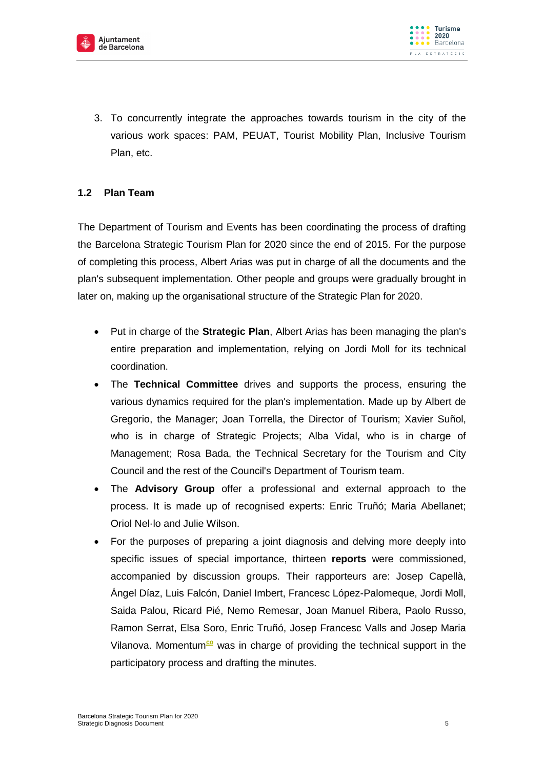

3. To concurrently integrate the approaches towards tourism in the city of the various work spaces: PAM, PEUAT, Tourist Mobility Plan, Inclusive Tourism Plan, etc.

# <span id="page-4-0"></span>**1.2 Plan Team**

The Department of Tourism and Events has been coordinating the process of drafting the Barcelona Strategic Tourism Plan for 2020 since the end of 2015. For the purpose of completing this process, Albert Arias was put in charge of all the documents and the plan's subsequent implementation. Other people and groups were gradually brought in later on, making up the organisational structure of the Strategic Plan for 2020.

- Put in charge of the **Strategic Plan**, Albert Arias has been managing the plan's entire preparation and implementation, relying on Jordi Moll for its technical coordination.
- The **Technical Committee** drives and supports the process, ensuring the various dynamics required for the plan's implementation. Made up by Albert de Gregorio, the Manager; Joan Torrella, the Director of Tourism; Xavier Suñol, who is in charge of Strategic Projects; Alba Vidal, who is in charge of Management; Rosa Bada, the Technical Secretary for the Tourism and City Council and the rest of the Council's Department of Tourism team.
- The **Advisory Group** offer a professional and external approach to the process. It is made up of recognised experts: Enric Truñó; Maria Abellanet; Oriol Nel·lo and Julie Wilson.
- For the purposes of preparing a joint diagnosis and delving more deeply into specific issues of special importance, thirteen **reports** were commissioned, accompanied by discussion groups. Their rapporteurs are: Josep Capellà, Ángel Díaz, Luis Falcón, Daniel Imbert, Francesc López-Palomeque, Jordi Moll, Saida Palou, Ricard Pié, Nemo Remesar, Joan Manuel Ribera, Paolo Russo, Ramon Serrat, Elsa Soro, Enric Truñó, Josep Francesc Valls and Josep Maria Vilanova. Momentum<sup>co</sup> was in charge of providing the technical support in the participatory process and drafting the minutes.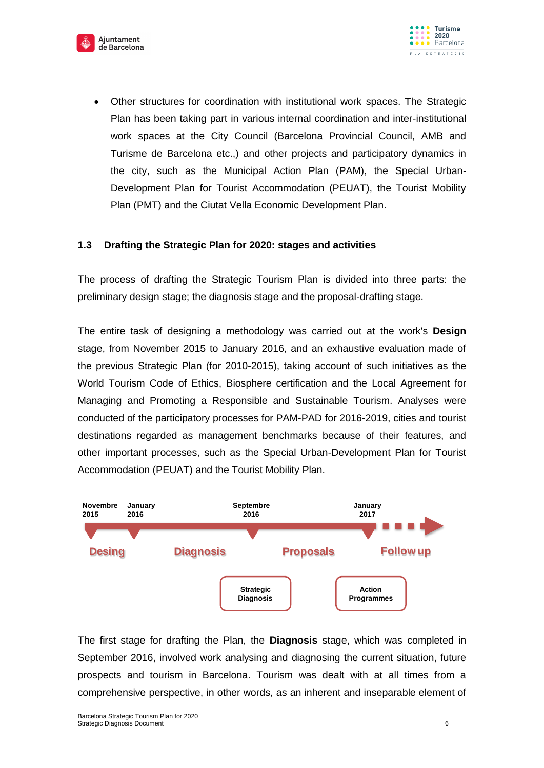



 Other structures for coordination with institutional work spaces. The Strategic Plan has been taking part in various internal coordination and inter-institutional work spaces at the City Council (Barcelona Provincial Council, AMB and Turisme de Barcelona etc.,) and other projects and participatory dynamics in the city, such as the Municipal Action Plan (PAM), the Special Urban-Development Plan for Tourist Accommodation (PEUAT), the Tourist Mobility Plan (PMT) and the Ciutat Vella Economic Development Plan.

#### <span id="page-5-0"></span>**1.3 Drafting the Strategic Plan for 2020: stages and activities**

The process of drafting the Strategic Tourism Plan is divided into three parts: the preliminary design stage; the diagnosis stage and the proposal-drafting stage.

The entire task of designing a methodology was carried out at the work's **Design** stage, from November 2015 to January 2016, and an exhaustive evaluation made of the previous Strategic Plan (for 2010-2015), taking account of such initiatives as the World Tourism Code of Ethics, Biosphere certification and the Local Agreement for Managing and Promoting a Responsible and Sustainable Tourism. Analyses were conducted of the participatory processes for PAM-PAD for 2016-2019, cities and tourist destinations regarded as management benchmarks because of their features, and other important processes, such as the Special Urban-Development Plan for Tourist Accommodation (PEUAT) and the Tourist Mobility Plan.



The first stage for drafting the Plan, the **Diagnosis** stage, which was completed in September 2016, involved work analysing and diagnosing the current situation, future prospects and tourism in Barcelona. Tourism was dealt with at all times from a comprehensive perspective, in other words, as an inherent and inseparable element of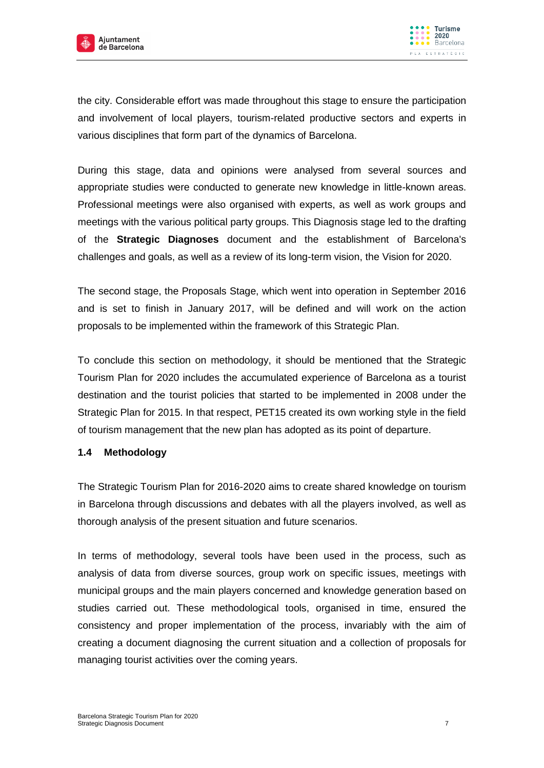



the city. Considerable effort was made throughout this stage to ensure the participation and involvement of local players, tourism-related productive sectors and experts in various disciplines that form part of the dynamics of Barcelona.

During this stage, data and opinions were analysed from several sources and appropriate studies were conducted to generate new knowledge in little-known areas. Professional meetings were also organised with experts, as well as work groups and meetings with the various political party groups. This Diagnosis stage led to the drafting of the **Strategic Diagnoses** document and the establishment of Barcelona's challenges and goals, as well as a review of its long-term vision, the Vision for 2020.

The second stage, the Proposals Stage, which went into operation in September 2016 and is set to finish in January 2017, will be defined and will work on the action proposals to be implemented within the framework of this Strategic Plan.

To conclude this section on methodology, it should be mentioned that the Strategic Tourism Plan for 2020 includes the accumulated experience of Barcelona as a tourist destination and the tourist policies that started to be implemented in 2008 under the Strategic Plan for 2015. In that respect, PET15 created its own working style in the field of tourism management that the new plan has adopted as its point of departure.

#### <span id="page-6-0"></span>**1.4 Methodology**

The Strategic Tourism Plan for 2016-2020 aims to create shared knowledge on tourism in Barcelona through discussions and debates with all the players involved, as well as thorough analysis of the present situation and future scenarios.

In terms of methodology, several tools have been used in the process, such as analysis of data from diverse sources, group work on specific issues, meetings with municipal groups and the main players concerned and knowledge generation based on studies carried out. These methodological tools, organised in time, ensured the consistency and proper implementation of the process, invariably with the aim of creating a document diagnosing the current situation and a collection of proposals for managing tourist activities over the coming years.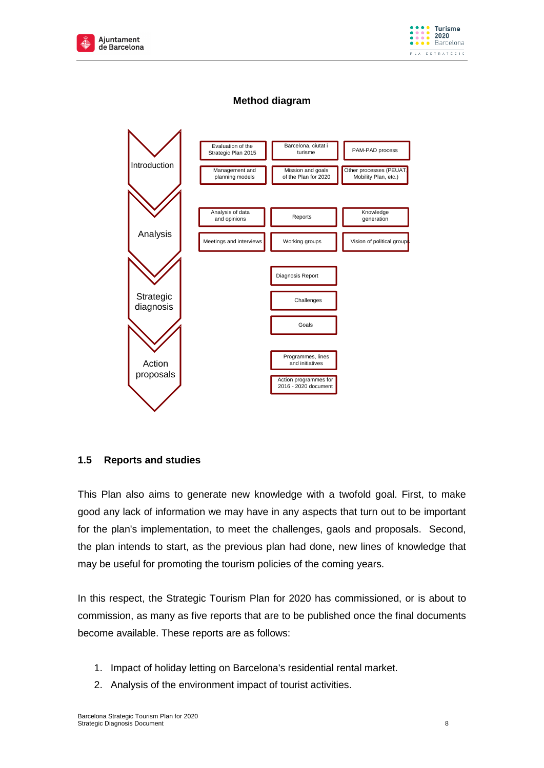



## **Method diagram**



#### <span id="page-7-0"></span>**1.5 Reports and studies**

This Plan also aims to generate new knowledge with a twofold goal. First, to make good any lack of information we may have in any aspects that turn out to be important for the plan's implementation, to meet the challenges, gaols and proposals. Second, the plan intends to start, as the previous plan had done, new lines of knowledge that may be useful for promoting the tourism policies of the coming years.

In this respect, the Strategic Tourism Plan for 2020 has commissioned, or is about to commission, as many as five reports that are to be published once the final documents become available. These reports are as follows:

- 1. Impact of holiday letting on Barcelona's residential rental market.
- 2. Analysis of the environment impact of tourist activities.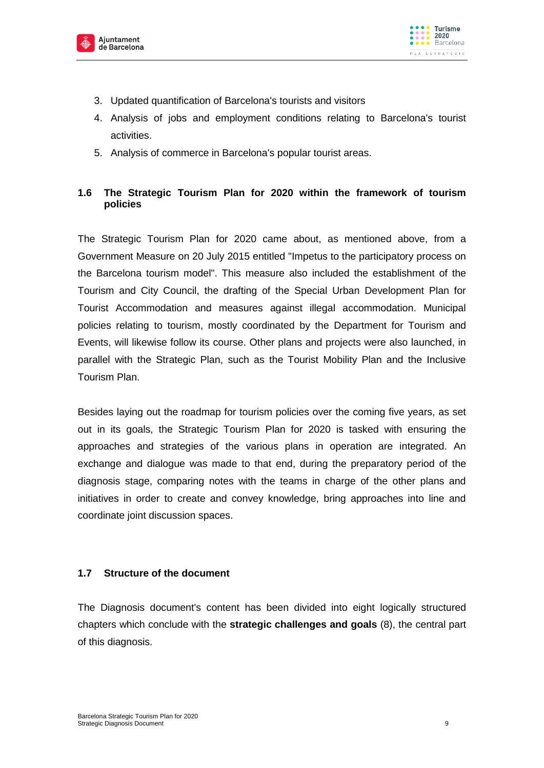



- 3. Updated quantification of Barcelona's tourists and visitors
- 4. Analysis of jobs and employment conditions relating to Barcelona's tourist activities.
- 5. Analysis of commerce in Barcelona's popular tourist areas.

# <span id="page-8-0"></span>**1.6 The Strategic Tourism Plan for 2020 within the framework of tourism policies**

The Strategic Tourism Plan for 2020 came about, as mentioned above, from a Government Measure on 20 July 2015 entitled "Impetus to the participatory process on the Barcelona tourism model". This measure also included the establishment of the Tourism and City Council, the drafting of the Special Urban Development Plan for Tourist Accommodation and measures against illegal accommodation. Municipal policies relating to tourism, mostly coordinated by the Department for Tourism and Events, will likewise follow its course. Other plans and projects were also launched, in parallel with the Strategic Plan, such as the Tourist Mobility Plan and the Inclusive Tourism Plan.

Besides laying out the roadmap for tourism policies over the coming five years, as set out in its goals, the Strategic Tourism Plan for 2020 is tasked with ensuring the approaches and strategies of the various plans in operation are integrated. An exchange and dialogue was made to that end, during the preparatory period of the diagnosis stage, comparing notes with the teams in charge of the other plans and initiatives in order to create and convey knowledge, bring approaches into line and coordinate joint discussion spaces.

#### <span id="page-8-1"></span>**1.7 Structure of the document**

The Diagnosis document's content has been divided into eight logically structured chapters which conclude with the **strategic challenges and goals** (8), the central part of this diagnosis.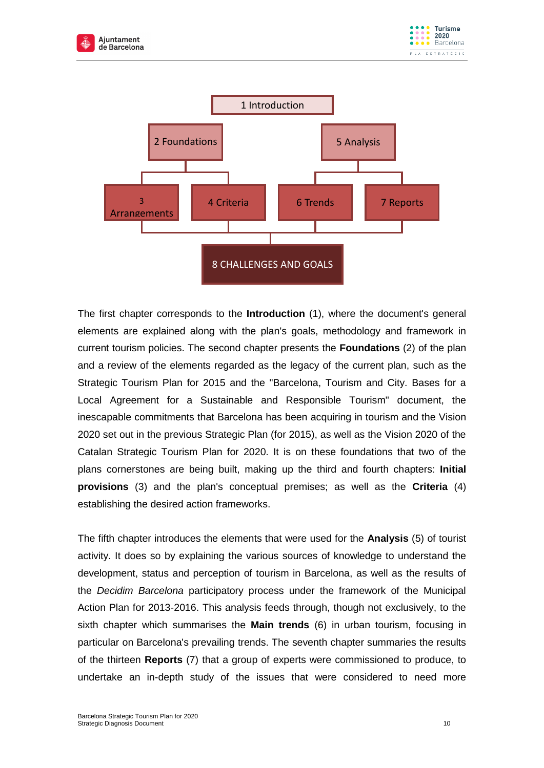



The first chapter corresponds to the **Introduction** (1), where the document's general elements are explained along with the plan's goals, methodology and framework in current tourism policies. The second chapter presents the **Foundations** (2) of the plan and a review of the elements regarded as the legacy of the current plan, such as the Strategic Tourism Plan for 2015 and the "Barcelona, Tourism and City. Bases for a Local Agreement for a Sustainable and Responsible Tourism" document, the inescapable commitments that Barcelona has been acquiring in tourism and the Vision 2020 set out in the previous Strategic Plan (for 2015), as well as the Vision 2020 of the Catalan Strategic Tourism Plan for 2020. It is on these foundations that two of the plans cornerstones are being built, making up the third and fourth chapters: **Initial provisions** (3) and the plan's conceptual premises; as well as the **Criteria** (4) establishing the desired action frameworks.

The fifth chapter introduces the elements that were used for the **Analysis** (5) of tourist activity. It does so by explaining the various sources of knowledge to understand the development, status and perception of tourism in Barcelona, as well as the results of the *Decidim Barcelona* participatory process under the framework of the Municipal Action Plan for 2013-2016. This analysis feeds through, though not exclusively, to the sixth chapter which summarises the **Main trends** (6) in urban tourism, focusing in particular on Barcelona's prevailing trends. The seventh chapter summaries the results of the thirteen **Reports** (7) that a group of experts were commissioned to produce, to undertake an in-depth study of the issues that were considered to need more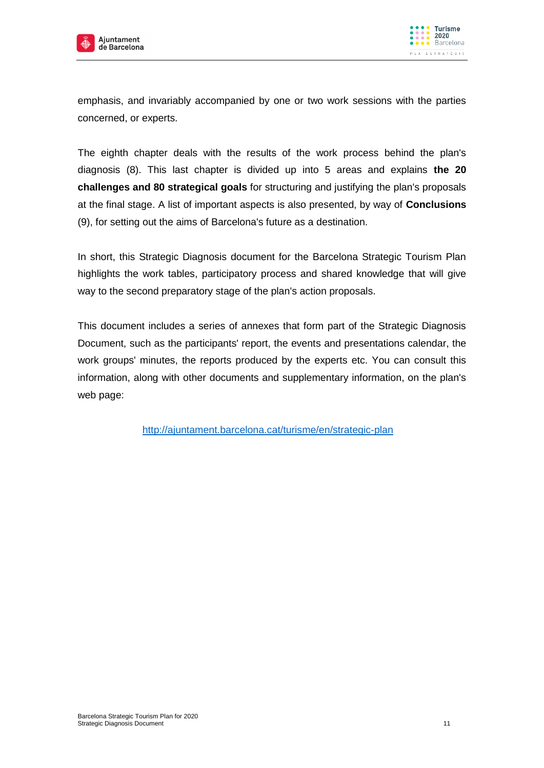



emphasis, and invariably accompanied by one or two work sessions with the parties concerned, or experts.

The eighth chapter deals with the results of the work process behind the plan's diagnosis (8). This last chapter is divided up into 5 areas and explains **the 20 challenges and 80 strategical goals** for structuring and justifying the plan's proposals at the final stage. A list of important aspects is also presented, by way of **Conclusions** (9), for setting out the aims of Barcelona's future as a destination.

In short, this Strategic Diagnosis document for the Barcelona Strategic Tourism Plan highlights the work tables, participatory process and shared knowledge that will give way to the second preparatory stage of the plan's action proposals.

This document includes a series of annexes that form part of the Strategic Diagnosis Document, such as the participants' report, the events and presentations calendar, the work groups' minutes, the reports produced by the experts etc. You can consult this information, along with other documents and supplementary information, on the plan's web page:

<http://ajuntament.barcelona.cat/turisme/en/strategic-plan>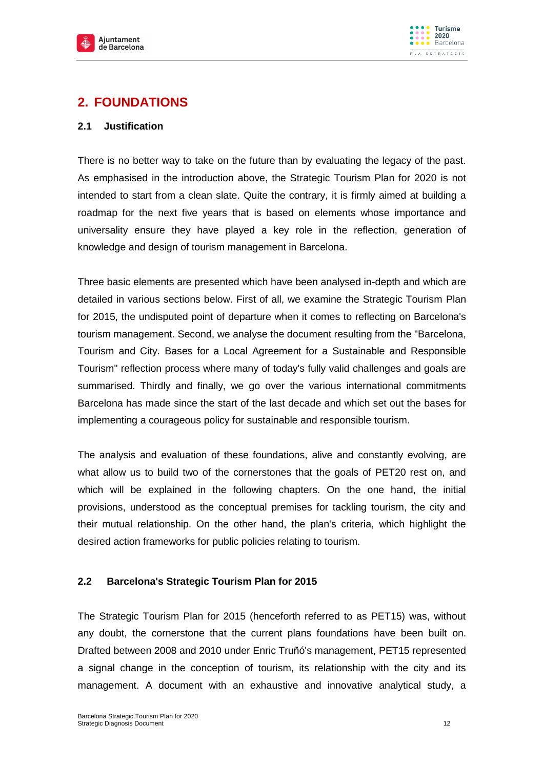



# <span id="page-11-0"></span>**2. FOUNDATIONS**

#### <span id="page-11-1"></span>**2.1 Justification**

There is no better way to take on the future than by evaluating the legacy of the past. As emphasised in the introduction above, the Strategic Tourism Plan for 2020 is not intended to start from a clean slate. Quite the contrary, it is firmly aimed at building a roadmap for the next five years that is based on elements whose importance and universality ensure they have played a key role in the reflection, generation of knowledge and design of tourism management in Barcelona.

Three basic elements are presented which have been analysed in-depth and which are detailed in various sections below. First of all, we examine the Strategic Tourism Plan for 2015, the undisputed point of departure when it comes to reflecting on Barcelona's tourism management. Second, we analyse the document resulting from the "Barcelona, Tourism and City. Bases for a Local Agreement for a Sustainable and Responsible Tourism" reflection process where many of today's fully valid challenges and goals are summarised. Thirdly and finally, we go over the various international commitments Barcelona has made since the start of the last decade and which set out the bases for implementing a courageous policy for sustainable and responsible tourism.

The analysis and evaluation of these foundations, alive and constantly evolving, are what allow us to build two of the cornerstones that the goals of PET20 rest on, and which will be explained in the following chapters. On the one hand, the initial provisions, understood as the conceptual premises for tackling tourism, the city and their mutual relationship. On the other hand, the plan's criteria, which highlight the desired action frameworks for public policies relating to tourism.

#### <span id="page-11-2"></span>**2.2 Barcelona's Strategic Tourism Plan for 2015**

The Strategic Tourism Plan for 2015 (henceforth referred to as PET15) was, without any doubt, the cornerstone that the current plans foundations have been built on. Drafted between 2008 and 2010 under Enric Truñó's management, PET15 represented a signal change in the conception of tourism, its relationship with the city and its management. A document with an exhaustive and innovative analytical study, a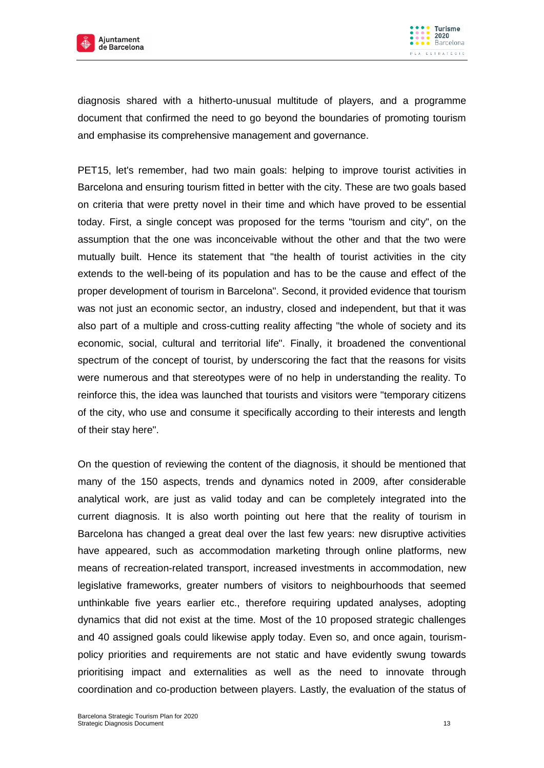



diagnosis shared with a hitherto-unusual multitude of players, and a programme document that confirmed the need to go beyond the boundaries of promoting tourism and emphasise its comprehensive management and governance.

PET15, let's remember, had two main goals: helping to improve tourist activities in Barcelona and ensuring tourism fitted in better with the city. These are two goals based on criteria that were pretty novel in their time and which have proved to be essential today. First, a single concept was proposed for the terms "tourism and city", on the assumption that the one was inconceivable without the other and that the two were mutually built. Hence its statement that "the health of tourist activities in the city extends to the well-being of its population and has to be the cause and effect of the proper development of tourism in Barcelona". Second, it provided evidence that tourism was not just an economic sector, an industry, closed and independent, but that it was also part of a multiple and cross-cutting reality affecting "the whole of society and its economic, social, cultural and territorial life". Finally, it broadened the conventional spectrum of the concept of tourist, by underscoring the fact that the reasons for visits were numerous and that stereotypes were of no help in understanding the reality. To reinforce this, the idea was launched that tourists and visitors were "temporary citizens of the city, who use and consume it specifically according to their interests and length of their stay here".

On the question of reviewing the content of the diagnosis, it should be mentioned that many of the 150 aspects, trends and dynamics noted in 2009, after considerable analytical work, are just as valid today and can be completely integrated into the current diagnosis. It is also worth pointing out here that the reality of tourism in Barcelona has changed a great deal over the last few years: new disruptive activities have appeared, such as accommodation marketing through online platforms, new means of recreation-related transport, increased investments in accommodation, new legislative frameworks, greater numbers of visitors to neighbourhoods that seemed unthinkable five years earlier etc., therefore requiring updated analyses, adopting dynamics that did not exist at the time. Most of the 10 proposed strategic challenges and 40 assigned goals could likewise apply today. Even so, and once again, tourismpolicy priorities and requirements are not static and have evidently swung towards prioritising impact and externalities as well as the need to innovate through coordination and co-production between players. Lastly, the evaluation of the status of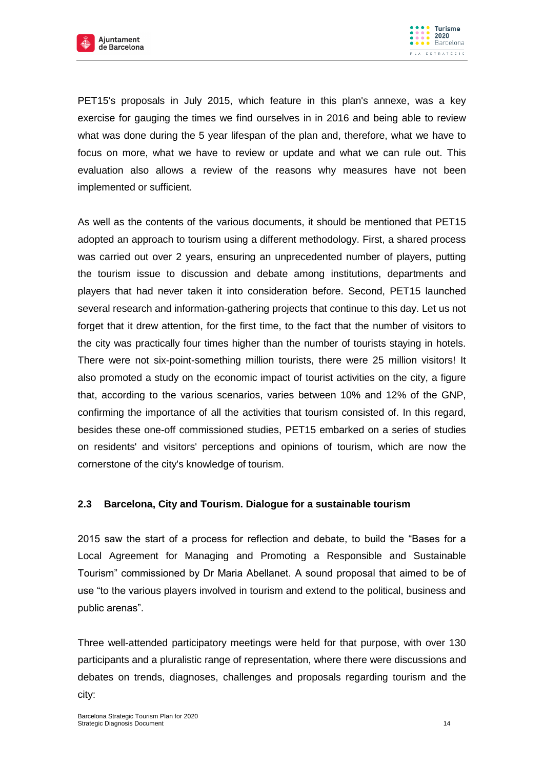



PET15's proposals in July 2015, which feature in this plan's annexe, was a key exercise for gauging the times we find ourselves in in 2016 and being able to review what was done during the 5 year lifespan of the plan and, therefore, what we have to focus on more, what we have to review or update and what we can rule out. This evaluation also allows a review of the reasons why measures have not been implemented or sufficient.

As well as the contents of the various documents, it should be mentioned that PET15 adopted an approach to tourism using a different methodology. First, a shared process was carried out over 2 years, ensuring an unprecedented number of players, putting the tourism issue to discussion and debate among institutions, departments and players that had never taken it into consideration before. Second, PET15 launched several research and information-gathering projects that continue to this day. Let us not forget that it drew attention, for the first time, to the fact that the number of visitors to the city was practically four times higher than the number of tourists staying in hotels. There were not six-point-something million tourists, there were 25 million visitors! It also promoted a study on the economic impact of tourist activities on the city, a figure that, according to the various scenarios, varies between 10% and 12% of the GNP, confirming the importance of all the activities that tourism consisted of. In this regard, besides these one-off commissioned studies, PET15 embarked on a series of studies on residents' and visitors' perceptions and opinions of tourism, which are now the cornerstone of the city's knowledge of tourism.

#### <span id="page-13-0"></span>**2.3 Barcelona, City and Tourism. Dialogue for a sustainable tourism**

2015 saw the start of a process for reflection and debate, to build the "Bases for a Local Agreement for Managing and Promoting a Responsible and Sustainable Tourism" commissioned by Dr Maria Abellanet. A sound proposal that aimed to be of use "to the various players involved in tourism and extend to the political, business and public arenas".

Three well-attended participatory meetings were held for that purpose, with over 130 participants and a pluralistic range of representation, where there were discussions and debates on trends, diagnoses, challenges and proposals regarding tourism and the city: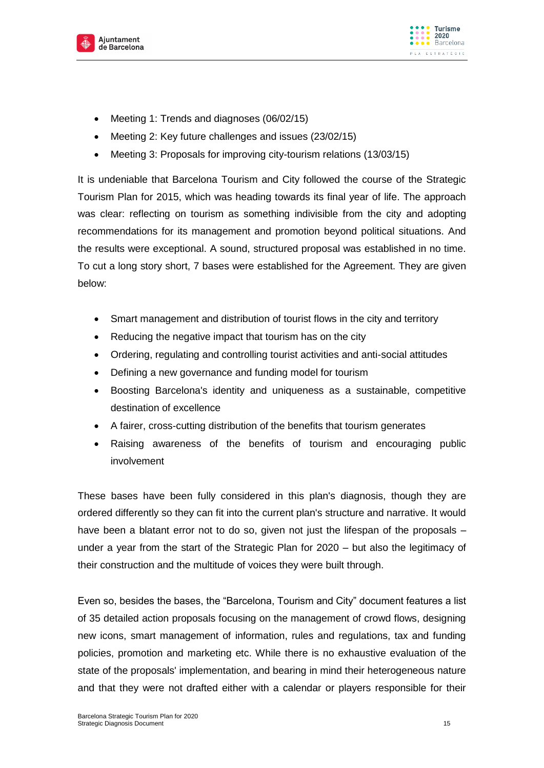



- Meeting 1: Trends and diagnoses (06/02/15)
- Meeting 2: Key future challenges and issues (23/02/15)
- Meeting 3: Proposals for improving city-tourism relations (13/03/15)

It is undeniable that Barcelona Tourism and City followed the course of the Strategic Tourism Plan for 2015, which was heading towards its final year of life. The approach was clear: reflecting on tourism as something indivisible from the city and adopting recommendations for its management and promotion beyond political situations. And the results were exceptional. A sound, structured proposal was established in no time. To cut a long story short, 7 bases were established for the Agreement. They are given below:

- Smart management and distribution of tourist flows in the city and territory
- Reducing the negative impact that tourism has on the city
- Ordering, regulating and controlling tourist activities and anti-social attitudes
- Defining a new governance and funding model for tourism
- Boosting Barcelona's identity and uniqueness as a sustainable, competitive destination of excellence
- A fairer, cross-cutting distribution of the benefits that tourism generates
- Raising awareness of the benefits of tourism and encouraging public involvement

These bases have been fully considered in this plan's diagnosis, though they are ordered differently so they can fit into the current plan's structure and narrative. It would have been a blatant error not to do so, given not just the lifespan of the proposals – under a year from the start of the Strategic Plan for 2020 – but also the legitimacy of their construction and the multitude of voices they were built through.

Even so, besides the bases, the "Barcelona, Tourism and City" document features a list of 35 detailed action proposals focusing on the management of crowd flows, designing new icons, smart management of information, rules and regulations, tax and funding policies, promotion and marketing etc. While there is no exhaustive evaluation of the state of the proposals' implementation, and bearing in mind their heterogeneous nature and that they were not drafted either with a calendar or players responsible for their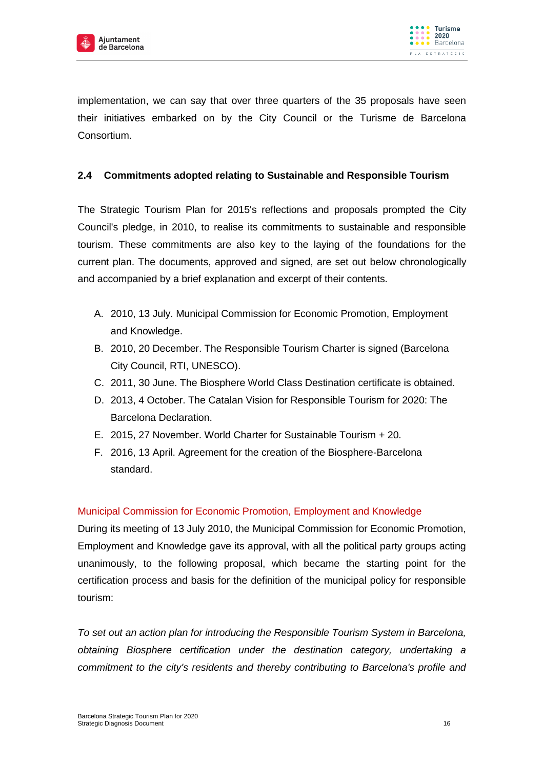



implementation, we can say that over three quarters of the 35 proposals have seen their initiatives embarked on by the City Council or the Turisme de Barcelona Consortium.

## <span id="page-15-0"></span>**2.4 Commitments adopted relating to Sustainable and Responsible Tourism**

The Strategic Tourism Plan for 2015's reflections and proposals prompted the City Council's pledge, in 2010, to realise its commitments to sustainable and responsible tourism. These commitments are also key to the laying of the foundations for the current plan. The documents, approved and signed, are set out below chronologically and accompanied by a brief explanation and excerpt of their contents.

- A. 2010, 13 July. Municipal Commission for Economic Promotion, Employment and Knowledge.
- B. 2010, 20 December. The Responsible Tourism Charter is signed (Barcelona City Council, RTI, UNESCO).
- C. 2011, 30 June. The Biosphere World Class Destination certificate is obtained.
- D. 2013, 4 October. The Catalan Vision for Responsible Tourism for 2020: The Barcelona Declaration.
- E. 2015, 27 November. World Charter for Sustainable Tourism + 20.
- F. 2016, 13 April. Agreement for the creation of the Biosphere-Barcelona standard.

#### Municipal Commission for Economic Promotion, Employment and Knowledge

During its meeting of 13 July 2010, the Municipal Commission for Economic Promotion, Employment and Knowledge gave its approval, with all the political party groups acting unanimously, to the following proposal, which became the starting point for the certification process and basis for the definition of the municipal policy for responsible tourism:

*To set out an action plan for introducing the Responsible Tourism System in Barcelona, obtaining Biosphere certification under the destination category, undertaking a commitment to the city's residents and thereby contributing to Barcelona's profile and*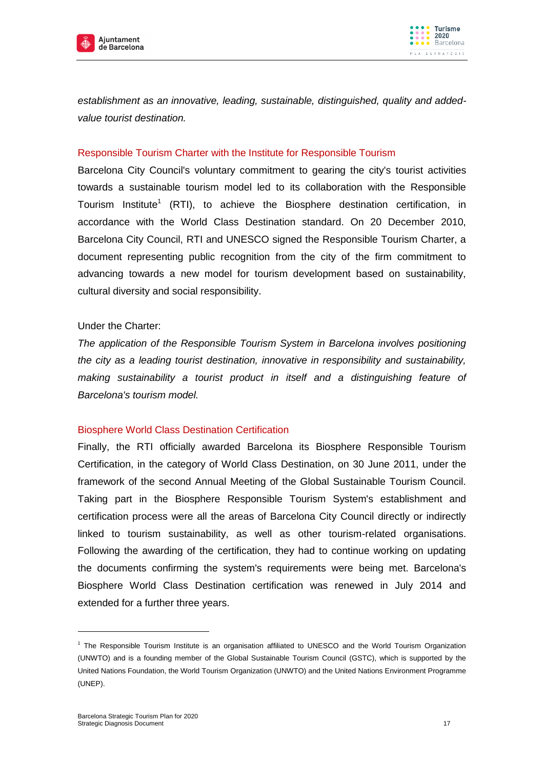



*establishment as an innovative, leading, sustainable, distinguished, quality and addedvalue tourist destination.*

#### Responsible Tourism Charter with the Institute for Responsible Tourism

Barcelona City Council's voluntary commitment to gearing the city's tourist activities towards a sustainable tourism model led to its collaboration with the Responsible Tourism Institute<sup>1</sup> (RTI), to achieve the Biosphere destination certification, in accordance with the World Class Destination standard. On 20 December 2010, Barcelona City Council, RTI and UNESCO signed the Responsible Tourism Charter, a document representing public recognition from the city of the firm commitment to advancing towards a new model for tourism development based on sustainability, cultural diversity and social responsibility.

#### Under the Charter:

*The application of the Responsible Tourism System in Barcelona involves positioning the city as a leading tourist destination, innovative in responsibility and sustainability, making sustainability a tourist product in itself and a distinguishing feature of Barcelona's tourism model.* 

#### Biosphere World Class Destination Certification

Finally, the RTI officially awarded Barcelona its Biosphere Responsible Tourism Certification, in the category of World Class Destination, on 30 June 2011, under the framework of the second Annual Meeting of the Global Sustainable Tourism Council. Taking part in the Biosphere Responsible Tourism System's establishment and certification process were all the areas of Barcelona City Council directly or indirectly linked to tourism sustainability, as well as other tourism-related organisations. Following the awarding of the certification, they had to continue working on updating the documents confirming the system's requirements were being met. Barcelona's Biosphere World Class Destination certification was renewed in July 2014 and extended for a further three years.

1

<sup>1</sup> The Responsible Tourism Institute is an organisation affiliated to UNESCO and the World Tourism Organization (UNWTO) and is a founding member of the Global Sustainable Tourism Council (GSTC), which is supported by the United Nations Foundation, the World Tourism Organization (UNWTO) and the United Nations Environment Programme (UNEP).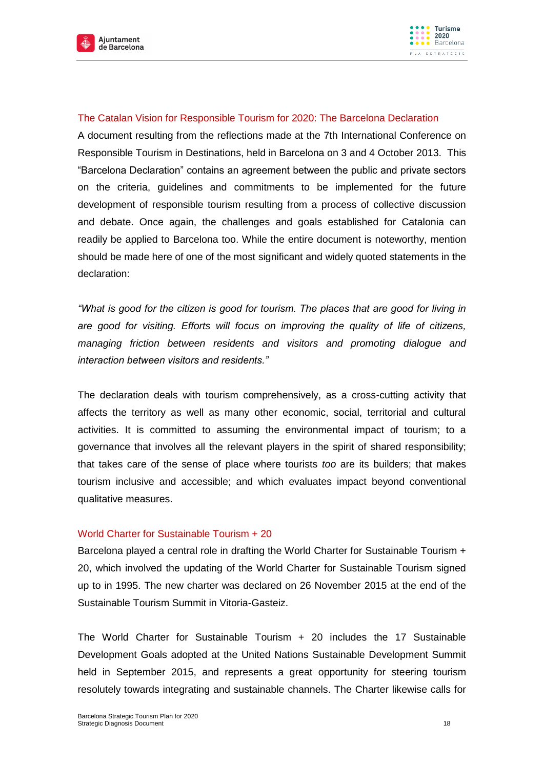



#### The Catalan Vision for Responsible Tourism for 2020: The Barcelona Declaration

A document resulting from the reflections made at the 7th International Conference on Responsible Tourism in Destinations, held in Barcelona on 3 and 4 October 2013. This "Barcelona Declaration" contains an agreement between the public and private sectors on the criteria, guidelines and commitments to be implemented for the future development of responsible tourism resulting from a process of collective discussion and debate. Once again, the challenges and goals established for Catalonia can readily be applied to Barcelona too. While the entire document is noteworthy, mention should be made here of one of the most significant and widely quoted statements in the declaration:

*"What is good for the citizen is good for tourism. The places that are good for living in are good for visiting. Efforts will focus on improving the quality of life of citizens, managing friction between residents and visitors and promoting dialogue and interaction between visitors and residents."*

The declaration deals with tourism comprehensively, as a cross-cutting activity that affects the territory as well as many other economic, social, territorial and cultural activities. It is committed to assuming the environmental impact of tourism; to a governance that involves all the relevant players in the spirit of shared responsibility; that takes care of the sense of place where tourists *too* are its builders; that makes tourism inclusive and accessible; and which evaluates impact beyond conventional qualitative measures.

#### World Charter for Sustainable Tourism + 20

Barcelona played a central role in drafting the World Charter for Sustainable Tourism + 20, which involved the updating of the World Charter for Sustainable Tourism signed up to in 1995. The new charter was declared on 26 November 2015 at the end of the Sustainable Tourism Summit in Vitoria-Gasteiz.

The World Charter for Sustainable Tourism + 20 includes the 17 Sustainable Development Goals adopted at the United Nations Sustainable Development Summit held in September 2015, and represents a great opportunity for steering tourism resolutely towards integrating and sustainable channels. The Charter likewise calls for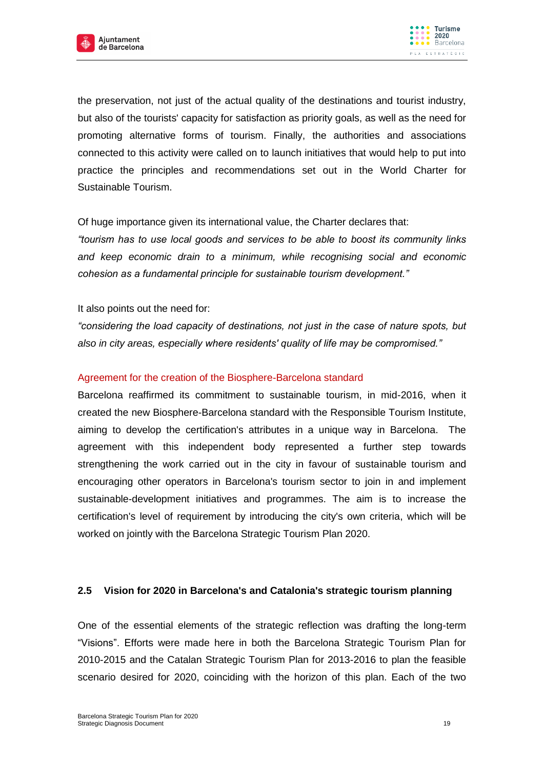



the preservation, not just of the actual quality of the destinations and tourist industry, but also of the tourists' capacity for satisfaction as priority goals, as well as the need for promoting alternative forms of tourism. Finally, the authorities and associations connected to this activity were called on to launch initiatives that would help to put into practice the principles and recommendations set out in the World Charter for Sustainable Tourism.

Of huge importance given its international value, the Charter declares that:

*"tourism has to use local goods and services to be able to boost its community links and keep economic drain to a minimum, while recognising social and economic cohesion as a fundamental principle for sustainable tourism development."*

It also points out the need for:

*"considering the load capacity of destinations, not just in the case of nature spots, but also in city areas, especially where residents' quality of life may be compromised."*

#### Agreement for the creation of the Biosphere-Barcelona standard

Barcelona reaffirmed its commitment to sustainable tourism, in mid-2016, when it created the new Biosphere-Barcelona standard with the Responsible Tourism Institute, aiming to develop the certification's attributes in a unique way in Barcelona. The agreement with this independent body represented a further step towards strengthening the work carried out in the city in favour of sustainable tourism and encouraging other operators in Barcelona's tourism sector to join in and implement sustainable-development initiatives and programmes. The aim is to increase the certification's level of requirement by introducing the city's own criteria, which will be worked on jointly with the Barcelona Strategic Tourism Plan 2020.

#### <span id="page-18-0"></span>**2.5 Vision for 2020 in Barcelona's and Catalonia's strategic tourism planning**

One of the essential elements of the strategic reflection was drafting the long-term "Visions". Efforts were made here in both the Barcelona Strategic Tourism Plan for 2010-2015 and the Catalan Strategic Tourism Plan for 2013-2016 to plan the feasible scenario desired for 2020, coinciding with the horizon of this plan. Each of the two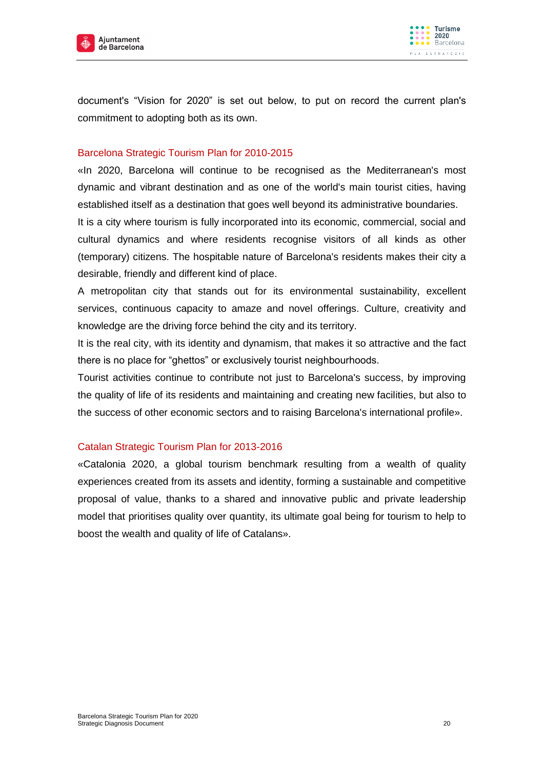



document's "Vision for 2020" is set out below, to put on record the current plan's commitment to adopting both as its own.

#### Barcelona Strategic Tourism Plan for 2010-2015

«In 2020, Barcelona will continue to be recognised as the Mediterranean's most dynamic and vibrant destination and as one of the world's main tourist cities, having established itself as a destination that goes well beyond its administrative boundaries.

It is a city where tourism is fully incorporated into its economic, commercial, social and cultural dynamics and where residents recognise visitors of all kinds as other (temporary) citizens. The hospitable nature of Barcelona's residents makes their city a desirable, friendly and different kind of place.

A metropolitan city that stands out for its environmental sustainability, excellent services, continuous capacity to amaze and novel offerings. Culture, creativity and knowledge are the driving force behind the city and its territory.

It is the real city, with its identity and dynamism, that makes it so attractive and the fact there is no place for "ghettos" or exclusively tourist neighbourhoods.

Tourist activities continue to contribute not just to Barcelona's success, by improving the quality of life of its residents and maintaining and creating new facilities, but also to the success of other economic sectors and to raising Barcelona's international profile».

#### Catalan Strategic Tourism Plan for 2013-2016

«Catalonia 2020, a global tourism benchmark resulting from a wealth of quality experiences created from its assets and identity, forming a sustainable and competitive proposal of value, thanks to a shared and innovative public and private leadership model that prioritises quality over quantity, its ultimate goal being for tourism to help to boost the wealth and quality of life of Catalans».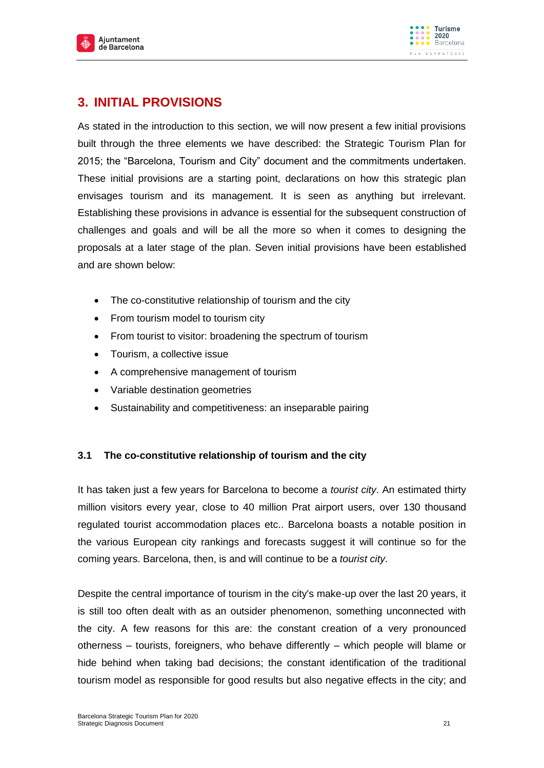



# <span id="page-20-0"></span>**3. INITIAL PROVISIONS**

As stated in the introduction to this section, we will now present a few initial provisions built through the three elements we have described: the Strategic Tourism Plan for 2015; the "Barcelona, Tourism and City" document and the commitments undertaken. These initial provisions are a starting point, declarations on how this strategic plan envisages tourism and its management. It is seen as anything but irrelevant. Establishing these provisions in advance is essential for the subsequent construction of challenges and goals and will be all the more so when it comes to designing the proposals at a later stage of the plan. Seven initial provisions have been established and are shown below:

- The co-constitutive relationship of tourism and the city
- From tourism model to tourism city
- From tourist to visitor: broadening the spectrum of tourism
- Tourism, a collective issue
- A comprehensive management of tourism
- Variable destination geometries
- Sustainability and competitiveness: an inseparable pairing

#### <span id="page-20-1"></span>**3.1 The co-constitutive relationship of tourism and the city**

It has taken just a few years for Barcelona to become a *tourist city*. An estimated thirty million visitors every year, close to 40 million Prat airport users, over 130 thousand regulated tourist accommodation places etc.. Barcelona boasts a notable position in the various European city rankings and forecasts suggest it will continue so for the coming years. Barcelona, then, is and will continue to be a *tourist city*.

Despite the central importance of tourism in the city's make-up over the last 20 years, it is still too often dealt with as an outsider phenomenon, something unconnected with the city. A few reasons for this are: the constant creation of a very pronounced otherness – tourists, foreigners, who behave differently – which people will blame or hide behind when taking bad decisions; the constant identification of the traditional tourism model as responsible for good results but also negative effects in the city; and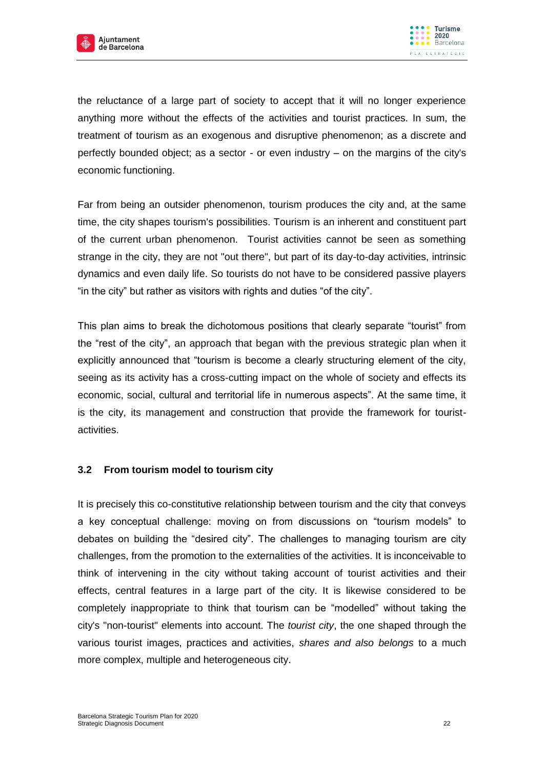



the reluctance of a large part of society to accept that it will no longer experience anything more without the effects of the activities and tourist practices. In sum, the treatment of tourism as an exogenous and disruptive phenomenon; as a discrete and perfectly bounded object; as a sector - or even industry – on the margins of the city's economic functioning.

Far from being an outsider phenomenon, tourism produces the city and, at the same time, the city shapes tourism's possibilities. Tourism is an inherent and constituent part of the current urban phenomenon. Tourist activities cannot be seen as something strange in the city, they are not "out there", but part of its day-to-day activities, intrinsic dynamics and even daily life. So tourists do not have to be considered passive players "in the city" but rather as visitors with rights and duties "of the city".

This plan aims to break the dichotomous positions that clearly separate "tourist" from the "rest of the city", an approach that began with the previous strategic plan when it explicitly announced that "tourism is become a clearly structuring element of the city, seeing as its activity has a cross-cutting impact on the whole of society and effects its economic, social, cultural and territorial life in numerous aspects". At the same time, it is the city, its management and construction that provide the framework for touristactivities.

#### <span id="page-21-0"></span>**3.2 From tourism model to tourism city**

It is precisely this co-constitutive relationship between tourism and the city that conveys a key conceptual challenge: moving on from discussions on "tourism models" to debates on building the "desired city". The challenges to managing tourism are city challenges, from the promotion to the externalities of the activities. It is inconceivable to think of intervening in the city without taking account of tourist activities and their effects, central features in a large part of the city. It is likewise considered to be completely inappropriate to think that tourism can be "modelled" without taking the city's "non-tourist" elements into account. The *tourist city*, the one shaped through the various tourist images, practices and activities, *shares and also belongs* to a much more complex, multiple and heterogeneous city.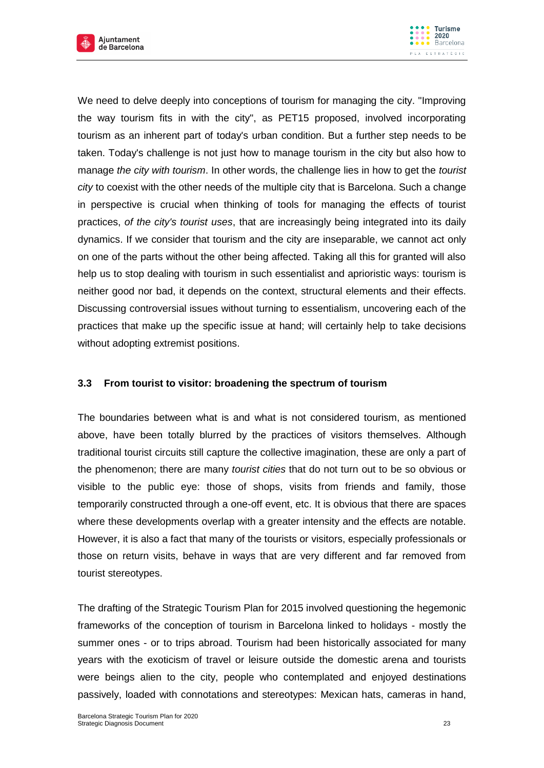



We need to delve deeply into conceptions of tourism for managing the city. "Improving the way tourism fits in with the city", as PET15 proposed, involved incorporating tourism as an inherent part of today's urban condition. But a further step needs to be taken. Today's challenge is not just how to manage tourism in the city but also how to manage *the city with tourism*. In other words, the challenge lies in how to get the *tourist city* to coexist with the other needs of the multiple city that is Barcelona. Such a change in perspective is crucial when thinking of tools for managing the effects of tourist practices, *of the city's tourist uses*, that are increasingly being integrated into its daily dynamics. If we consider that tourism and the city are inseparable, we cannot act only on one of the parts without the other being affected. Taking all this for granted will also help us to stop dealing with tourism in such essentialist and aprioristic ways: tourism is neither good nor bad, it depends on the context, structural elements and their effects. Discussing controversial issues without turning to essentialism, uncovering each of the practices that make up the specific issue at hand; will certainly help to take decisions without adopting extremist positions.

## <span id="page-22-0"></span>**3.3 From tourist to visitor: broadening the spectrum of tourism**

The boundaries between what is and what is not considered tourism, as mentioned above, have been totally blurred by the practices of visitors themselves. Although traditional tourist circuits still capture the collective imagination, these are only a part of the phenomenon; there are many *tourist cities* that do not turn out to be so obvious or visible to the public eye: those of shops, visits from friends and family, those temporarily constructed through a one-off event, etc. It is obvious that there are spaces where these developments overlap with a greater intensity and the effects are notable. However, it is also a fact that many of the tourists or visitors, especially professionals or those on return visits, behave in ways that are very different and far removed from tourist stereotypes.

The drafting of the Strategic Tourism Plan for 2015 involved questioning the hegemonic frameworks of the conception of tourism in Barcelona linked to holidays - mostly the summer ones - or to trips abroad. Tourism had been historically associated for many years with the exoticism of travel or leisure outside the domestic arena and tourists were beings alien to the city, people who contemplated and enjoyed destinations passively, loaded with connotations and stereotypes: Mexican hats, cameras in hand,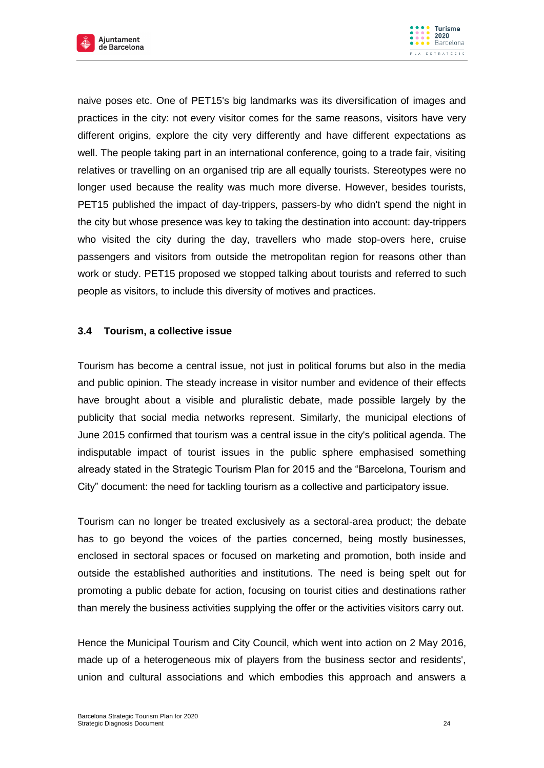



naive poses etc. One of PET15's big landmarks was its diversification of images and practices in the city: not every visitor comes for the same reasons, visitors have very different origins, explore the city very differently and have different expectations as well. The people taking part in an international conference, going to a trade fair, visiting relatives or travelling on an organised trip are all equally tourists. Stereotypes were no longer used because the reality was much more diverse. However, besides tourists, PET15 published the impact of day-trippers, passers-by who didn't spend the night in the city but whose presence was key to taking the destination into account: day-trippers who visited the city during the day, travellers who made stop-overs here, cruise passengers and visitors from outside the metropolitan region for reasons other than work or study. PET15 proposed we stopped talking about tourists and referred to such people as visitors, to include this diversity of motives and practices.

#### <span id="page-23-0"></span>**3.4 Tourism, a collective issue**

Tourism has become a central issue, not just in political forums but also in the media and public opinion. The steady increase in visitor number and evidence of their effects have brought about a visible and pluralistic debate, made possible largely by the publicity that social media networks represent. Similarly, the municipal elections of June 2015 confirmed that tourism was a central issue in the city's political agenda. The indisputable impact of tourist issues in the public sphere emphasised something already stated in the Strategic Tourism Plan for 2015 and the "Barcelona, Tourism and City" document: the need for tackling tourism as a collective and participatory issue.

Tourism can no longer be treated exclusively as a sectoral-area product; the debate has to go beyond the voices of the parties concerned, being mostly businesses, enclosed in sectoral spaces or focused on marketing and promotion, both inside and outside the established authorities and institutions. The need is being spelt out for promoting a public debate for action, focusing on tourist cities and destinations rather than merely the business activities supplying the offer or the activities visitors carry out.

Hence the Municipal Tourism and City Council, which went into action on 2 May 2016, made up of a heterogeneous mix of players from the business sector and residents', union and cultural associations and which embodies this approach and answers a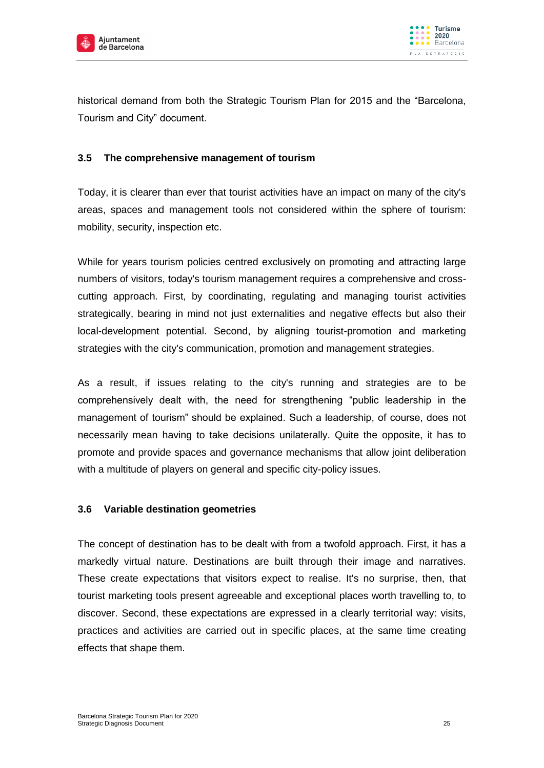



historical demand from both the Strategic Tourism Plan for 2015 and the "Barcelona, Tourism and City" document.

#### <span id="page-24-0"></span>**3.5 The comprehensive management of tourism**

Today, it is clearer than ever that tourist activities have an impact on many of the city's areas, spaces and management tools not considered within the sphere of tourism: mobility, security, inspection etc.

While for years tourism policies centred exclusively on promoting and attracting large numbers of visitors, today's tourism management requires a comprehensive and crosscutting approach. First, by coordinating, regulating and managing tourist activities strategically, bearing in mind not just externalities and negative effects but also their local-development potential. Second, by aligning tourist-promotion and marketing strategies with the city's communication, promotion and management strategies.

As a result, if issues relating to the city's running and strategies are to be comprehensively dealt with, the need for strengthening "public leadership in the management of tourism" should be explained. Such a leadership, of course, does not necessarily mean having to take decisions unilaterally. Quite the opposite, it has to promote and provide spaces and governance mechanisms that allow joint deliberation with a multitude of players on general and specific city-policy issues.

#### <span id="page-24-1"></span>**3.6 Variable destination geometries**

The concept of destination has to be dealt with from a twofold approach. First, it has a markedly virtual nature. Destinations are built through their image and narratives. These create expectations that visitors expect to realise. It's no surprise, then, that tourist marketing tools present agreeable and exceptional places worth travelling to, to discover. Second, these expectations are expressed in a clearly territorial way: visits, practices and activities are carried out in specific places, at the same time creating effects that shape them.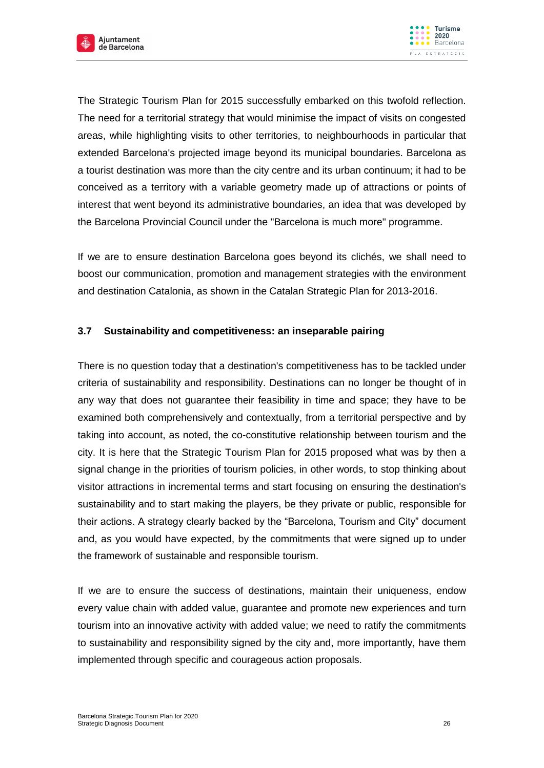



The Strategic Tourism Plan for 2015 successfully embarked on this twofold reflection. The need for a territorial strategy that would minimise the impact of visits on congested areas, while highlighting visits to other territories, to neighbourhoods in particular that extended Barcelona's projected image beyond its municipal boundaries. Barcelona as a tourist destination was more than the city centre and its urban continuum; it had to be conceived as a territory with a variable geometry made up of attractions or points of interest that went beyond its administrative boundaries, an idea that was developed by the Barcelona Provincial Council under the "Barcelona is much more" programme.

If we are to ensure destination Barcelona goes beyond its clichés, we shall need to boost our communication, promotion and management strategies with the environment and destination Catalonia, as shown in the Catalan Strategic Plan for 2013-2016.

#### <span id="page-25-0"></span>**3.7 Sustainability and competitiveness: an inseparable pairing**

There is no question today that a destination's competitiveness has to be tackled under criteria of sustainability and responsibility. Destinations can no longer be thought of in any way that does not guarantee their feasibility in time and space; they have to be examined both comprehensively and contextually, from a territorial perspective and by taking into account, as noted, the co-constitutive relationship between tourism and the city. It is here that the Strategic Tourism Plan for 2015 proposed what was by then a signal change in the priorities of tourism policies, in other words, to stop thinking about visitor attractions in incremental terms and start focusing on ensuring the destination's sustainability and to start making the players, be they private or public, responsible for their actions. A strategy clearly backed by the "Barcelona, Tourism and City" document and, as you would have expected, by the commitments that were signed up to under the framework of sustainable and responsible tourism.

If we are to ensure the success of destinations, maintain their uniqueness, endow every value chain with added value, guarantee and promote new experiences and turn tourism into an innovative activity with added value; we need to ratify the commitments to sustainability and responsibility signed by the city and, more importantly, have them implemented through specific and courageous action proposals.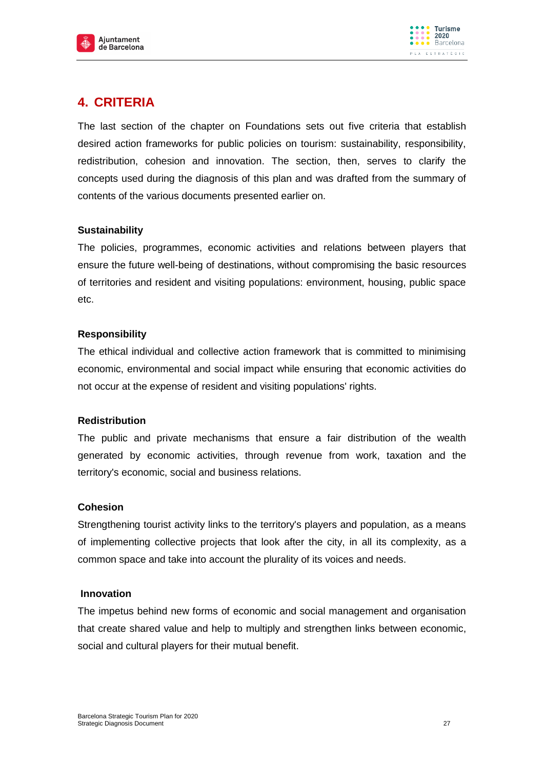



# <span id="page-26-0"></span>**4. CRITERIA**

The last section of the chapter on Foundations sets out five criteria that establish desired action frameworks for public policies on tourism: sustainability, responsibility, redistribution, cohesion and innovation. The section, then, serves to clarify the concepts used during the diagnosis of this plan and was drafted from the summary of contents of the various documents presented earlier on.

#### **Sustainability**

The policies, programmes, economic activities and relations between players that ensure the future well-being of destinations, without compromising the basic resources of territories and resident and visiting populations: environment, housing, public space etc.

#### **Responsibility**

The ethical individual and collective action framework that is committed to minimising economic, environmental and social impact while ensuring that economic activities do not occur at the expense of resident and visiting populations' rights.

#### **Redistribution**

The public and private mechanisms that ensure a fair distribution of the wealth generated by economic activities, through revenue from work, taxation and the territory's economic, social and business relations.

#### **Cohesion**

Strengthening tourist activity links to the territory's players and population, as a means of implementing collective projects that look after the city, in all its complexity, as a common space and take into account the plurality of its voices and needs.

#### **Innovation**

The impetus behind new forms of economic and social management and organisation that create shared value and help to multiply and strengthen links between economic, social and cultural players for their mutual benefit.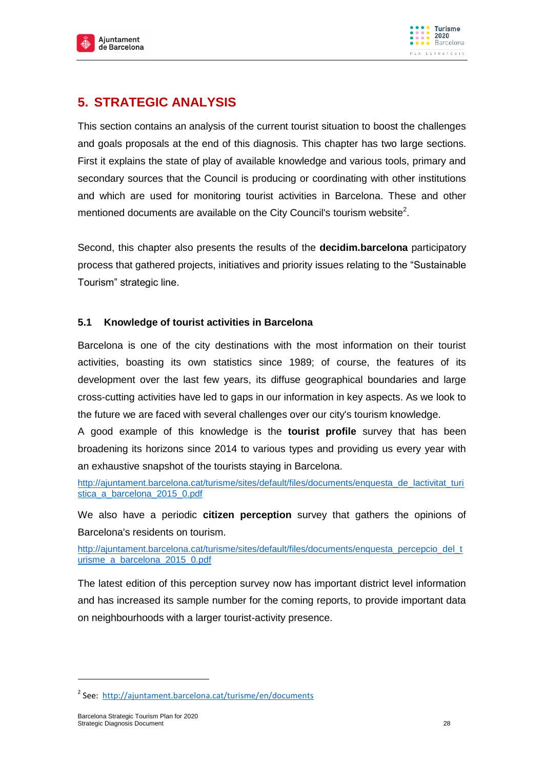



# <span id="page-27-0"></span>**5. STRATEGIC ANALYSIS**

This section contains an analysis of the current tourist situation to boost the challenges and goals proposals at the end of this diagnosis. This chapter has two large sections. First it explains the state of play of available knowledge and various tools, primary and secondary sources that the Council is producing or coordinating with other institutions and which are used for monitoring tourist activities in Barcelona. These and other mentioned documents are available on the City Council's tourism website<sup>2</sup>.

Second, this chapter also presents the results of the **decidim.barcelona** participatory process that gathered projects, initiatives and priority issues relating to the "Sustainable Tourism" strategic line.

### <span id="page-27-1"></span>**5.1 Knowledge of tourist activities in Barcelona**

Barcelona is one of the city destinations with the most information on their tourist activities, boasting its own statistics since 1989; of course, the features of its development over the last few years, its diffuse geographical boundaries and large cross-cutting activities have led to gaps in our information in key aspects. As we look to the future we are faced with several challenges over our city's tourism knowledge.

A good example of this knowledge is the **tourist profile** survey that has been broadening its horizons since 2014 to various types and providing us every year with an exhaustive snapshot of the tourists staying in Barcelona.

[http://ajuntament.barcelona.cat/turisme/sites/default/files/documents/enquesta\\_de\\_lactivitat\\_turi](http://ajuntament.barcelona.cat/turisme/sites/default/files/documents/enquesta_de_lactivitat_turistica_a_barcelona_2015_0.pdf) [stica\\_a\\_barcelona\\_2015\\_0.pdf](http://ajuntament.barcelona.cat/turisme/sites/default/files/documents/enquesta_de_lactivitat_turistica_a_barcelona_2015_0.pdf)

We also have a periodic **citizen perception** survey that gathers the opinions of Barcelona's residents on tourism.

[http://ajuntament.barcelona.cat/turisme/sites/default/files/documents/enquesta\\_percepcio\\_del\\_t](http://ajuntament.barcelona.cat/turisme/sites/default/files/documents/enquesta_percepcio_del_turisme_a_barcelona_2015_0.pdf) [urisme\\_a\\_barcelona\\_2015\\_0.pdf](http://ajuntament.barcelona.cat/turisme/sites/default/files/documents/enquesta_percepcio_del_turisme_a_barcelona_2015_0.pdf)

The latest edition of this perception survey now has important district level information and has increased its sample number for the coming reports, to provide important data on neighbourhoods with a larger tourist-activity presence.

-

<sup>&</sup>lt;sup>2</sup> See: [http://ajuntament.barcelona.cat/turisme/en/documents](http://ajuntament.barcelona.cat/turisme/ca/documentacio)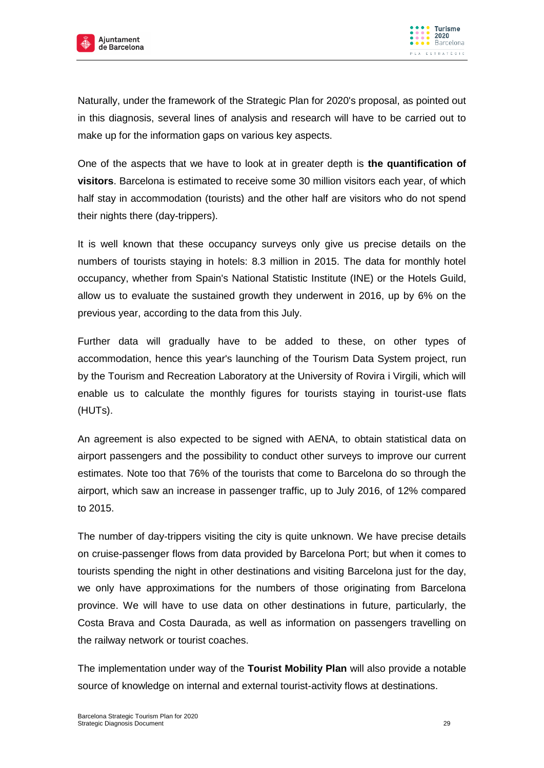



Naturally, under the framework of the Strategic Plan for 2020's proposal, as pointed out in this diagnosis, several lines of analysis and research will have to be carried out to make up for the information gaps on various key aspects.

One of the aspects that we have to look at in greater depth is **the quantification of visitors**. Barcelona is estimated to receive some 30 million visitors each year, of which half stay in accommodation (tourists) and the other half are visitors who do not spend their nights there (day-trippers).

It is well known that these occupancy surveys only give us precise details on the numbers of tourists staying in hotels: 8.3 million in 2015. The data for monthly hotel occupancy, whether from Spain's National Statistic Institute (INE) or the Hotels Guild, allow us to evaluate the sustained growth they underwent in 2016, up by 6% on the previous year, according to the data from this July.

Further data will gradually have to be added to these, on other types of accommodation, hence this year's launching of the Tourism Data System project, run by the Tourism and Recreation Laboratory at the University of Rovira i Virgili, which will enable us to calculate the monthly figures for tourists staying in tourist-use flats (HUTs).

An agreement is also expected to be signed with AENA, to obtain statistical data on airport passengers and the possibility to conduct other surveys to improve our current estimates. Note too that 76% of the tourists that come to Barcelona do so through the airport, which saw an increase in passenger traffic, up to July 2016, of 12% compared to 2015.

The number of day-trippers visiting the city is quite unknown. We have precise details on cruise-passenger flows from data provided by Barcelona Port; but when it comes to tourists spending the night in other destinations and visiting Barcelona just for the day, we only have approximations for the numbers of those originating from Barcelona province. We will have to use data on other destinations in future, particularly, the Costa Brava and Costa Daurada, as well as information on passengers travelling on the railway network or tourist coaches.

The implementation under way of the **Tourist Mobility Plan** will also provide a notable source of knowledge on internal and external tourist-activity flows at destinations.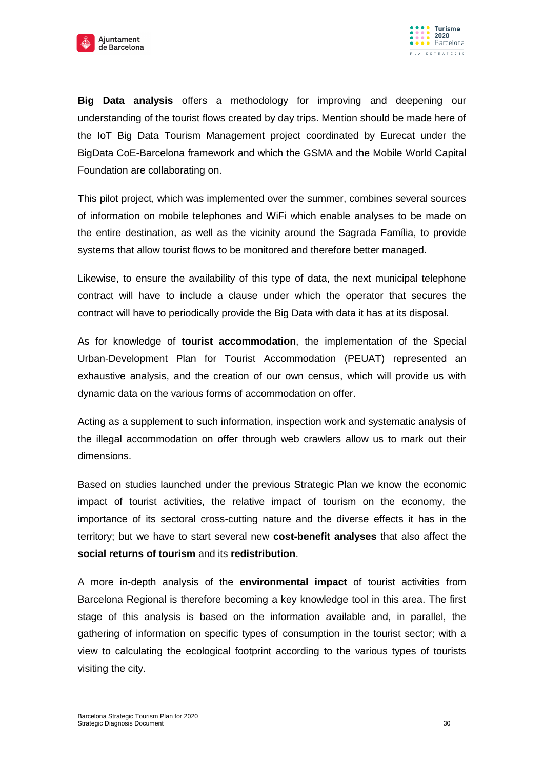



**Big Data analysis** offers a methodology for improving and deepening our understanding of the tourist flows created by day trips. Mention should be made here of the IoT Big Data Tourism Management project coordinated by Eurecat under the BigData CoE-Barcelona framework and which the GSMA and the Mobile World Capital Foundation are collaborating on.

This pilot project, which was implemented over the summer, combines several sources of information on mobile telephones and WiFi which enable analyses to be made on the entire destination, as well as the vicinity around the Sagrada Família, to provide systems that allow tourist flows to be monitored and therefore better managed.

Likewise, to ensure the availability of this type of data, the next municipal telephone contract will have to include a clause under which the operator that secures the contract will have to periodically provide the Big Data with data it has at its disposal.

As for knowledge of **tourist accommodation**, the implementation of the Special Urban-Development Plan for Tourist Accommodation (PEUAT) represented an exhaustive analysis, and the creation of our own census, which will provide us with dynamic data on the various forms of accommodation on offer.

Acting as a supplement to such information, inspection work and systematic analysis of the illegal accommodation on offer through web crawlers allow us to mark out their dimensions.

Based on studies launched under the previous Strategic Plan we know the economic impact of tourist activities, the relative impact of tourism on the economy, the importance of its sectoral cross-cutting nature and the diverse effects it has in the territory; but we have to start several new **cost-benefit analyses** that also affect the **social returns of tourism** and its **redistribution**.

A more in-depth analysis of the **environmental impact** of tourist activities from Barcelona Regional is therefore becoming a key knowledge tool in this area. The first stage of this analysis is based on the information available and, in parallel, the gathering of information on specific types of consumption in the tourist sector; with a view to calculating the ecological footprint according to the various types of tourists visiting the city.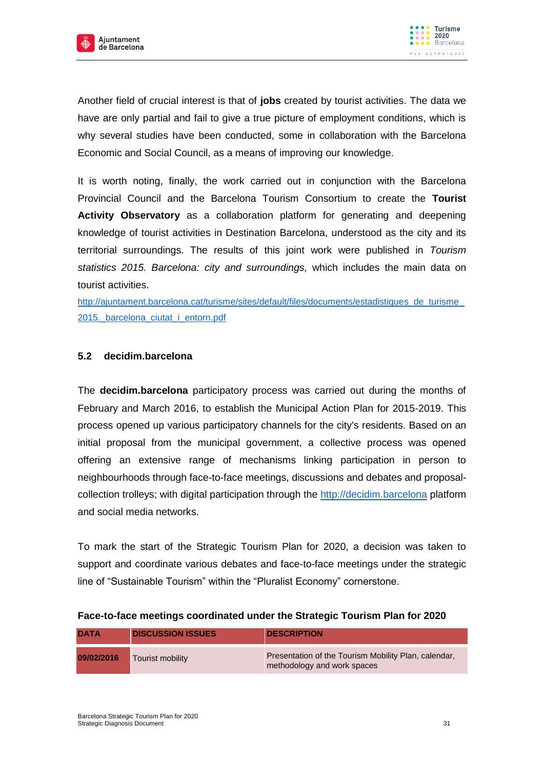



Another field of crucial interest is that of **jobs** created by tourist activities. The data we have are only partial and fail to give a true picture of employment conditions, which is why several studies have been conducted, some in collaboration with the Barcelona Economic and Social Council, as a means of improving our knowledge.

It is worth noting, finally, the work carried out in conjunction with the Barcelona Provincial Council and the Barcelona Tourism Consortium to create the **Tourist Activity Observatory** as a collaboration platform for generating and deepening knowledge of tourist activities in Destination Barcelona, understood as the city and its territorial surroundings. The results of this joint work were published in *Tourism statistics 2015. Barcelona: city and surroundings,* which includes the main data on tourist activities.

[http://ajuntament.barcelona.cat/turisme/sites/default/files/documents/estadistiques\\_de\\_turisme\\_](http://ajuntament.barcelona.cat/turisme/sites/default/files/documents/estadistiques_de_turisme_2015._barcelona_ciutat_i_entorn.pdf) 2015. barcelona ciutat i entorn.pdf

## <span id="page-30-0"></span>**5.2 decidim.barcelona**

The **decidim.barcelona** participatory process was carried out during the months of February and March 2016, to establish the Municipal Action Plan for 2015-2019. This process opened up various participatory channels for the city's residents. Based on an initial proposal from the municipal government, a collective process was opened offering an extensive range of mechanisms linking participation in person to neighbourhoods through face-to-face meetings, discussions and debates and proposalcollection trolleys; with digital participation through the [http://decidim.barcelona](http://decidim.barcelona/) platform and social media networks.

To mark the start of the Strategic Tourism Plan for 2020, a decision was taken to support and coordinate various debates and face-to-face meetings under the strategic line of "Sustainable Tourism" within the "Pluralist Economy" cornerstone.

| <b>DATA</b> | <b>DISCUSSION ISSUES</b> | <b>DESCRIPTION</b>                                                                  |
|-------------|--------------------------|-------------------------------------------------------------------------------------|
| 09/02/2016  | Tourist mobility         | Presentation of the Tourism Mobility Plan, calendar,<br>methodology and work spaces |

## **Face-to-face meetings coordinated under the Strategic Tourism Plan for 2020**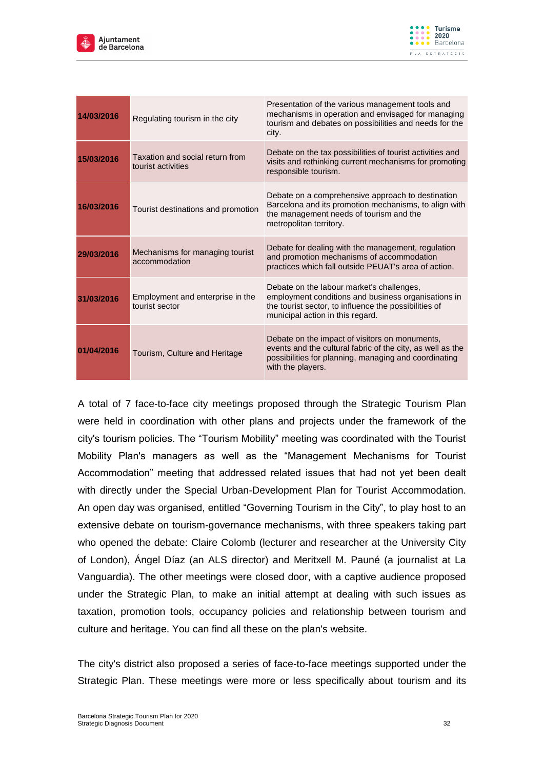



| 14/03/2016 | Regulating tourism in the city                        | Presentation of the various management tools and<br>mechanisms in operation and envisaged for managing<br>tourism and debates on possibilities and needs for the<br>city.                     |
|------------|-------------------------------------------------------|-----------------------------------------------------------------------------------------------------------------------------------------------------------------------------------------------|
| 15/03/2016 | Taxation and social return from<br>tourist activities | Debate on the tax possibilities of tourist activities and<br>visits and rethinking current mechanisms for promoting<br>responsible tourism.                                                   |
| 16/03/2016 | Tourist destinations and promotion                    | Debate on a comprehensive approach to destination<br>Barcelona and its promotion mechanisms, to align with<br>the management needs of tourism and the<br>metropolitan territory.              |
| 29/03/2016 | Mechanisms for managing tourist<br>accommodation      | Debate for dealing with the management, regulation<br>and promotion mechanisms of accommodation<br>practices which fall outside PEUAT's area of action.                                       |
| 31/03/2016 | Employment and enterprise in the<br>tourist sector    | Debate on the labour market's challenges,<br>employment conditions and business organisations in<br>the tourist sector, to influence the possibilities of<br>municipal action in this regard. |
| 01/04/2016 | Tourism, Culture and Heritage                         | Debate on the impact of visitors on monuments,<br>events and the cultural fabric of the city, as well as the<br>possibilities for planning, managing and coordinating<br>with the players.    |

A total of 7 face-to-face city meetings proposed through the Strategic Tourism Plan were held in coordination with other plans and projects under the framework of the city's tourism policies. The "Tourism Mobility" meeting was coordinated with the Tourist Mobility Plan's managers as well as the "Management Mechanisms for Tourist Accommodation" meeting that addressed related issues that had not yet been dealt with directly under the Special Urban-Development Plan for Tourist Accommodation. An open day was organised, entitled "Governing Tourism in the City", to play host to an extensive debate on tourism-governance mechanisms, with three speakers taking part who opened the debate: Claire Colomb (lecturer and researcher at the University City of London), Ángel Díaz (an ALS director) and Meritxell M. Pauné (a journalist at La Vanguardia). The other meetings were closed door, with a captive audience proposed under the Strategic Plan, to make an initial attempt at dealing with such issues as taxation, promotion tools, occupancy policies and relationship between tourism and culture and heritage. You can find all these on the plan's website.

The city's district also proposed a series of face-to-face meetings supported under the Strategic Plan. These meetings were more or less specifically about tourism and its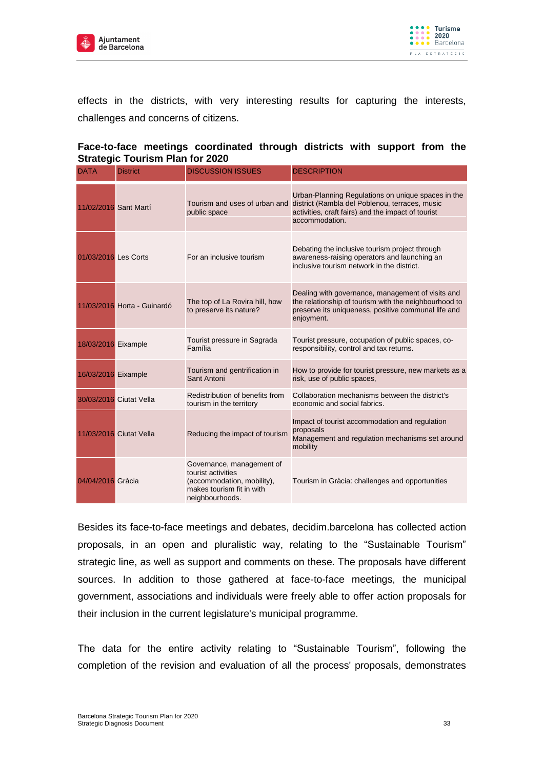



effects in the districts, with very interesting results for capturing the interests, challenges and concerns of citizens.

| Strategic Tourism Plan for 2020 |                             |                                                                                                                               |                                                                                                                                                                                 |  |  |
|---------------------------------|-----------------------------|-------------------------------------------------------------------------------------------------------------------------------|---------------------------------------------------------------------------------------------------------------------------------------------------------------------------------|--|--|
| <b>DATA</b>                     | <b>District</b>             | <b>DISCUSSION ISSUES</b>                                                                                                      | <b>DESCRIPTION</b>                                                                                                                                                              |  |  |
| 11/02/2016 Sant Martí           |                             | Tourism and uses of urban and<br>public space                                                                                 | Urban-Planning Regulations on unique spaces in the<br>district (Rambla del Poblenou, terraces, music<br>activities, craft fairs) and the impact of tourist<br>accommodation.    |  |  |
| 01/03/2016 Les Corts            |                             | For an inclusive tourism                                                                                                      | Debating the inclusive tourism project through<br>awareness-raising operators and launching an<br>inclusive tourism network in the district.                                    |  |  |
|                                 | 11/03/2016 Horta - Guinardó | The top of La Rovira hill, how<br>to preserve its nature?                                                                     | Dealing with governance, management of visits and<br>the relationship of tourism with the neighbourhood to<br>preserve its uniqueness, positive communal life and<br>enjoyment. |  |  |
| 18/03/2016 Eixample             |                             | Tourist pressure in Sagrada<br>Família                                                                                        | Tourist pressure, occupation of public spaces, co-<br>responsibility, control and tax returns.                                                                                  |  |  |
| 16/03/2016 Eixample             |                             | Tourism and gentrification in<br>Sant Antoni                                                                                  | How to provide for tourist pressure, new markets as a<br>risk, use of public spaces,                                                                                            |  |  |
|                                 | 30/03/2016 Ciutat Vella     | Redistribution of benefits from<br>tourism in the territory                                                                   | Collaboration mechanisms between the district's<br>economic and social fabrics.                                                                                                 |  |  |
|                                 | 11/03/2016 Ciutat Vella     | Reducing the impact of tourism                                                                                                | Impact of tourist accommodation and regulation<br>proposals<br>Management and regulation mechanisms set around<br>mobility                                                      |  |  |
| 04/04/2016 Gràcia               |                             | Governance, management of<br>tourist activities<br>(accommodation, mobility),<br>makes tourism fit in with<br>neighbourhoods. | Tourism in Gràcia: challenges and opportunities                                                                                                                                 |  |  |

### **Face-to-face meetings coordinated through districts with support from the Strategic Tourism Plan for 2020**

Besides its face-to-face meetings and debates, decidim.barcelona has collected action proposals, in an open and pluralistic way, relating to the "Sustainable Tourism" strategic line, as well as support and comments on these. The proposals have different sources. In addition to those gathered at face-to-face meetings, the municipal government, associations and individuals were freely able to offer action proposals for their inclusion in the current legislature's municipal programme.

The data for the entire activity relating to "Sustainable Tourism", following the completion of the revision and evaluation of all the process' proposals, demonstrates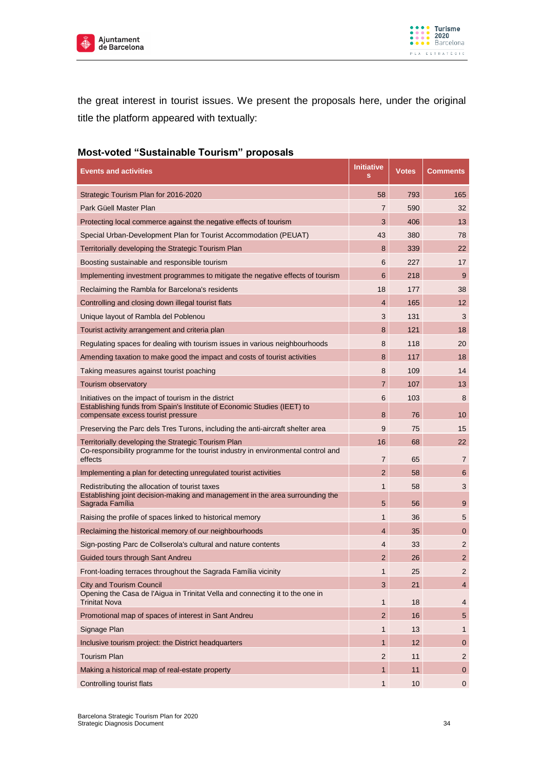



the great interest in tourist issues. We present the proposals here, under the original title the platform appeared with textually:

# **Most-voted "Sustainable Tourism" proposals**

| <b>Events and activities</b>                                                                                                             | <b>Initiative</b><br>s     | <b>Votes</b> | <b>Comments</b>                  |
|------------------------------------------------------------------------------------------------------------------------------------------|----------------------------|--------------|----------------------------------|
| Strategic Tourism Plan for 2016-2020                                                                                                     | 58                         | 793          | 165                              |
| Park Güell Master Plan                                                                                                                   | 7                          | 590          | 32                               |
| Protecting local commerce against the negative effects of tourism                                                                        | 3                          | 406          | 13                               |
| Special Urban-Development Plan for Tourist Accommodation (PEUAT)                                                                         | 43                         | 380          | 78                               |
| Territorially developing the Strategic Tourism Plan                                                                                      | 8                          | 339          | 22                               |
| Boosting sustainable and responsible tourism                                                                                             | 6                          | 227          | 17                               |
| Implementing investment programmes to mitigate the negative effects of tourism                                                           | 6                          | 218          | 9                                |
| Reclaiming the Rambla for Barcelona's residents                                                                                          | 18                         | 177          | 38                               |
| Controlling and closing down illegal tourist flats                                                                                       | $\overline{4}$             | 165          | 12                               |
| Unique layout of Rambla del Poblenou                                                                                                     | 3                          | 131          | 3                                |
| Tourist activity arrangement and criteria plan                                                                                           | 8                          | 121          | 18                               |
| Regulating spaces for dealing with tourism issues in various neighbourhoods                                                              | 8                          | 118          | 20                               |
| Amending taxation to make good the impact and costs of tourist activities                                                                | 8                          | 117          | 18                               |
| Taking measures against tourist poaching                                                                                                 | 8                          | 109          | 14                               |
| Tourism observatory                                                                                                                      | $\overline{7}$             | 107          | 13                               |
| Initiatives on the impact of tourism in the district                                                                                     | 6                          | 103          | 8                                |
| Establishing funds from Spain's Institute of Economic Studies (IEET) to<br>compensate excess tourist pressure                            | 8                          | 76           | 10                               |
| Preserving the Parc dels Tres Turons, including the anti-aircraft shelter area                                                           | 9                          | 75           | 15                               |
| Territorially developing the Strategic Tourism Plan                                                                                      | 16                         | 68           | 22                               |
| Co-responsibility programme for the tourist industry in environmental control and<br>effects                                             | 7                          | 65           | $\overline{7}$                   |
| Implementing a plan for detecting unregulated tourist activities                                                                         | $\overline{2}$             | 58           | 6                                |
| Redistributing the allocation of tourist taxes<br>Establishing joint decision-making and management in the area surrounding the          | $\mathbf{1}$               | 58           | 3                                |
| Sagrada Família                                                                                                                          | 5                          | 56           | 9                                |
| Raising the profile of spaces linked to historical memory                                                                                | 1                          | 36           | 5                                |
| Reclaiming the historical memory of our neighbourhoods                                                                                   | 4                          | 35           | $\mathbf 0$                      |
| Sign-posting Parc de Collserola's cultural and nature contents                                                                           | 4                          | 33           | 2                                |
| Guided tours through Sant Andreu                                                                                                         | $\overline{2}$             | 26           | 2                                |
| Front-loading terraces throughout the Sagrada Família vicinity                                                                           | 1                          | 25           | 2                                |
| <b>City and Tourism Council</b><br>Opening the Casa de l'Aigua in Trinitat Vella and connecting it to the one in<br><b>Trinitat Nova</b> | $\sqrt{3}$<br>$\mathbf{1}$ | 21<br>18     | $\overline{4}$<br>$\overline{4}$ |
| Promotional map of spaces of interest in Sant Andreu                                                                                     | $\overline{2}$             | 16           | $5\phantom{.0}$                  |
| Signage Plan                                                                                                                             | $\mathbf{1}$               | 13           | 1                                |
| Inclusive tourism project: the District headquarters                                                                                     | $\mathbf{1}$               | 12           | $\mathbf 0$                      |
| <b>Tourism Plan</b>                                                                                                                      | $\overline{2}$             | 11           | $\overline{2}$                   |
| Making a historical map of real-estate property                                                                                          | $\mathbf{1}$               | 11           | $\mathbf{0}$                     |
| Controlling tourist flats                                                                                                                | $\mathbf{1}$               | 10           | $\mathsf 0$                      |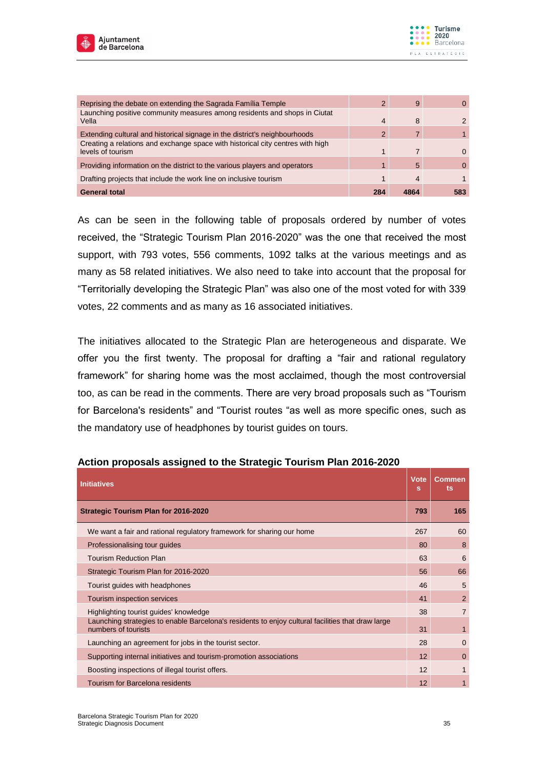



| Reprising the debate on extending the Sagrada Familia Temple                                        | 2              | 9 |     |
|-----------------------------------------------------------------------------------------------------|----------------|---|-----|
| Launching positive community measures among residents and shops in Ciutat<br>Vella                  | $\overline{4}$ | 8 |     |
| Extending cultural and historical signage in the district's neighbourhoods                          | $\mathcal{P}$  |   |     |
| Creating a relations and exchange space with historical city centres with high<br>levels of tourism |                |   |     |
| Providing information on the district to the various players and operators                          |                | 5 |     |
| Drafting projects that include the work line on inclusive tourism                                   |                | 4 |     |
| <b>General total</b>                                                                                | 284            |   | 583 |

As can be seen in the following table of proposals ordered by number of votes received, the "Strategic Tourism Plan 2016-2020" was the one that received the most support, with 793 votes, 556 comments, 1092 talks at the various meetings and as many as 58 related initiatives. We also need to take into account that the proposal for "Territorially developing the Strategic Plan" was also one of the most voted for with 339 votes, 22 comments and as many as 16 associated initiatives.

The initiatives allocated to the Strategic Plan are heterogeneous and disparate. We offer you the first twenty. The proposal for drafting a "fair and rational regulatory framework" for sharing home was the most acclaimed, though the most controversial too, as can be read in the comments. There are very broad proposals such as "Tourism for Barcelona's residents" and "Tourist routes "as well as more specific ones, such as the mandatory use of headphones by tourist guides on tours.

| <b>Initiatives</b>                                                                                                       | <b>Vote</b><br>s | <b>Commen</b><br>ts |
|--------------------------------------------------------------------------------------------------------------------------|------------------|---------------------|
| <b>Strategic Tourism Plan for 2016-2020</b>                                                                              | 793              | 165                 |
| We want a fair and rational regulatory framework for sharing our home                                                    | 267              | 60                  |
| Professionalising tour quides                                                                                            | 80               | 8                   |
| <b>Tourism Reduction Plan</b>                                                                                            | 63               | 6                   |
| Strategic Tourism Plan for 2016-2020                                                                                     | 56               | 66                  |
| Tourist guides with headphones                                                                                           | 46               | 5                   |
| Tourism inspection services                                                                                              | 41               | $\overline{2}$      |
| Highlighting tourist guides' knowledge                                                                                   | 38               | $\overline{7}$      |
| Launching strategies to enable Barcelona's residents to enjoy cultural facilities that draw large<br>numbers of tourists | 31               | 1                   |
| Launching an agreement for jobs in the tourist sector.                                                                   | 28               | $\Omega$            |
| Supporting internal initiatives and tourism-promotion associations                                                       | 12               | $\mathbf 0$         |
| Boosting inspections of illegal tourist offers.                                                                          | 12               | 1                   |
| Tourism for Barcelona residents                                                                                          | 12               |                     |

#### **Action proposals assigned to the Strategic Tourism Plan 2016-2020**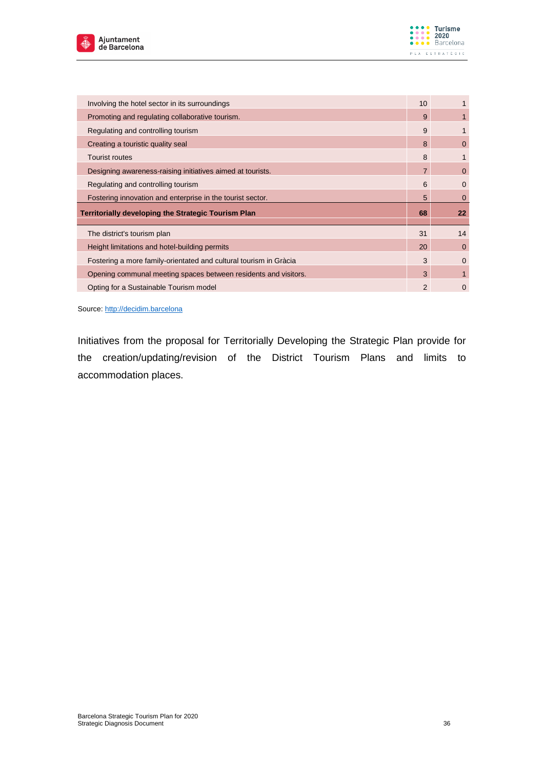



| Involving the hotel sector in its surroundings                    | 10             |                   |
|-------------------------------------------------------------------|----------------|-------------------|
| Promoting and regulating collaborative tourism.                   | 9              |                   |
| Regulating and controlling tourism                                | 9              |                   |
| Creating a touristic quality seal                                 | 8              | 0                 |
| <b>Tourist routes</b>                                             | 8              |                   |
| Designing awareness-raising initiatives aimed at tourists.        | $\overline{7}$ | $\mathbf 0$       |
| Regulating and controlling tourism                                | 6              | $\mathbf 0$       |
| Fostering innovation and enterprise in the tourist sector.        | 5              | 0                 |
| <b>Territorially developing the Strategic Tourism Plan</b>        | 68             | $22 \overline{ }$ |
| The district's tourism plan                                       | 31             | 14                |
|                                                                   |                |                   |
| Height limitations and hotel-building permits                     | 20             | $\mathbf{0}$      |
| Fostering a more family-orientated and cultural tourism in Gràcia | 3              | $\Omega$          |
| Opening communal meeting spaces between residents and visitors.   | 3              | 1                 |

Source: [http://decidim.barcelona](http://decidim.barcelona/)

Initiatives from the proposal for Territorially Developing the Strategic Plan provide for the creation/updating/revision of the District Tourism Plans and limits to accommodation places.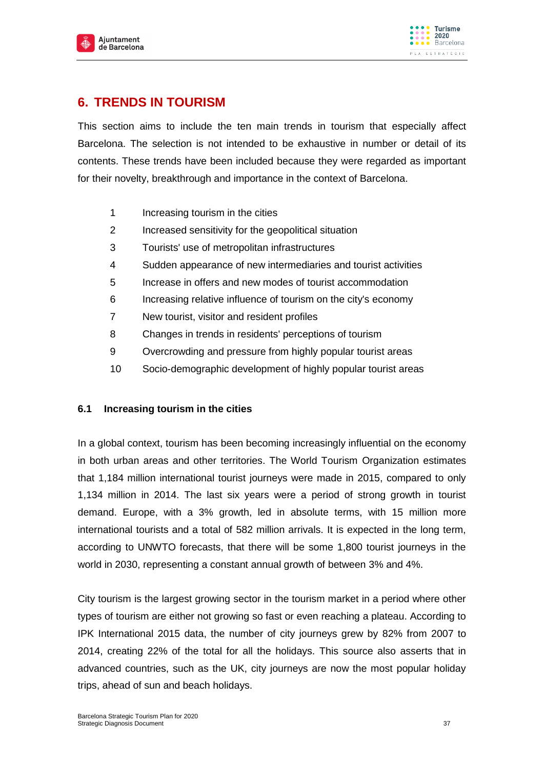

# **6. TRENDS IN TOURISM**

This section aims to include the ten main trends in tourism that especially affect Barcelona. The selection is not intended to be exhaustive in number or detail of its contents. These trends have been included because they were regarded as important for their novelty, breakthrough and importance in the context of Barcelona.

- 1 Increasing tourism in the cities
- 2 Increased sensitivity for the geopolitical situation
- 3 Tourists' use of metropolitan infrastructures
- 4 Sudden appearance of new intermediaries and tourist activities
- 5 Increase in offers and new modes of tourist accommodation
- 6 Increasing relative influence of tourism on the city's economy
- 7 New tourist, visitor and resident profiles
- 8 Changes in trends in residents' perceptions of tourism
- 9 Overcrowding and pressure from highly popular tourist areas
- 10 Socio-demographic development of highly popular tourist areas

## **6.1 Increasing tourism in the cities**

In a global context, tourism has been becoming increasingly influential on the economy in both urban areas and other territories. The World Tourism Organization estimates that 1,184 million international tourist journeys were made in 2015, compared to only 1,134 million in 2014. The last six years were a period of strong growth in tourist demand. Europe, with a 3% growth, led in absolute terms, with 15 million more international tourists and a total of 582 million arrivals. It is expected in the long term, according to UNWTO forecasts, that there will be some 1,800 tourist journeys in the world in 2030, representing a constant annual growth of between 3% and 4%.

City tourism is the largest growing sector in the tourism market in a period where other types of tourism are either not growing so fast or even reaching a plateau. According to IPK International 2015 data, the number of city journeys grew by 82% from 2007 to 2014, creating 22% of the total for all the holidays. This source also asserts that in advanced countries, such as the UK, city journeys are now the most popular holiday trips, ahead of sun and beach holidays.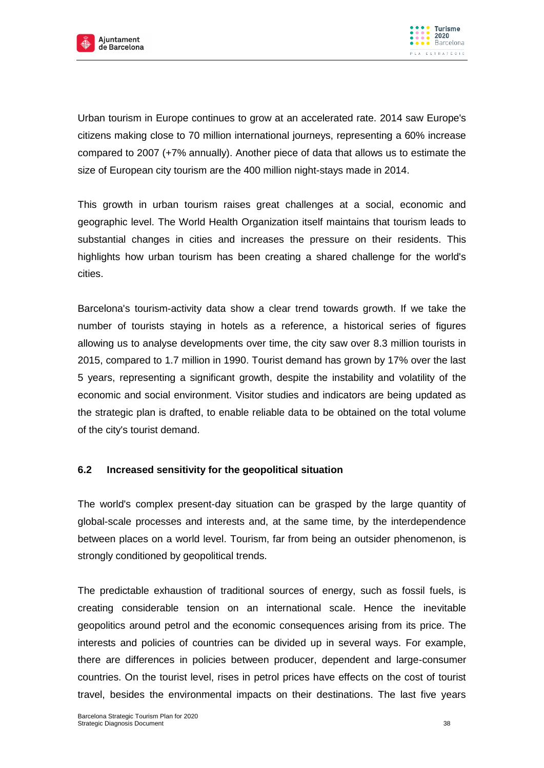



Urban tourism in Europe continues to grow at an accelerated rate. 2014 saw Europe's citizens making close to 70 million international journeys, representing a 60% increase compared to 2007 (+7% annually). Another piece of data that allows us to estimate the size of European city tourism are the 400 million night-stays made in 2014.

This growth in urban tourism raises great challenges at a social, economic and geographic level. The World Health Organization itself maintains that tourism leads to substantial changes in cities and increases the pressure on their residents. This highlights how urban tourism has been creating a shared challenge for the world's cities.

Barcelona's tourism-activity data show a clear trend towards growth. If we take the number of tourists staying in hotels as a reference, a historical series of figures allowing us to analyse developments over time, the city saw over 8.3 million tourists in 2015, compared to 1.7 million in 1990. Tourist demand has grown by 17% over the last 5 years, representing a significant growth, despite the instability and volatility of the economic and social environment. Visitor studies and indicators are being updated as the strategic plan is drafted, to enable reliable data to be obtained on the total volume of the city's tourist demand.

## **6.2 Increased sensitivity for the geopolitical situation**

The world's complex present-day situation can be grasped by the large quantity of global-scale processes and interests and, at the same time, by the interdependence between places on a world level. Tourism, far from being an outsider phenomenon, is strongly conditioned by geopolitical trends.

The predictable exhaustion of traditional sources of energy, such as fossil fuels, is creating considerable tension on an international scale. Hence the inevitable geopolitics around petrol and the economic consequences arising from its price. The interests and policies of countries can be divided up in several ways. For example, there are differences in policies between producer, dependent and large-consumer countries. On the tourist level, rises in petrol prices have effects on the cost of tourist travel, besides the environmental impacts on their destinations. The last five years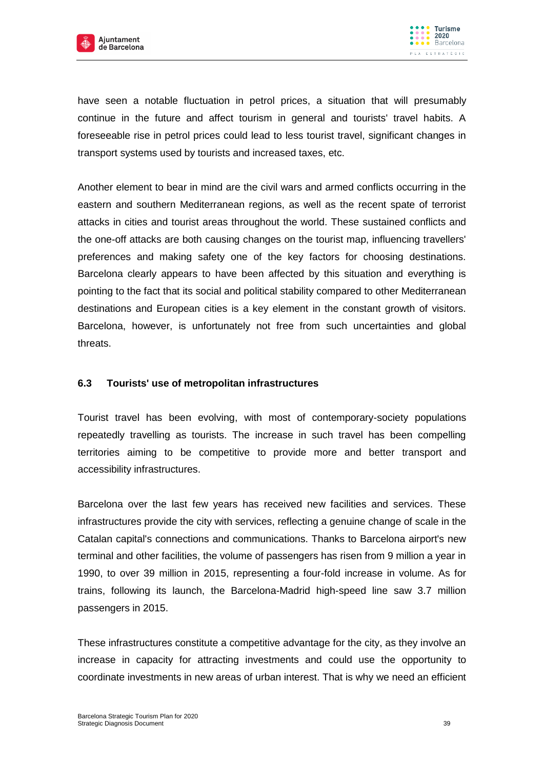

have seen a notable fluctuation in petrol prices, a situation that will presumably continue in the future and affect tourism in general and tourists' travel habits. A foreseeable rise in petrol prices could lead to less tourist travel, significant changes in transport systems used by tourists and increased taxes, etc.

Another element to bear in mind are the civil wars and armed conflicts occurring in the eastern and southern Mediterranean regions, as well as the recent spate of terrorist attacks in cities and tourist areas throughout the world. These sustained conflicts and the one-off attacks are both causing changes on the tourist map, influencing travellers' preferences and making safety one of the key factors for choosing destinations. Barcelona clearly appears to have been affected by this situation and everything is pointing to the fact that its social and political stability compared to other Mediterranean destinations and European cities is a key element in the constant growth of visitors. Barcelona, however, is unfortunately not free from such uncertainties and global threats.

## **6.3 Tourists' use of metropolitan infrastructures**

Tourist travel has been evolving, with most of contemporary-society populations repeatedly travelling as tourists. The increase in such travel has been compelling territories aiming to be competitive to provide more and better transport and accessibility infrastructures.

Barcelona over the last few years has received new facilities and services. These infrastructures provide the city with services, reflecting a genuine change of scale in the Catalan capital's connections and communications. Thanks to Barcelona airport's new terminal and other facilities, the volume of passengers has risen from 9 million a year in 1990, to over 39 million in 2015, representing a four-fold increase in volume. As for trains, following its launch, the Barcelona-Madrid high-speed line saw 3.7 million passengers in 2015.

These infrastructures constitute a competitive advantage for the city, as they involve an increase in capacity for attracting investments and could use the opportunity to coordinate investments in new areas of urban interest. That is why we need an efficient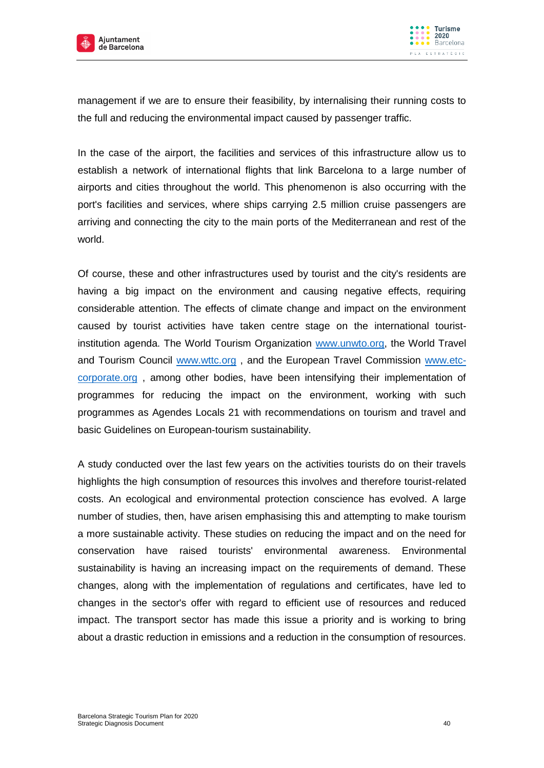



management if we are to ensure their feasibility, by internalising their running costs to the full and reducing the environmental impact caused by passenger traffic.

In the case of the airport, the facilities and services of this infrastructure allow us to establish a network of international flights that link Barcelona to a large number of airports and cities throughout the world. This phenomenon is also occurring with the port's facilities and services, where ships carrying 2.5 million cruise passengers are arriving and connecting the city to the main ports of the Mediterranean and rest of the world.

Of course, these and other infrastructures used by tourist and the city's residents are having a big impact on the environment and causing negative effects, requiring considerable attention. The effects of climate change and impact on the environment caused by tourist activities have taken centre stage on the international touristinstitution agenda. The World Tourism Organization [www.unwto.org,](http://www.unwto.org/) the World Travel and Tourism Council [www.wttc.org](http://www.wttc.org/), and the European Travel Commission [www.etc](http://www.etc-corporate.org/)[corporate.org](http://www.etc-corporate.org/) , among other bodies, have been intensifying their implementation of programmes for reducing the impact on the environment, working with such programmes as Agendes Locals 21 with recommendations on tourism and travel and basic Guidelines on European-tourism sustainability.

A study conducted over the last few years on the activities tourists do on their travels highlights the high consumption of resources this involves and therefore tourist-related costs. An ecological and environmental protection conscience has evolved. A large number of studies, then, have arisen emphasising this and attempting to make tourism a more sustainable activity. These studies on reducing the impact and on the need for conservation have raised tourists' environmental awareness. Environmental sustainability is having an increasing impact on the requirements of demand. These changes, along with the implementation of regulations and certificates, have led to changes in the sector's offer with regard to efficient use of resources and reduced impact. The transport sector has made this issue a priority and is working to bring about a drastic reduction in emissions and a reduction in the consumption of resources.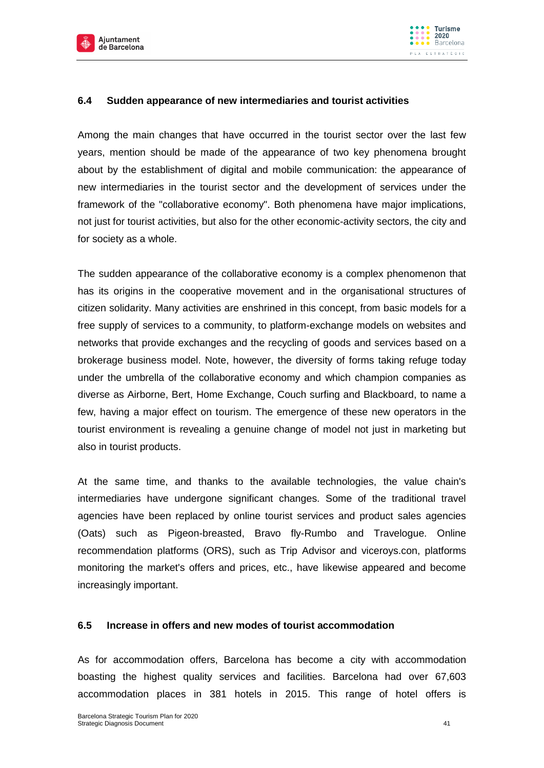



## **6.4 Sudden appearance of new intermediaries and tourist activities**

Among the main changes that have occurred in the tourist sector over the last few years, mention should be made of the appearance of two key phenomena brought about by the establishment of digital and mobile communication: the appearance of new intermediaries in the tourist sector and the development of services under the framework of the "collaborative economy". Both phenomena have major implications, not just for tourist activities, but also for the other economic-activity sectors, the city and for society as a whole.

The sudden appearance of the collaborative economy is a complex phenomenon that has its origins in the cooperative movement and in the organisational structures of citizen solidarity. Many activities are enshrined in this concept, from basic models for a free supply of services to a community, to platform-exchange models on websites and networks that provide exchanges and the recycling of goods and services based on a brokerage business model. Note, however, the diversity of forms taking refuge today under the umbrella of the collaborative economy and which champion companies as diverse as Airborne, Bert, Home Exchange, Couch surfing and Blackboard, to name a few, having a major effect on tourism. The emergence of these new operators in the tourist environment is revealing a genuine change of model not just in marketing but also in tourist products.

At the same time, and thanks to the available technologies, the value chain's intermediaries have undergone significant changes. Some of the traditional travel agencies have been replaced by online tourist services and product sales agencies (Oats) such as Pigeon-breasted, Bravo fly-Rumbo and Travelogue. Online recommendation platforms (ORS), such as Trip Advisor and viceroys.con, platforms monitoring the market's offers and prices, etc., have likewise appeared and become increasingly important.

#### **6.5 Increase in offers and new modes of tourist accommodation**

As for accommodation offers, Barcelona has become a city with accommodation boasting the highest quality services and facilities. Barcelona had over 67,603 accommodation places in 381 hotels in 2015. This range of hotel offers is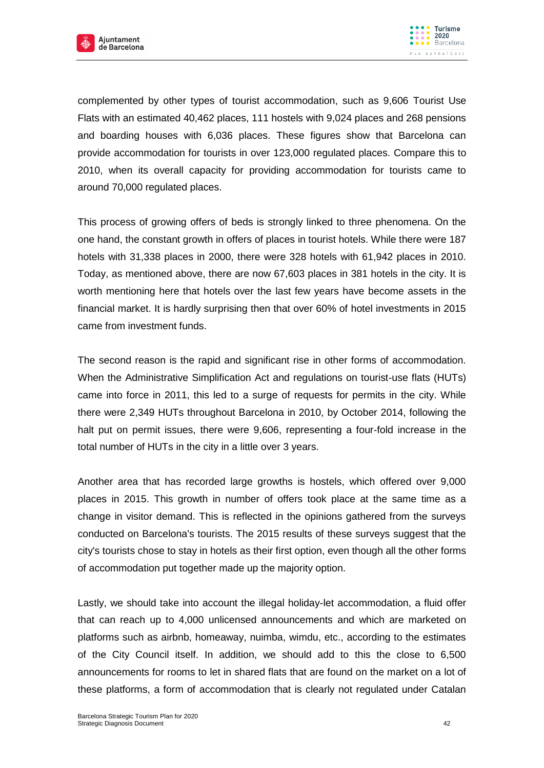



complemented by other types of tourist accommodation, such as 9,606 Tourist Use Flats with an estimated 40,462 places, 111 hostels with 9,024 places and 268 pensions and boarding houses with 6,036 places. These figures show that Barcelona can provide accommodation for tourists in over 123,000 regulated places. Compare this to 2010, when its overall capacity for providing accommodation for tourists came to around 70,000 regulated places.

This process of growing offers of beds is strongly linked to three phenomena. On the one hand, the constant growth in offers of places in tourist hotels. While there were 187 hotels with 31,338 places in 2000, there were 328 hotels with 61,942 places in 2010. Today, as mentioned above, there are now 67,603 places in 381 hotels in the city. It is worth mentioning here that hotels over the last few years have become assets in the financial market. It is hardly surprising then that over 60% of hotel investments in 2015 came from investment funds.

The second reason is the rapid and significant rise in other forms of accommodation. When the Administrative Simplification Act and regulations on tourist-use flats (HUTs) came into force in 2011, this led to a surge of requests for permits in the city. While there were 2,349 HUTs throughout Barcelona in 2010, by October 2014, following the halt put on permit issues, there were 9,606, representing a four-fold increase in the total number of HUTs in the city in a little over 3 years.

Another area that has recorded large growths is hostels, which offered over 9,000 places in 2015. This growth in number of offers took place at the same time as a change in visitor demand. This is reflected in the opinions gathered from the surveys conducted on Barcelona's tourists. The 2015 results of these surveys suggest that the city's tourists chose to stay in hotels as their first option, even though all the other forms of accommodation put together made up the majority option.

Lastly, we should take into account the illegal holiday-let accommodation, a fluid offer that can reach up to 4,000 unlicensed announcements and which are marketed on platforms such as airbnb, homeaway, nuimba, wimdu, etc., according to the estimates of the City Council itself. In addition, we should add to this the close to 6,500 announcements for rooms to let in shared flats that are found on the market on a lot of these platforms, a form of accommodation that is clearly not regulated under Catalan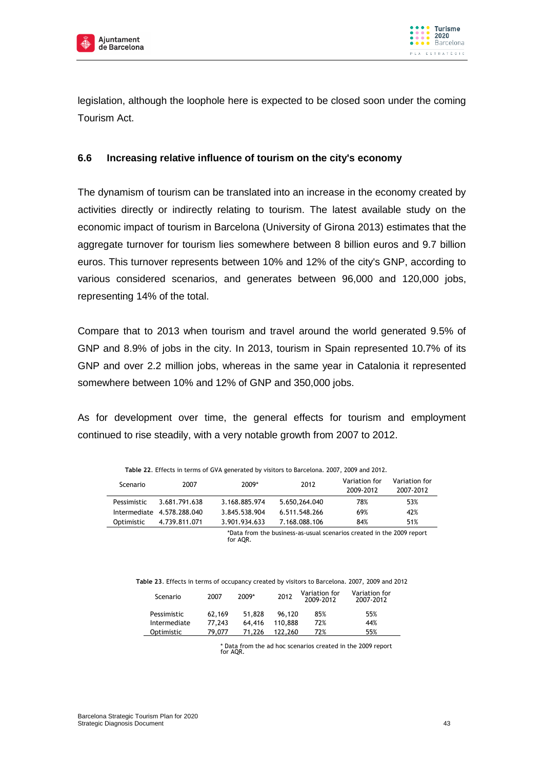



legislation, although the loophole here is expected to be closed soon under the coming Tourism Act.

## **6.6 Increasing relative influence of tourism on the city's economy**

The dynamism of tourism can be translated into an increase in the economy created by activities directly or indirectly relating to tourism. The latest available study on the economic impact of tourism in Barcelona (University of Girona 2013) estimates that the aggregate turnover for tourism lies somewhere between 8 billion euros and 9.7 billion euros. This turnover represents between 10% and 12% of the city's GNP, according to various considered scenarios, and generates between 96,000 and 120,000 jobs, representing 14% of the total.

Compare that to 2013 when tourism and travel around the world generated 9.5% of GNP and 8.9% of jobs in the city. In 2013, tourism in Spain represented 10.7% of its GNP and over 2.2 million jobs, whereas in the same year in Catalonia it represented somewhere between 10% and 12% of GNP and 350,000 jobs.

As for development over time, the general effects for tourism and employment continued to rise steadily, with a very notable growth from 2007 to 2012.

| Table 22. Effects in terms of GVA generated by Visitors to Barcetona. 2007, 2009 and 2012. |                            |               |               |                            |                            |  |  |  |
|--------------------------------------------------------------------------------------------|----------------------------|---------------|---------------|----------------------------|----------------------------|--|--|--|
| Scenario                                                                                   | 2007                       | 2009*         | 2012          | Variation for<br>2009-2012 | Variation for<br>2007-2012 |  |  |  |
| Pessimistic                                                                                | 3.681.791.638              | 3.168.885.974 | 5.650.264.040 | 78%                        | 53%                        |  |  |  |
|                                                                                            | Intermediate 4.578.288.040 | 3.845.538.904 | 6.511.548.266 | 69%                        | 42%                        |  |  |  |
| Optimistic                                                                                 | 4.739.811.071              | 3.901.934.633 | 7.168.088.106 | 84%                        | 51%                        |  |  |  |
|                                                                                            |                            |               |               |                            |                            |  |  |  |

**Table 22**. Effects in terms of GVA generated by visitors to Barcelona. 2007, 2009 and 2012.

\*Data from the business-as-usual scenarios created in the 2009 report for AQR.

| Scenario     | 2007   | 2009*  | 2012    | Variation for<br>2009-2012 | Variation for<br>2007-2012 |
|--------------|--------|--------|---------|----------------------------|----------------------------|
| Pessimistic  | 62.169 | 51.828 | 96.120  | 85%                        | 55%                        |
| Intermediate | 77.243 | 64.416 | 110.888 | 72%                        | 44%                        |
| Optimistic   | 79.077 | 71.226 | 122.260 | 72%                        | 55%                        |

\* Data from the ad hoc scenarios created in the 2009 report for AQR.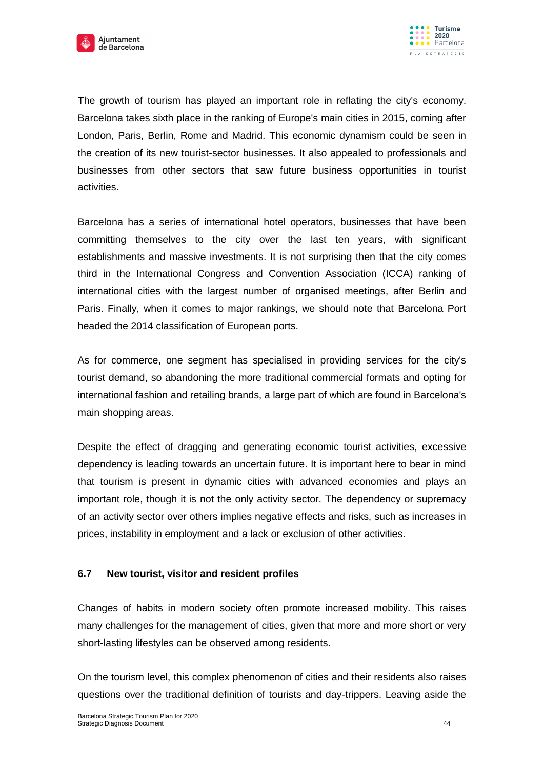



The growth of tourism has played an important role in reflating the city's economy. Barcelona takes sixth place in the ranking of Europe's main cities in 2015, coming after London, Paris, Berlin, Rome and Madrid. This economic dynamism could be seen in the creation of its new tourist-sector businesses. It also appealed to professionals and businesses from other sectors that saw future business opportunities in tourist activities.

Barcelona has a series of international hotel operators, businesses that have been committing themselves to the city over the last ten years, with significant establishments and massive investments. It is not surprising then that the city comes third in the International Congress and Convention Association (ICCA) ranking of international cities with the largest number of organised meetings, after Berlin and Paris. Finally, when it comes to major rankings, we should note that Barcelona Port headed the 2014 classification of European ports.

As for commerce, one segment has specialised in providing services for the city's tourist demand, so abandoning the more traditional commercial formats and opting for international fashion and retailing brands, a large part of which are found in Barcelona's main shopping areas.

Despite the effect of dragging and generating economic tourist activities, excessive dependency is leading towards an uncertain future. It is important here to bear in mind that tourism is present in dynamic cities with advanced economies and plays an important role, though it is not the only activity sector. The dependency or supremacy of an activity sector over others implies negative effects and risks, such as increases in prices, instability in employment and a lack or exclusion of other activities.

## **6.7 New tourist, visitor and resident profiles**

Changes of habits in modern society often promote increased mobility. This raises many challenges for the management of cities, given that more and more short or very short-lasting lifestyles can be observed among residents.

On the tourism level, this complex phenomenon of cities and their residents also raises questions over the traditional definition of tourists and day-trippers. Leaving aside the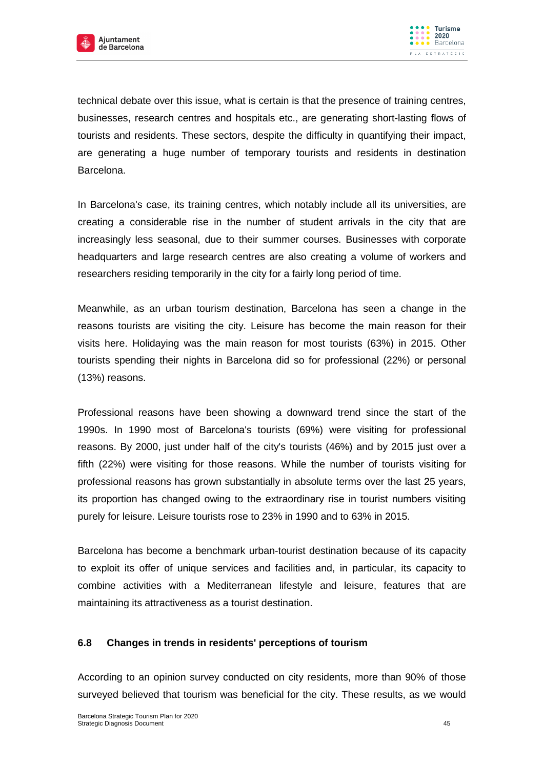

technical debate over this issue, what is certain is that the presence of training centres, businesses, research centres and hospitals etc., are generating short-lasting flows of tourists and residents. These sectors, despite the difficulty in quantifying their impact, are generating a huge number of temporary tourists and residents in destination Barcelona.

In Barcelona's case, its training centres, which notably include all its universities, are creating a considerable rise in the number of student arrivals in the city that are increasingly less seasonal, due to their summer courses. Businesses with corporate headquarters and large research centres are also creating a volume of workers and researchers residing temporarily in the city for a fairly long period of time.

Meanwhile, as an urban tourism destination, Barcelona has seen a change in the reasons tourists are visiting the city. Leisure has become the main reason for their visits here. Holidaying was the main reason for most tourists (63%) in 2015. Other tourists spending their nights in Barcelona did so for professional (22%) or personal (13%) reasons.

Professional reasons have been showing a downward trend since the start of the 1990s. In 1990 most of Barcelona's tourists (69%) were visiting for professional reasons. By 2000, just under half of the city's tourists (46%) and by 2015 just over a fifth (22%) were visiting for those reasons. While the number of tourists visiting for professional reasons has grown substantially in absolute terms over the last 25 years, its proportion has changed owing to the extraordinary rise in tourist numbers visiting purely for leisure. Leisure tourists rose to 23% in 1990 and to 63% in 2015.

Barcelona has become a benchmark urban-tourist destination because of its capacity to exploit its offer of unique services and facilities and, in particular, its capacity to combine activities with a Mediterranean lifestyle and leisure, features that are maintaining its attractiveness as a tourist destination.

## **6.8 Changes in trends in residents' perceptions of tourism**

According to an opinion survey conducted on city residents, more than 90% of those surveyed believed that tourism was beneficial for the city. These results, as we would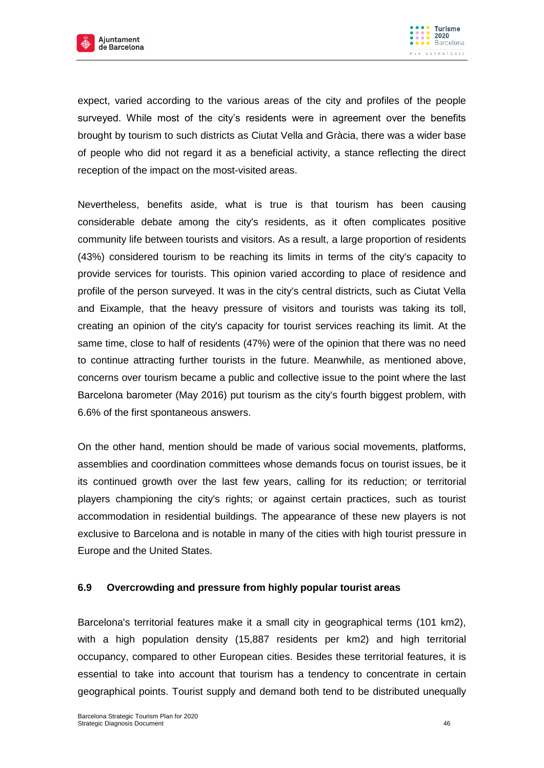

expect, varied according to the various areas of the city and profiles of the people surveyed. While most of the city's residents were in agreement over the benefits brought by tourism to such districts as Ciutat Vella and Gràcia, there was a wider base of people who did not regard it as a beneficial activity, a stance reflecting the direct reception of the impact on the most-visited areas.

Nevertheless, benefits aside, what is true is that tourism has been causing considerable debate among the city's residents, as it often complicates positive community life between tourists and visitors. As a result, a large proportion of residents (43%) considered tourism to be reaching its limits in terms of the city's capacity to provide services for tourists. This opinion varied according to place of residence and profile of the person surveyed. It was in the city's central districts, such as Ciutat Vella and Eixample, that the heavy pressure of visitors and tourists was taking its toll, creating an opinion of the city's capacity for tourist services reaching its limit. At the same time, close to half of residents (47%) were of the opinion that there was no need to continue attracting further tourists in the future. Meanwhile, as mentioned above, concerns over tourism became a public and collective issue to the point where the last Barcelona barometer (May 2016) put tourism as the city's fourth biggest problem, with 6.6% of the first spontaneous answers.

On the other hand, mention should be made of various social movements, platforms, assemblies and coordination committees whose demands focus on tourist issues, be it its continued growth over the last few years, calling for its reduction; or territorial players championing the city's rights; or against certain practices, such as tourist accommodation in residential buildings. The appearance of these new players is not exclusive to Barcelona and is notable in many of the cities with high tourist pressure in Europe and the United States.

## **6.9 Overcrowding and pressure from highly popular tourist areas**

Barcelona's territorial features make it a small city in geographical terms (101 km2), with a high population density (15,887 residents per km2) and high territorial occupancy, compared to other European cities. Besides these territorial features, it is essential to take into account that tourism has a tendency to concentrate in certain geographical points. Tourist supply and demand both tend to be distributed unequally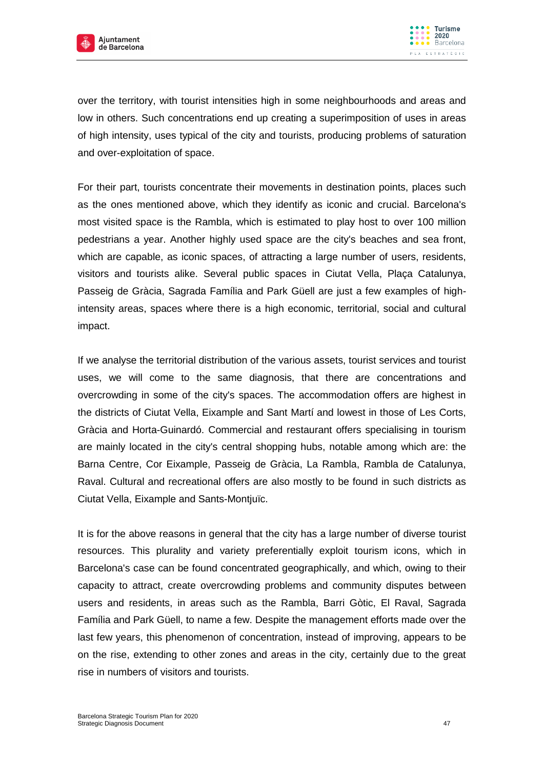



over the territory, with tourist intensities high in some neighbourhoods and areas and low in others. Such concentrations end up creating a superimposition of uses in areas of high intensity, uses typical of the city and tourists, producing problems of saturation and over-exploitation of space.

For their part, tourists concentrate their movements in destination points, places such as the ones mentioned above, which they identify as iconic and crucial. Barcelona's most visited space is the Rambla, which is estimated to play host to over 100 million pedestrians a year. Another highly used space are the city's beaches and sea front, which are capable, as iconic spaces, of attracting a large number of users, residents, visitors and tourists alike. Several public spaces in Ciutat Vella, Plaça Catalunya, Passeig de Gràcia, Sagrada Família and Park Güell are just a few examples of highintensity areas, spaces where there is a high economic, territorial, social and cultural impact.

If we analyse the territorial distribution of the various assets, tourist services and tourist uses, we will come to the same diagnosis, that there are concentrations and overcrowding in some of the city's spaces. The accommodation offers are highest in the districts of Ciutat Vella, Eixample and Sant Martí and lowest in those of Les Corts, Gràcia and Horta-Guinardó. Commercial and restaurant offers specialising in tourism are mainly located in the city's central shopping hubs, notable among which are: the Barna Centre, Cor Eixample, Passeig de Gràcia, La Rambla, Rambla de Catalunya, Raval. Cultural and recreational offers are also mostly to be found in such districts as Ciutat Vella, Eixample and Sants-Montjuïc.

It is for the above reasons in general that the city has a large number of diverse tourist resources. This plurality and variety preferentially exploit tourism icons, which in Barcelona's case can be found concentrated geographically, and which, owing to their capacity to attract, create overcrowding problems and community disputes between users and residents, in areas such as the Rambla, Barri Gòtic, El Raval, Sagrada Família and Park Güell, to name a few. Despite the management efforts made over the last few years, this phenomenon of concentration, instead of improving, appears to be on the rise, extending to other zones and areas in the city, certainly due to the great rise in numbers of visitors and tourists.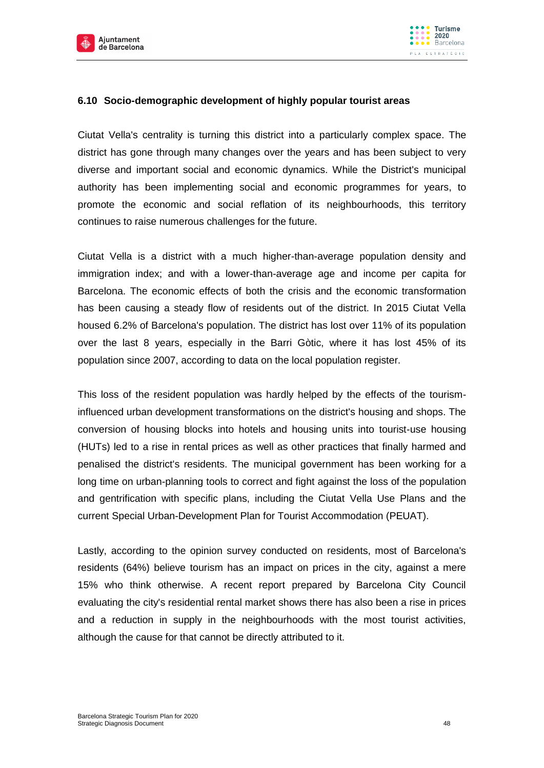



## **6.10 Socio-demographic development of highly popular tourist areas**

Ciutat Vella's centrality is turning this district into a particularly complex space. The district has gone through many changes over the years and has been subject to very diverse and important social and economic dynamics. While the District's municipal authority has been implementing social and economic programmes for years, to promote the economic and social reflation of its neighbourhoods, this territory continues to raise numerous challenges for the future.

Ciutat Vella is a district with a much higher-than-average population density and immigration index; and with a lower-than-average age and income per capita for Barcelona. The economic effects of both the crisis and the economic transformation has been causing a steady flow of residents out of the district. In 2015 Ciutat Vella housed 6.2% of Barcelona's population. The district has lost over 11% of its population over the last 8 years, especially in the Barri Gòtic, where it has lost 45% of its population since 2007, according to data on the local population register.

This loss of the resident population was hardly helped by the effects of the tourisminfluenced urban development transformations on the district's housing and shops. The conversion of housing blocks into hotels and housing units into tourist-use housing (HUTs) led to a rise in rental prices as well as other practices that finally harmed and penalised the district's residents. The municipal government has been working for a long time on urban-planning tools to correct and fight against the loss of the population and gentrification with specific plans, including the Ciutat Vella Use Plans and the current Special Urban-Development Plan for Tourist Accommodation (PEUAT).

Lastly, according to the opinion survey conducted on residents, most of Barcelona's residents (64%) believe tourism has an impact on prices in the city, against a mere 15% who think otherwise. A recent report prepared by Barcelona City Council evaluating the city's residential rental market shows there has also been a rise in prices and a reduction in supply in the neighbourhoods with the most tourist activities, although the cause for that cannot be directly attributed to it.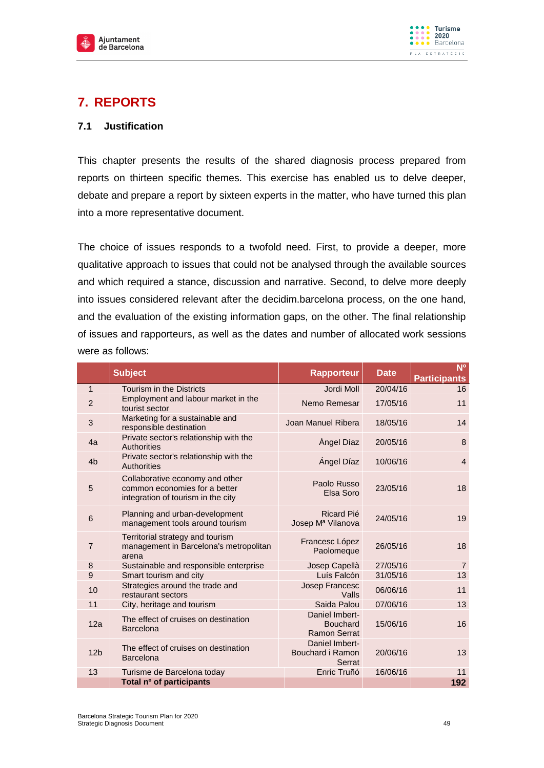



# **7. REPORTS**

## **7.1 Justification**

This chapter presents the results of the shared diagnosis process prepared from reports on thirteen specific themes. This exercise has enabled us to delve deeper, debate and prepare a report by sixteen experts in the matter, who have turned this plan into a more representative document.

The choice of issues responds to a twofold need. First, to provide a deeper, more qualitative approach to issues that could not be analysed through the available sources and which required a stance, discussion and narrative. Second, to delve more deeply into issues considered relevant after the decidim.barcelona process, on the one hand, and the evaluation of the existing information gaps, on the other. The final relationship of issues and rapporteurs, as well as the dates and number of allocated work sessions were as follows:

|                 | <b>Subject</b>                                                                                         | <b>Rapporteur</b>                                        | <b>Date</b> | N <sup>o</sup><br><b>Participants</b> |
|-----------------|--------------------------------------------------------------------------------------------------------|----------------------------------------------------------|-------------|---------------------------------------|
| $\mathbf{1}$    | <b>Tourism in the Districts</b>                                                                        | Jordi Moll                                               | 20/04/16    | 16                                    |
| $\overline{2}$  | Employment and labour market in the<br>tourist sector                                                  | Nemo Remesar                                             | 17/05/16    | 11                                    |
| 3               | Marketing for a sustainable and<br>responsible destination                                             | Joan Manuel Ribera                                       | 18/05/16    | 14                                    |
| 4a              | Private sector's relationship with the<br>Authorities                                                  | Ángel Díaz                                               | 20/05/16    | 8                                     |
| 4 <sub>b</sub>  | Private sector's relationship with the<br>Authorities                                                  | Ángel Díaz                                               | 10/06/16    | $\overline{4}$                        |
| 5               | Collaborative economy and other<br>common economies for a better<br>integration of tourism in the city | Paolo Russo<br>Elsa Soro                                 | 23/05/16    | 18                                    |
| 6               | Planning and urban-development<br>management tools around tourism                                      | Ricard Pié<br>Josep M <sup>a</sup> Vilanova              | 24/05/16    | 19                                    |
| $\overline{7}$  | Territorial strategy and tourism<br>management in Barcelona's metropolitan<br>arena                    | Francesc López<br>Paolomeque                             | 26/05/16    | 18                                    |
| 8               | Sustainable and responsible enterprise                                                                 | Josep Capellà                                            | 27/05/16    | $\overline{7}$                        |
| 9               | Smart tourism and city                                                                                 | Luís Falcón                                              | 31/05/16    | 13                                    |
| 10              | Strategies around the trade and<br>restaurant sectors                                                  | Josep Francesc<br>Valls                                  | 06/06/16    | 11                                    |
| 11              | City, heritage and tourism                                                                             | Saida Palou                                              | 07/06/16    | 13                                    |
| 12a             | The effect of cruises on destination<br><b>Barcelona</b>                                               | Daniel Imbert-<br><b>Bouchard</b><br><b>Ramon Serrat</b> | 15/06/16    | 16                                    |
| 12 <sub>b</sub> | The effect of cruises on destination<br><b>Barcelona</b>                                               | Daniel Imbert-<br>Bouchard i Ramon<br>Serrat             | 20/06/16    | 13                                    |
| 13              | Turisme de Barcelona today                                                                             | Enric Truñó                                              | 16/06/16    | 11                                    |
|                 | Total nº of participants                                                                               |                                                          |             | 192                                   |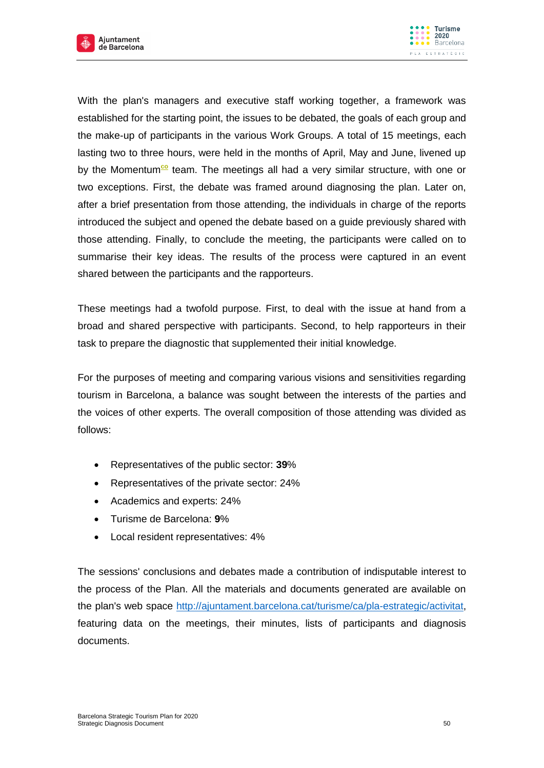



With the plan's managers and executive staff working together, a framework was established for the starting point, the issues to be debated, the goals of each group and the make-up of participants in the various Work Groups. A total of 15 meetings, each lasting two to three hours, were held in the months of April, May and June, livened up by the Momentum<sup>co</sup> team. The meetings all had a very similar structure, with one or two exceptions. First, the debate was framed around diagnosing the plan. Later on, after a brief presentation from those attending, the individuals in charge of the reports introduced the subject and opened the debate based on a guide previously shared with those attending. Finally, to conclude the meeting, the participants were called on to summarise their key ideas. The results of the process were captured in an event shared between the participants and the rapporteurs.

These meetings had a twofold purpose. First, to deal with the issue at hand from a broad and shared perspective with participants. Second, to help rapporteurs in their task to prepare the diagnostic that supplemented their initial knowledge.

For the purposes of meeting and comparing various visions and sensitivities regarding tourism in Barcelona, a balance was sought between the interests of the parties and the voices of other experts. The overall composition of those attending was divided as follows:

- Representatives of the public sector: **39**%
- Representatives of the private sector: 24%
- Academics and experts: 24%
- Turisme de Barcelona: **9**%
- Local resident representatives: 4%

The sessions' conclusions and debates made a contribution of indisputable interest to the process of the Plan. All the materials and documents generated are available on the plan's web space [http://ajuntament.barcelona.cat/turisme/ca/pla-estrategic/activitat,](http://ajuntament.barcelona.cat/turisme/ca/pla-estrategic/activitat) featuring data on the meetings, their minutes, lists of participants and diagnosis documents.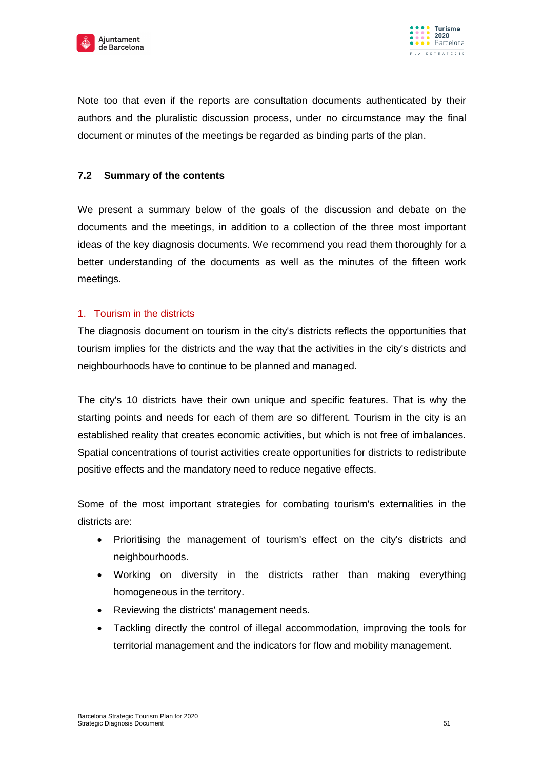



Note too that even if the reports are consultation documents authenticated by their authors and the pluralistic discussion process, under no circumstance may the final document or minutes of the meetings be regarded as binding parts of the plan.

## **7.2 Summary of the contents**

We present a summary below of the goals of the discussion and debate on the documents and the meetings, in addition to a collection of the three most important ideas of the key diagnosis documents. We recommend you read them thoroughly for a better understanding of the documents as well as the minutes of the fifteen work meetings.

## 1. Tourism in the districts

The diagnosis document on tourism in the city's districts reflects the opportunities that tourism implies for the districts and the way that the activities in the city's districts and neighbourhoods have to continue to be planned and managed.

The city's 10 districts have their own unique and specific features. That is why the starting points and needs for each of them are so different. Tourism in the city is an established reality that creates economic activities, but which is not free of imbalances. Spatial concentrations of tourist activities create opportunities for districts to redistribute positive effects and the mandatory need to reduce negative effects.

Some of the most important strategies for combating tourism's externalities in the districts are:

- Prioritising the management of tourism's effect on the city's districts and neighbourhoods.
- Working on diversity in the districts rather than making everything homogeneous in the territory.
- Reviewing the districts' management needs.
- Tackling directly the control of illegal accommodation, improving the tools for territorial management and the indicators for flow and mobility management.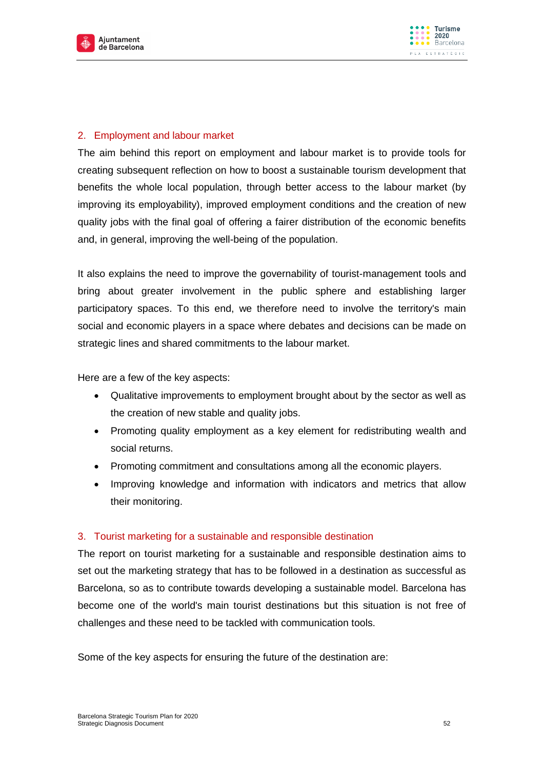



## 2. Employment and labour market

The aim behind this report on employment and labour market is to provide tools for creating subsequent reflection on how to boost a sustainable tourism development that benefits the whole local population, through better access to the labour market (by improving its employability), improved employment conditions and the creation of new quality jobs with the final goal of offering a fairer distribution of the economic benefits and, in general, improving the well-being of the population.

It also explains the need to improve the governability of tourist-management tools and bring about greater involvement in the public sphere and establishing larger participatory spaces. To this end, we therefore need to involve the territory's main social and economic players in a space where debates and decisions can be made on strategic lines and shared commitments to the labour market.

Here are a few of the key aspects:

- Qualitative improvements to employment brought about by the sector as well as the creation of new stable and quality jobs.
- Promoting quality employment as a key element for redistributing wealth and social returns.
- Promoting commitment and consultations among all the economic players.
- Improving knowledge and information with indicators and metrics that allow their monitoring.

## 3. Tourist marketing for a sustainable and responsible destination

The report on tourist marketing for a sustainable and responsible destination aims to set out the marketing strategy that has to be followed in a destination as successful as Barcelona, so as to contribute towards developing a sustainable model. Barcelona has become one of the world's main tourist destinations but this situation is not free of challenges and these need to be tackled with communication tools.

Some of the key aspects for ensuring the future of the destination are: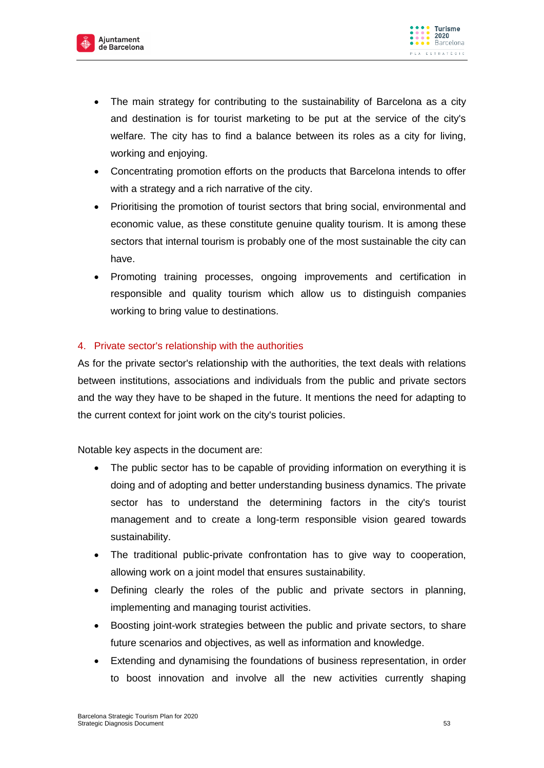



- The main strategy for contributing to the sustainability of Barcelona as a city and destination is for tourist marketing to be put at the service of the city's welfare. The city has to find a balance between its roles as a city for living, working and enjoying.
- Concentrating promotion efforts on the products that Barcelona intends to offer with a strategy and a rich narrative of the city.
- Prioritising the promotion of tourist sectors that bring social, environmental and economic value, as these constitute genuine quality tourism. It is among these sectors that internal tourism is probably one of the most sustainable the city can have.
- Promoting training processes, ongoing improvements and certification in responsible and quality tourism which allow us to distinguish companies working to bring value to destinations.

## 4. Private sector's relationship with the authorities

As for the private sector's relationship with the authorities, the text deals with relations between institutions, associations and individuals from the public and private sectors and the way they have to be shaped in the future. It mentions the need for adapting to the current context for joint work on the city's tourist policies.

Notable key aspects in the document are:

- The public sector has to be capable of providing information on everything it is doing and of adopting and better understanding business dynamics. The private sector has to understand the determining factors in the city's tourist management and to create a long-term responsible vision geared towards sustainability.
- The traditional public-private confrontation has to give way to cooperation, allowing work on a joint model that ensures sustainability.
- Defining clearly the roles of the public and private sectors in planning, implementing and managing tourist activities.
- Boosting joint-work strategies between the public and private sectors, to share future scenarios and objectives, as well as information and knowledge.
- Extending and dynamising the foundations of business representation, in order to boost innovation and involve all the new activities currently shaping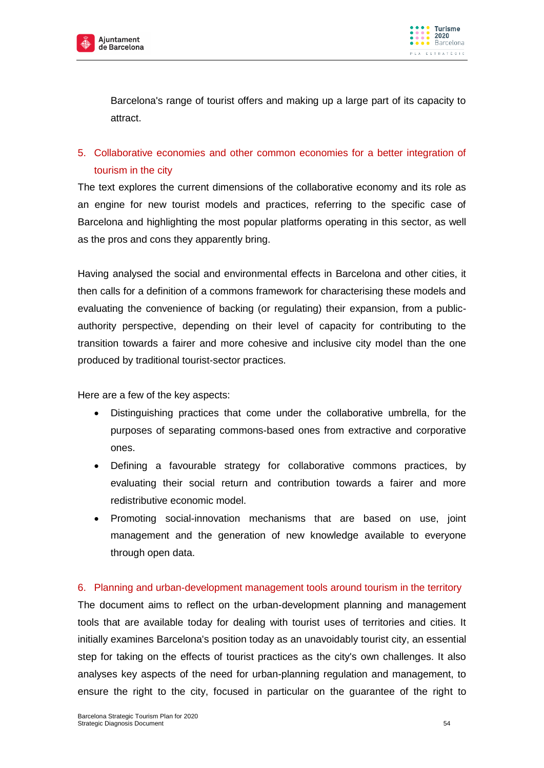



Barcelona's range of tourist offers and making up a large part of its capacity to attract.

# 5. Collaborative economies and other common economies for a better integration of tourism in the city

The text explores the current dimensions of the collaborative economy and its role as an engine for new tourist models and practices, referring to the specific case of Barcelona and highlighting the most popular platforms operating in this sector, as well as the pros and cons they apparently bring.

Having analysed the social and environmental effects in Barcelona and other cities, it then calls for a definition of a commons framework for characterising these models and evaluating the convenience of backing (or regulating) their expansion, from a publicauthority perspective, depending on their level of capacity for contributing to the transition towards a fairer and more cohesive and inclusive city model than the one produced by traditional tourist-sector practices.

Here are a few of the key aspects:

- Distinguishing practices that come under the collaborative umbrella, for the purposes of separating commons-based ones from extractive and corporative ones.
- Defining a favourable strategy for collaborative commons practices, by evaluating their social return and contribution towards a fairer and more redistributive economic model.
- Promoting social-innovation mechanisms that are based on use, joint management and the generation of new knowledge available to everyone through open data.

## 6. Planning and urban-development management tools around tourism in the territory

The document aims to reflect on the urban-development planning and management tools that are available today for dealing with tourist uses of territories and cities. It initially examines Barcelona's position today as an unavoidably tourist city, an essential step for taking on the effects of tourist practices as the city's own challenges. It also analyses key aspects of the need for urban-planning regulation and management, to ensure the right to the city, focused in particular on the guarantee of the right to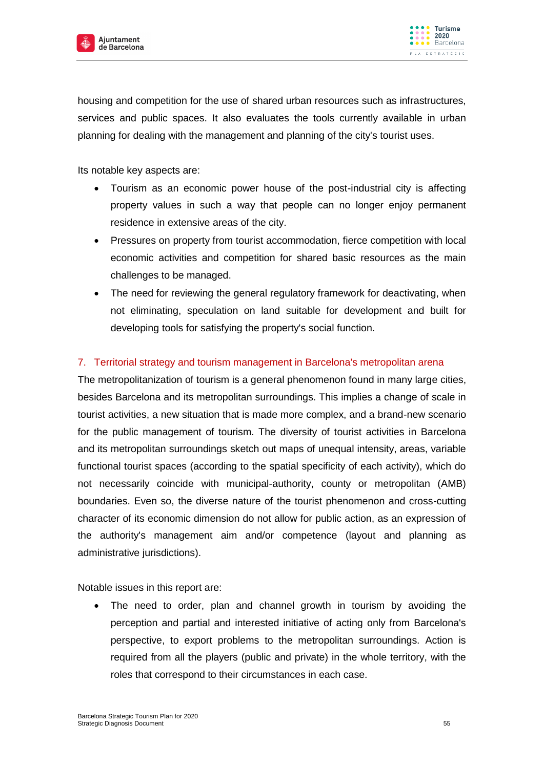

housing and competition for the use of shared urban resources such as infrastructures, services and public spaces. It also evaluates the tools currently available in urban planning for dealing with the management and planning of the city's tourist uses.

Its notable key aspects are:

- Tourism as an economic power house of the post-industrial city is affecting property values in such a way that people can no longer enjoy permanent residence in extensive areas of the city.
- Pressures on property from tourist accommodation, fierce competition with local economic activities and competition for shared basic resources as the main challenges to be managed.
- The need for reviewing the general regulatory framework for deactivating, when not eliminating, speculation on land suitable for development and built for developing tools for satisfying the property's social function.

## 7. Territorial strategy and tourism management in Barcelona's metropolitan arena

The metropolitanization of tourism is a general phenomenon found in many large cities, besides Barcelona and its metropolitan surroundings. This implies a change of scale in tourist activities, a new situation that is made more complex, and a brand-new scenario for the public management of tourism. The diversity of tourist activities in Barcelona and its metropolitan surroundings sketch out maps of unequal intensity, areas, variable functional tourist spaces (according to the spatial specificity of each activity), which do not necessarily coincide with municipal-authority, county or metropolitan (AMB) boundaries. Even so, the diverse nature of the tourist phenomenon and cross-cutting character of its economic dimension do not allow for public action, as an expression of the authority's management aim and/or competence (layout and planning as administrative jurisdictions).

Notable issues in this report are:

 The need to order, plan and channel growth in tourism by avoiding the perception and partial and interested initiative of acting only from Barcelona's perspective, to export problems to the metropolitan surroundings. Action is required from all the players (public and private) in the whole territory, with the roles that correspond to their circumstances in each case.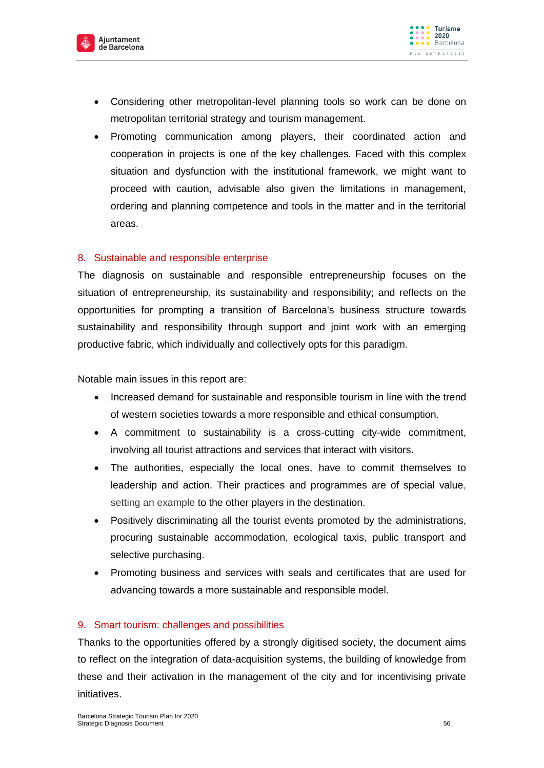



- Considering other metropolitan-level planning tools so work can be done on metropolitan territorial strategy and tourism management.
- Promoting communication among players, their coordinated action and cooperation in projects is one of the key challenges. Faced with this complex situation and dysfunction with the institutional framework, we might want to proceed with caution, advisable also given the limitations in management, ordering and planning competence and tools in the matter and in the territorial areas.

## 8. Sustainable and responsible enterprise

The diagnosis on sustainable and responsible entrepreneurship focuses on the situation of entrepreneurship, its sustainability and responsibility; and reflects on the opportunities for prompting a transition of Barcelona's business structure towards sustainability and responsibility through support and joint work with an emerging productive fabric, which individually and collectively opts for this paradigm.

Notable main issues in this report are:

- Increased demand for sustainable and responsible tourism in line with the trend of western societies towards a more responsible and ethical consumption.
- A commitment to sustainability is a cross-cutting city-wide commitment, involving all tourist attractions and services that interact with visitors.
- The authorities, especially the local ones, have to commit themselves to leadership and action. Their practices and programmes are of special value, setting an example to the other players in the destination.
- Positively discriminating all the tourist events promoted by the administrations, procuring sustainable accommodation, ecological taxis, public transport and selective purchasing.
- Promoting business and services with seals and certificates that are used for advancing towards a more sustainable and responsible model.

## 9. Smart tourism: challenges and possibilities

Thanks to the opportunities offered by a strongly digitised society, the document aims to reflect on the integration of data-acquisition systems, the building of knowledge from these and their activation in the management of the city and for incentivising private initiatives.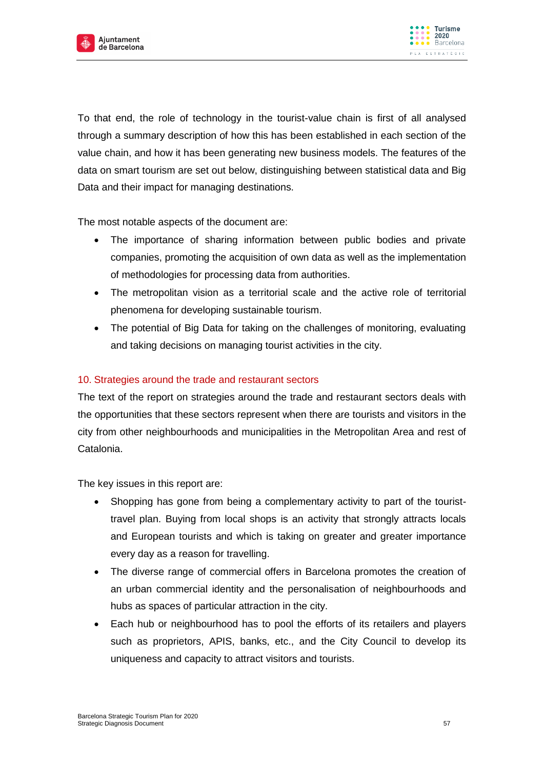

To that end, the role of technology in the tourist-value chain is first of all analysed through a summary description of how this has been established in each section of the value chain, and how it has been generating new business models. The features of the data on smart tourism are set out below, distinguishing between statistical data and Big Data and their impact for managing destinations.

The most notable aspects of the document are:

- The importance of sharing information between public bodies and private companies, promoting the acquisition of own data as well as the implementation of methodologies for processing data from authorities.
- The metropolitan vision as a territorial scale and the active role of territorial phenomena for developing sustainable tourism.
- The potential of Big Data for taking on the challenges of monitoring, evaluating and taking decisions on managing tourist activities in the city.

## 10. Strategies around the trade and restaurant sectors

The text of the report on strategies around the trade and restaurant sectors deals with the opportunities that these sectors represent when there are tourists and visitors in the city from other neighbourhoods and municipalities in the Metropolitan Area and rest of Catalonia.

The key issues in this report are:

- Shopping has gone from being a complementary activity to part of the touristtravel plan. Buying from local shops is an activity that strongly attracts locals and European tourists and which is taking on greater and greater importance every day as a reason for travelling.
- The diverse range of commercial offers in Barcelona promotes the creation of an urban commercial identity and the personalisation of neighbourhoods and hubs as spaces of particular attraction in the city.
- Each hub or neighbourhood has to pool the efforts of its retailers and players such as proprietors, APIS, banks, etc., and the City Council to develop its uniqueness and capacity to attract visitors and tourists.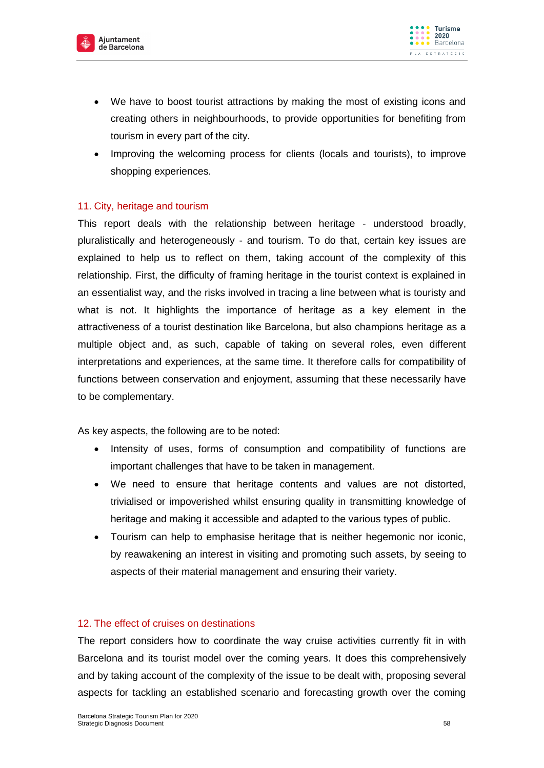



- We have to boost tourist attractions by making the most of existing icons and creating others in neighbourhoods, to provide opportunities for benefiting from tourism in every part of the city.
- Improving the welcoming process for clients (locals and tourists), to improve shopping experiences.

#### 11. City, heritage and tourism

This report deals with the relationship between heritage - understood broadly, pluralistically and heterogeneously - and tourism. To do that, certain key issues are explained to help us to reflect on them, taking account of the complexity of this relationship. First, the difficulty of framing heritage in the tourist context is explained in an essentialist way, and the risks involved in tracing a line between what is touristy and what is not. It highlights the importance of heritage as a key element in the attractiveness of a tourist destination like Barcelona, but also champions heritage as a multiple object and, as such, capable of taking on several roles, even different interpretations and experiences, at the same time. It therefore calls for compatibility of functions between conservation and enjoyment, assuming that these necessarily have to be complementary.

As key aspects, the following are to be noted:

- Intensity of uses, forms of consumption and compatibility of functions are important challenges that have to be taken in management.
- We need to ensure that heritage contents and values are not distorted, trivialised or impoverished whilst ensuring quality in transmitting knowledge of heritage and making it accessible and adapted to the various types of public.
- Tourism can help to emphasise heritage that is neither hegemonic nor iconic, by reawakening an interest in visiting and promoting such assets, by seeing to aspects of their material management and ensuring their variety.

## 12. The effect of cruises on destinations

The report considers how to coordinate the way cruise activities currently fit in with Barcelona and its tourist model over the coming years. It does this comprehensively and by taking account of the complexity of the issue to be dealt with, proposing several aspects for tackling an established scenario and forecasting growth over the coming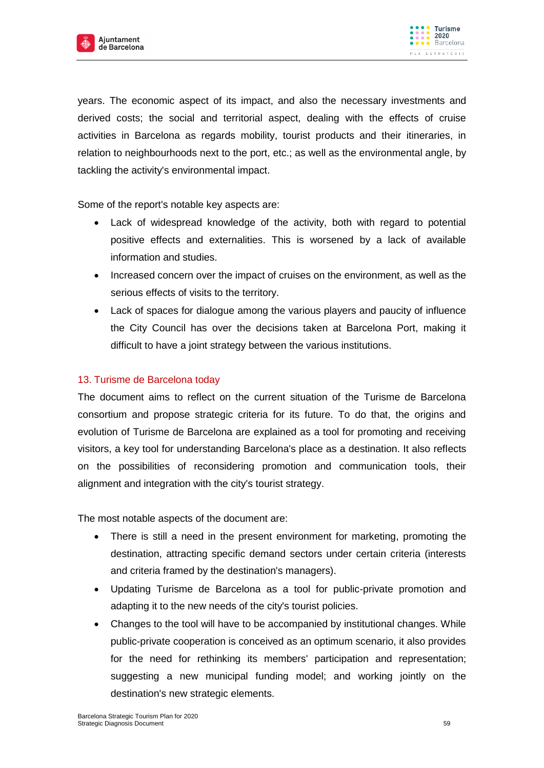



years. The economic aspect of its impact, and also the necessary investments and derived costs; the social and territorial aspect, dealing with the effects of cruise activities in Barcelona as regards mobility, tourist products and their itineraries, in relation to neighbourhoods next to the port, etc.; as well as the environmental angle, by tackling the activity's environmental impact.

Some of the report's notable key aspects are:

- Lack of widespread knowledge of the activity, both with regard to potential positive effects and externalities. This is worsened by a lack of available information and studies.
- Increased concern over the impact of cruises on the environment, as well as the serious effects of visits to the territory.
- Lack of spaces for dialogue among the various players and paucity of influence the City Council has over the decisions taken at Barcelona Port, making it difficult to have a joint strategy between the various institutions.

## 13. Turisme de Barcelona today

The document aims to reflect on the current situation of the Turisme de Barcelona consortium and propose strategic criteria for its future. To do that, the origins and evolution of Turisme de Barcelona are explained as a tool for promoting and receiving visitors, a key tool for understanding Barcelona's place as a destination. It also reflects on the possibilities of reconsidering promotion and communication tools, their alignment and integration with the city's tourist strategy.

The most notable aspects of the document are:

- There is still a need in the present environment for marketing, promoting the destination, attracting specific demand sectors under certain criteria (interests and criteria framed by the destination's managers).
- Updating Turisme de Barcelona as a tool for public-private promotion and adapting it to the new needs of the city's tourist policies.
- Changes to the tool will have to be accompanied by institutional changes. While public-private cooperation is conceived as an optimum scenario, it also provides for the need for rethinking its members' participation and representation; suggesting a new municipal funding model; and working jointly on the destination's new strategic elements.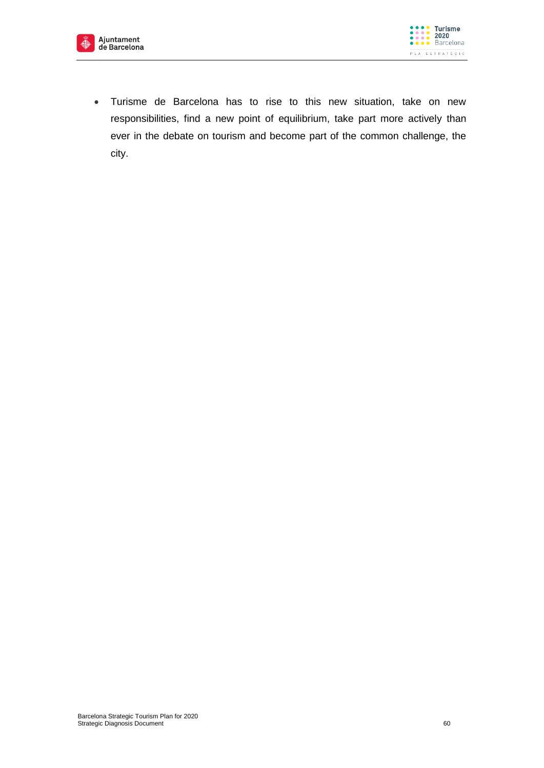



 Turisme de Barcelona has to rise to this new situation, take on new responsibilities, find a new point of equilibrium, take part more actively than ever in the debate on tourism and become part of the common challenge, the city.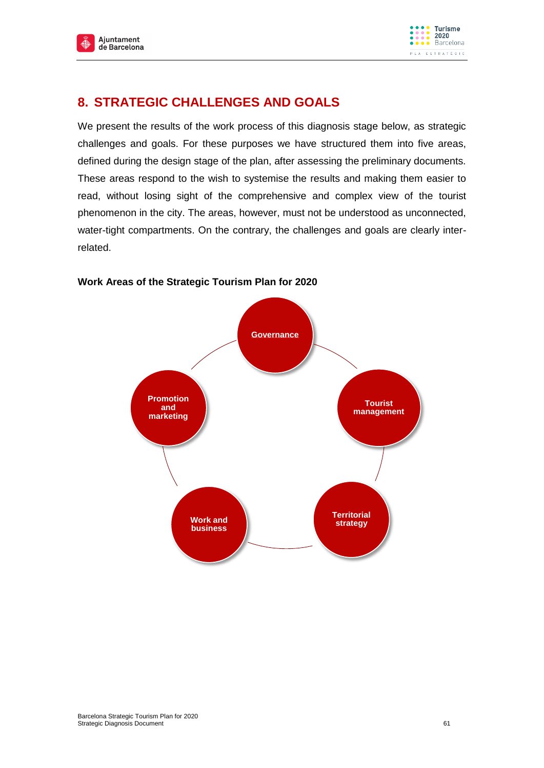



# **8. STRATEGIC CHALLENGES AND GOALS**

We present the results of the work process of this diagnosis stage below, as strategic challenges and goals. For these purposes we have structured them into five areas, defined during the design stage of the plan, after assessing the preliminary documents. These areas respond to the wish to systemise the results and making them easier to read, without losing sight of the comprehensive and complex view of the tourist phenomenon in the city. The areas, however, must not be understood as unconnected, water-tight compartments. On the contrary, the challenges and goals are clearly interrelated.

# **Governance Tourist management Territorial Work and Strategy Research Americal Strategy Promotion and marketing**

#### **Work Areas of the Strategic Tourism Plan for 2020**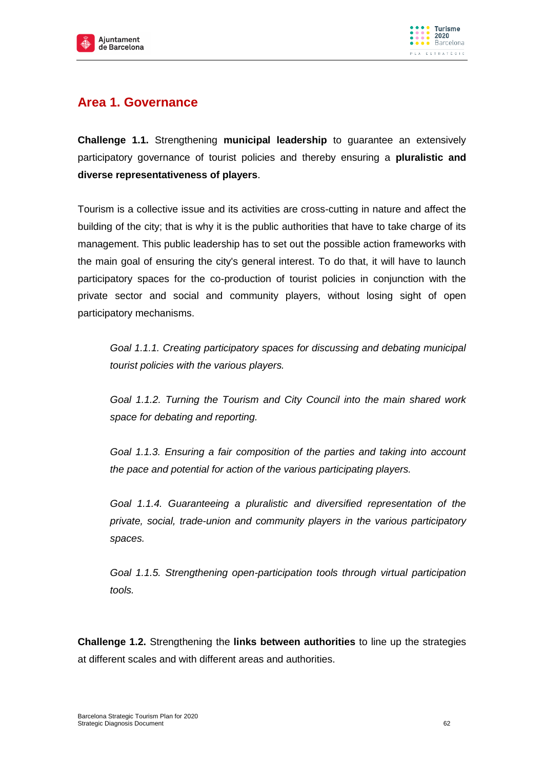



# **Area 1. Governance**

**Challenge 1.1.** Strengthening **municipal leadership** to guarantee an extensively participatory governance of tourist policies and thereby ensuring a **pluralistic and diverse representativeness of players**.

Tourism is a collective issue and its activities are cross-cutting in nature and affect the building of the city; that is why it is the public authorities that have to take charge of its management. This public leadership has to set out the possible action frameworks with the main goal of ensuring the city's general interest. To do that, it will have to launch participatory spaces for the co-production of tourist policies in conjunction with the private sector and social and community players, without losing sight of open participatory mechanisms.

*Goal 1.1.1. Creating participatory spaces for discussing and debating municipal tourist policies with the various players.* 

*Goal 1.1.2. Turning the Tourism and City Council into the main shared work space for debating and reporting.* 

*Goal 1.1.3. Ensuring a fair composition of the parties and taking into account the pace and potential for action of the various participating players.*

*Goal 1.1.4. Guaranteeing a pluralistic and diversified representation of the private, social, trade-union and community players in the various participatory spaces.*

*Goal 1.1.5. Strengthening open-participation tools through virtual participation tools.*

**Challenge 1.2.** Strengthening the **links between authorities** to line up the strategies at different scales and with different areas and authorities.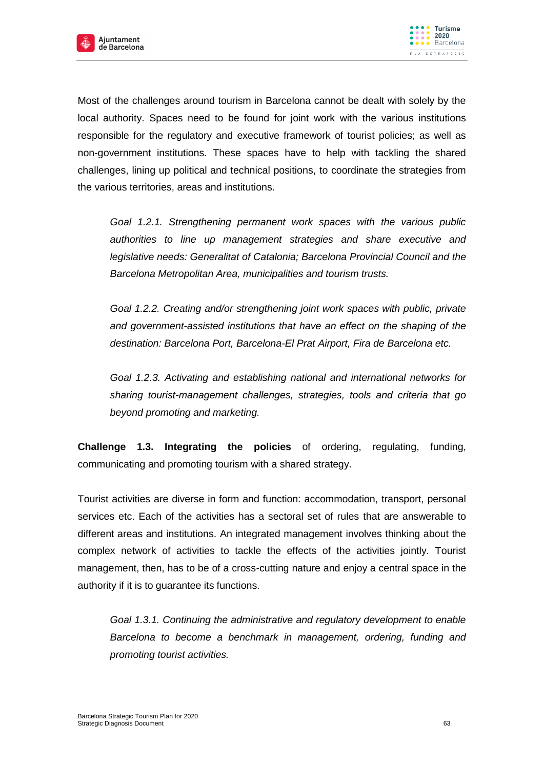



Most of the challenges around tourism in Barcelona cannot be dealt with solely by the local authority. Spaces need to be found for joint work with the various institutions responsible for the regulatory and executive framework of tourist policies; as well as non-government institutions. These spaces have to help with tackling the shared challenges, lining up political and technical positions, to coordinate the strategies from the various territories, areas and institutions.

*Goal 1.2.1. Strengthening permanent work spaces with the various public authorities to line up management strategies and share executive and legislative needs: Generalitat of Catalonia; Barcelona Provincial Council and the Barcelona Metropolitan Area, municipalities and tourism trusts.* 

*Goal 1.2.2. Creating and/or strengthening joint work spaces with public, private and government-assisted institutions that have an effect on the shaping of the destination: Barcelona Port, Barcelona-El Prat Airport, Fira de Barcelona etc.*

*Goal 1.2.3. Activating and establishing national and international networks for sharing tourist-management challenges, strategies, tools and criteria that go beyond promoting and marketing.*

**Challenge 1.3. Integrating the policies** of ordering, regulating, funding, communicating and promoting tourism with a shared strategy.

Tourist activities are diverse in form and function: accommodation, transport, personal services etc. Each of the activities has a sectoral set of rules that are answerable to different areas and institutions. An integrated management involves thinking about the complex network of activities to tackle the effects of the activities jointly. Tourist management, then, has to be of a cross-cutting nature and enjoy a central space in the authority if it is to guarantee its functions.

*Goal 1.3.1. Continuing the administrative and regulatory development to enable Barcelona to become a benchmark in management, ordering, funding and promoting tourist activities.*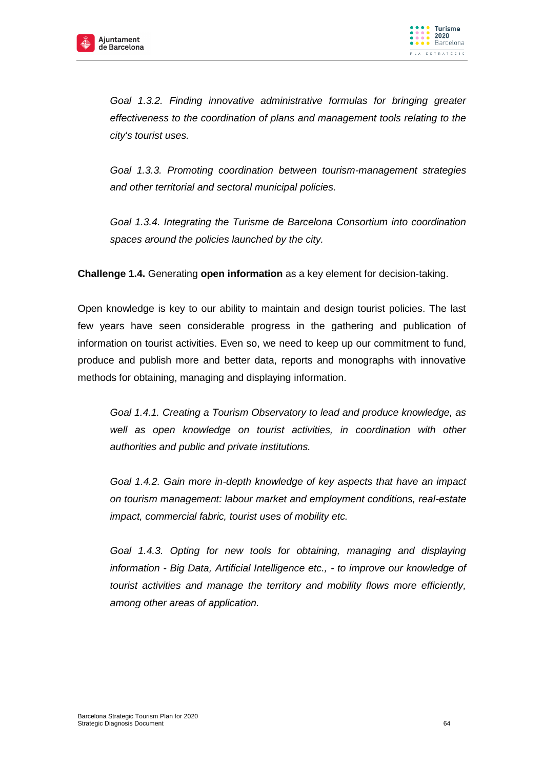



Goal 1.3.2. Finding innovative administrative formulas for bringing greater *effectiveness to the coordination of plans and management tools relating to the city's tourist uses.* 

*Goal 1.3.3. Promoting coordination between tourism-management strategies and other territorial and sectoral municipal policies.* 

*Goal 1.3.4. Integrating the Turisme de Barcelona Consortium into coordination spaces around the policies launched by the city.*

**Challenge 1.4.** Generating **open information** as a key element for decision-taking.

Open knowledge is key to our ability to maintain and design tourist policies. The last few years have seen considerable progress in the gathering and publication of information on tourist activities. Even so, we need to keep up our commitment to fund, produce and publish more and better data, reports and monographs with innovative methods for obtaining, managing and displaying information.

*Goal 1.4.1. Creating a Tourism Observatory to lead and produce knowledge, as well as open knowledge on tourist activities, in coordination with other authorities and public and private institutions.*

*Goal 1.4.2. Gain more in-depth knowledge of key aspects that have an impact on tourism management: labour market and employment conditions, real-estate impact, commercial fabric, tourist uses of mobility etc.*

Goal 1.4.3. Opting for new tools for obtaining, managing and displaying *information - Big Data, Artificial Intelligence etc., - to improve our knowledge of tourist activities and manage the territory and mobility flows more efficiently, among other areas of application.*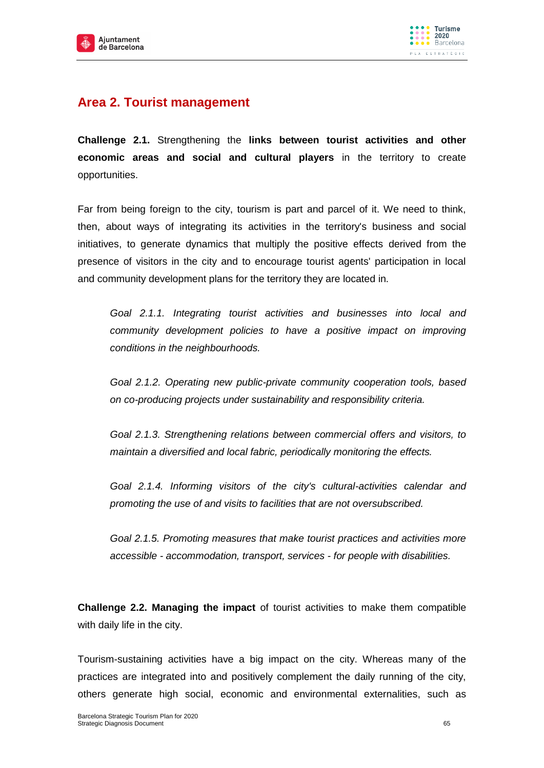



## **Area 2. Tourist management**

**Challenge 2.1.** Strengthening the **links between tourist activities and other economic areas and social and cultural players** in the territory to create opportunities.

Far from being foreign to the city, tourism is part and parcel of it. We need to think, then, about ways of integrating its activities in the territory's business and social initiatives, to generate dynamics that multiply the positive effects derived from the presence of visitors in the city and to encourage tourist agents' participation in local and community development plans for the territory they are located in.

*Goal 2.1.1. Integrating tourist activities and businesses into local and community development policies to have a positive impact on improving conditions in the neighbourhoods.*

*Goal 2.1.2. Operating new public-private community cooperation tools, based on co-producing projects under sustainability and responsibility criteria.*

*Goal 2.1.3. Strengthening relations between commercial offers and visitors, to maintain a diversified and local fabric, periodically monitoring the effects.*

*Goal 2.1.4. Informing visitors of the city's cultural-activities calendar and promoting the use of and visits to facilities that are not oversubscribed.*

*Goal 2.1.5. Promoting measures that make tourist practices and activities more accessible - accommodation, transport, services - for people with disabilities.*

**Challenge 2.2. Managing the impact** of tourist activities to make them compatible with daily life in the city.

Tourism-sustaining activities have a big impact on the city. Whereas many of the practices are integrated into and positively complement the daily running of the city, others generate high social, economic and environmental externalities, such as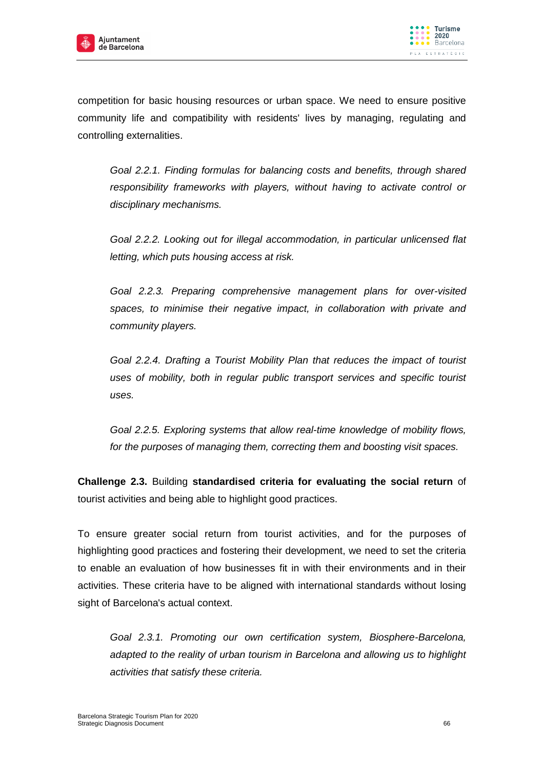



competition for basic housing resources or urban space. We need to ensure positive community life and compatibility with residents' lives by managing, regulating and controlling externalities.

*Goal 2.2.1. Finding formulas for balancing costs and benefits, through shared responsibility frameworks with players, without having to activate control or disciplinary mechanisms.* 

*Goal 2.2.2. Looking out for illegal accommodation, in particular unlicensed flat letting, which puts housing access at risk.*

*Goal 2.2.3. Preparing comprehensive management plans for over-visited spaces, to minimise their negative impact, in collaboration with private and community players.*

*Goal 2.2.4. Drafting a Tourist Mobility Plan that reduces the impact of tourist uses of mobility, both in regular public transport services and specific tourist uses.*

*Goal 2.2.5. Exploring systems that allow real-time knowledge of mobility flows, for the purposes of managing them, correcting them and boosting visit spaces.* 

**Challenge 2.3.** Building **standardised criteria for evaluating the social return** of tourist activities and being able to highlight good practices.

To ensure greater social return from tourist activities, and for the purposes of highlighting good practices and fostering their development, we need to set the criteria to enable an evaluation of how businesses fit in with their environments and in their activities. These criteria have to be aligned with international standards without losing sight of Barcelona's actual context.

*Goal 2.3.1. Promoting our own certification system, Biosphere-Barcelona, adapted to the reality of urban tourism in Barcelona and allowing us to highlight activities that satisfy these criteria.*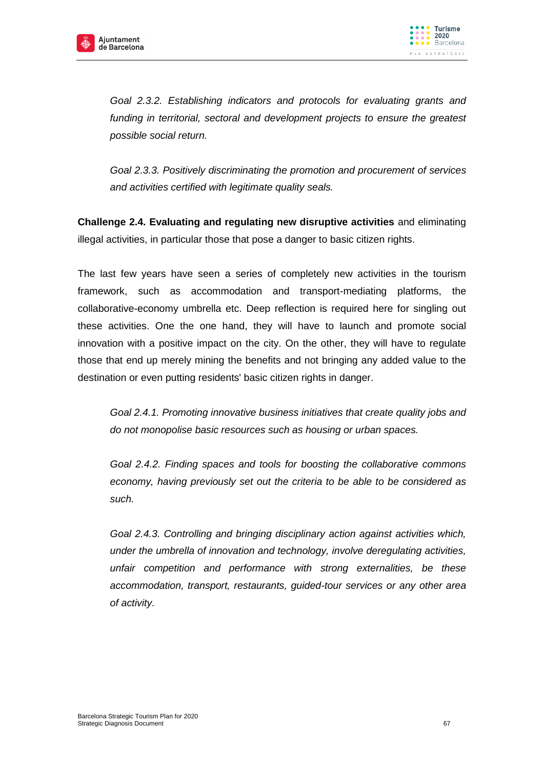



*Goal 2.3.2. Establishing indicators and protocols for evaluating grants and*  funding in territorial, sectoral and development projects to ensure the greatest *possible social return.*

*Goal 2.3.3. Positively discriminating the promotion and procurement of services and activities certified with legitimate quality seals.*

**Challenge 2.4. Evaluating and regulating new disruptive activities** and eliminating illegal activities, in particular those that pose a danger to basic citizen rights.

The last few years have seen a series of completely new activities in the tourism framework, such as accommodation and transport-mediating platforms, the collaborative-economy umbrella etc. Deep reflection is required here for singling out these activities. One the one hand, they will have to launch and promote social innovation with a positive impact on the city. On the other, they will have to regulate those that end up merely mining the benefits and not bringing any added value to the destination or even putting residents' basic citizen rights in danger.

*Goal 2.4.1. Promoting innovative business initiatives that create quality jobs and do not monopolise basic resources such as housing or urban spaces.*

*Goal 2.4.2. Finding spaces and tools for boosting the collaborative commons economy, having previously set out the criteria to be able to be considered as such.*

*Goal 2.4.3. Controlling and bringing disciplinary action against activities which, under the umbrella of innovation and technology, involve deregulating activities, unfair competition and performance with strong externalities, be these accommodation, transport, restaurants, guided-tour services or any other area of activity.*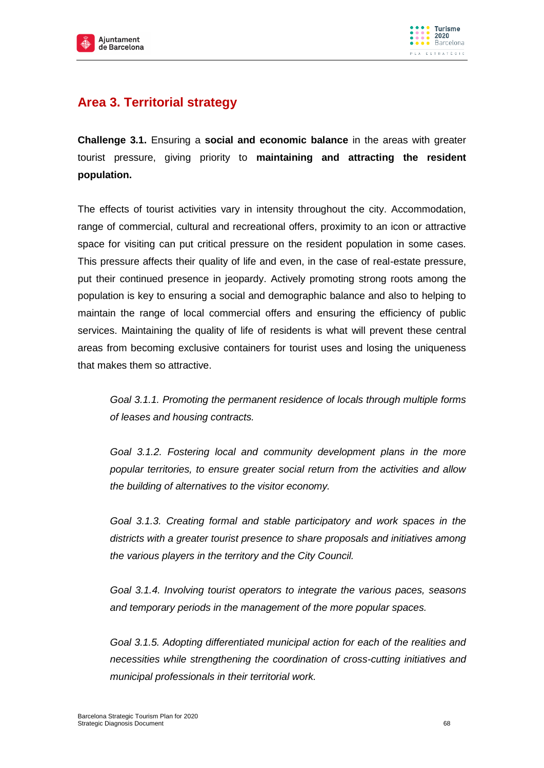



# **Area 3. Territorial strategy**

**Challenge 3.1.** Ensuring a **social and economic balance** in the areas with greater tourist pressure, giving priority to **maintaining and attracting the resident population.**

The effects of tourist activities vary in intensity throughout the city. Accommodation, range of commercial, cultural and recreational offers, proximity to an icon or attractive space for visiting can put critical pressure on the resident population in some cases. This pressure affects their quality of life and even, in the case of real-estate pressure, put their continued presence in jeopardy. Actively promoting strong roots among the population is key to ensuring a social and demographic balance and also to helping to maintain the range of local commercial offers and ensuring the efficiency of public services. Maintaining the quality of life of residents is what will prevent these central areas from becoming exclusive containers for tourist uses and losing the uniqueness that makes them so attractive.

*Goal 3.1.1. Promoting the permanent residence of locals through multiple forms of leases and housing contracts.* 

*Goal 3.1.2. Fostering local and community development plans in the more popular territories, to ensure greater social return from the activities and allow the building of alternatives to the visitor economy.* 

*Goal 3.1.3. Creating formal and stable participatory and work spaces in the districts with a greater tourist presence to share proposals and initiatives among the various players in the territory and the City Council.* 

*Goal 3.1.4. Involving tourist operators to integrate the various paces, seasons and temporary periods in the management of the more popular spaces.*

*Goal 3.1.5. Adopting differentiated municipal action for each of the realities and necessities while strengthening the coordination of cross-cutting initiatives and municipal professionals in their territorial work.*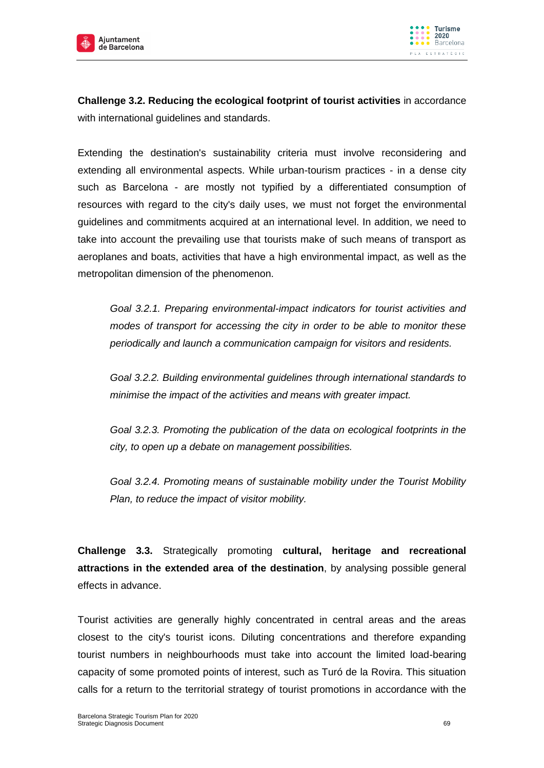



**Challenge 3.2. Reducing the ecological footprint of tourist activities** in accordance with international guidelines and standards.

Extending the destination's sustainability criteria must involve reconsidering and extending all environmental aspects. While urban-tourism practices - in a dense city such as Barcelona - are mostly not typified by a differentiated consumption of resources with regard to the city's daily uses, we must not forget the environmental guidelines and commitments acquired at an international level. In addition, we need to take into account the prevailing use that tourists make of such means of transport as aeroplanes and boats, activities that have a high environmental impact, as well as the metropolitan dimension of the phenomenon.

*Goal 3.2.1. Preparing environmental-impact indicators for tourist activities and modes of transport for accessing the city in order to be able to monitor these periodically and launch a communication campaign for visitors and residents.* 

*Goal 3.2.2. Building environmental guidelines through international standards to minimise the impact of the activities and means with greater impact.*

*Goal 3.2.3. Promoting the publication of the data on ecological footprints in the city, to open up a debate on management possibilities.*

*Goal 3.2.4. Promoting means of sustainable mobility under the Tourist Mobility Plan, to reduce the impact of visitor mobility.*

**Challenge 3.3.** Strategically promoting **cultural, heritage and recreational attractions in the extended area of the destination**, by analysing possible general effects in advance.

Tourist activities are generally highly concentrated in central areas and the areas closest to the city's tourist icons. Diluting concentrations and therefore expanding tourist numbers in neighbourhoods must take into account the limited load-bearing capacity of some promoted points of interest, such as Turó de la Rovira. This situation calls for a return to the territorial strategy of tourist promotions in accordance with the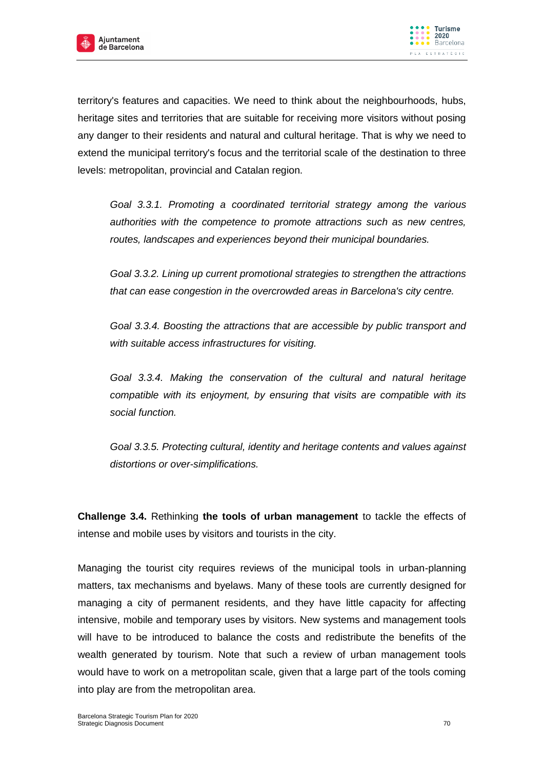



territory's features and capacities. We need to think about the neighbourhoods, hubs, heritage sites and territories that are suitable for receiving more visitors without posing any danger to their residents and natural and cultural heritage. That is why we need to extend the municipal territory's focus and the territorial scale of the destination to three levels: metropolitan, provincial and Catalan region.

*Goal 3.3.1. Promoting a coordinated territorial strategy among the various authorities with the competence to promote attractions such as new centres, routes, landscapes and experiences beyond their municipal boundaries.*

*Goal 3.3.2. Lining up current promotional strategies to strengthen the attractions that can ease congestion in the overcrowded areas in Barcelona's city centre.*

*Goal 3.3.4. Boosting the attractions that are accessible by public transport and with suitable access infrastructures for visiting.* 

*Goal 3.3.4. Making the conservation of the cultural and natural heritage compatible with its enjoyment, by ensuring that visits are compatible with its social function.* 

*Goal 3.3.5. Protecting cultural, identity and heritage contents and values against distortions or over-simplifications.* 

**Challenge 3.4.** Rethinking **the tools of urban management** to tackle the effects of intense and mobile uses by visitors and tourists in the city.

Managing the tourist city requires reviews of the municipal tools in urban-planning matters, tax mechanisms and byelaws. Many of these tools are currently designed for managing a city of permanent residents, and they have little capacity for affecting intensive, mobile and temporary uses by visitors. New systems and management tools will have to be introduced to balance the costs and redistribute the benefits of the wealth generated by tourism. Note that such a review of urban management tools would have to work on a metropolitan scale, given that a large part of the tools coming into play are from the metropolitan area.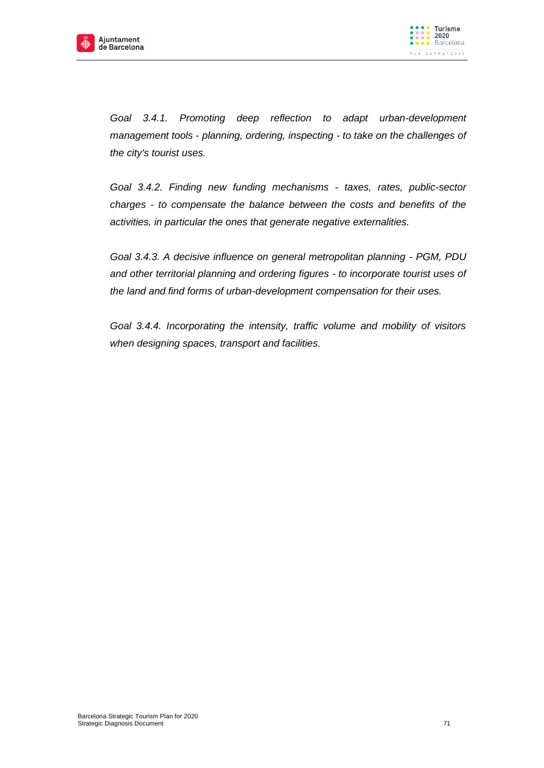



Goal 3.4.1. Promoting deep reflection to adapt urban-development *management tools - planning, ordering, inspecting - to take on the challenges of the city's tourist uses.* 

*Goal 3.4.2. Finding new funding mechanisms - taxes, rates, public-sector charges - to compensate the balance between the costs and benefits of the activities, in particular the ones that generate negative externalities.*

*Goal 3.4.3. A decisive influence on general metropolitan planning - PGM, PDU and other territorial planning and ordering figures - to incorporate tourist uses of the land and find forms of urban-development compensation for their uses.*

*Goal 3.4.4. Incorporating the intensity, traffic volume and mobility of visitors when designing spaces, transport and facilities.*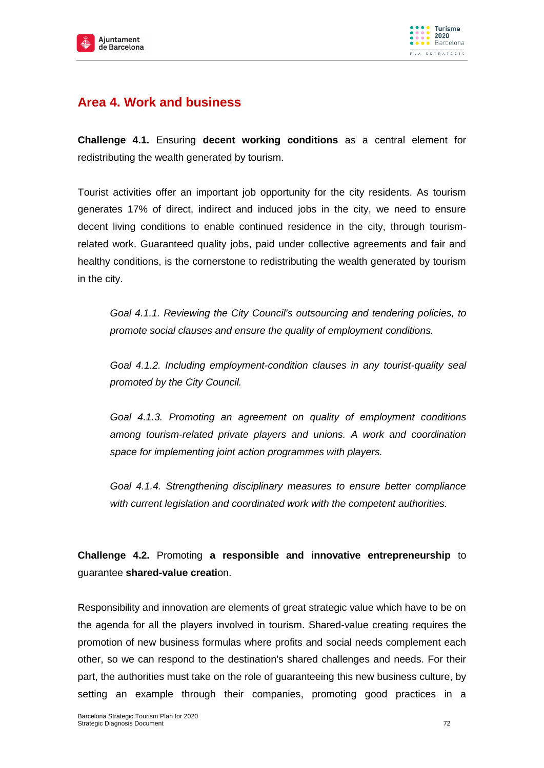



# **Area 4. Work and business**

**Challenge 4.1.** Ensuring **decent working conditions** as a central element for redistributing the wealth generated by tourism.

Tourist activities offer an important job opportunity for the city residents. As tourism generates 17% of direct, indirect and induced jobs in the city, we need to ensure decent living conditions to enable continued residence in the city, through tourismrelated work. Guaranteed quality jobs, paid under collective agreements and fair and healthy conditions, is the cornerstone to redistributing the wealth generated by tourism in the city.

*Goal 4.1.1. Reviewing the City Council's outsourcing and tendering policies, to promote social clauses and ensure the quality of employment conditions.*

*Goal 4.1.2. Including employment-condition clauses in any tourist-quality seal promoted by the City Council.*

*Goal 4.1.3. Promoting an agreement on quality of employment conditions among tourism-related private players and unions. A work and coordination space for implementing joint action programmes with players.*

*Goal 4.1.4. Strengthening disciplinary measures to ensure better compliance with current legislation and coordinated work with the competent authorities.*

**Challenge 4.2.** Promoting **a responsible and innovative entrepreneurship** to guarantee **shared-value creati**on.

Responsibility and innovation are elements of great strategic value which have to be on the agenda for all the players involved in tourism. Shared-value creating requires the promotion of new business formulas where profits and social needs complement each other, so we can respond to the destination's shared challenges and needs. For their part, the authorities must take on the role of guaranteeing this new business culture, by setting an example through their companies, promoting good practices in a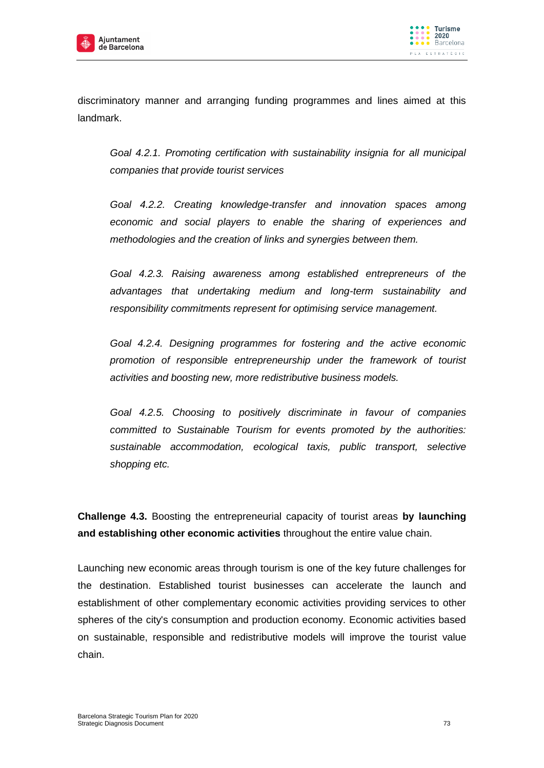



discriminatory manner and arranging funding programmes and lines aimed at this landmark.

*Goal 4.2.1. Promoting certification with sustainability insignia for all municipal companies that provide tourist services*

*Goal 4.2.2. Creating knowledge-transfer and innovation spaces among economic and social players to enable the sharing of experiences and methodologies and the creation of links and synergies between them.*

*Goal 4.2.3. Raising awareness among established entrepreneurs of the advantages that undertaking medium and long-term sustainability and responsibility commitments represent for optimising service management.*

*Goal 4.2.4. Designing programmes for fostering and the active economic promotion of responsible entrepreneurship under the framework of tourist activities and boosting new, more redistributive business models.*

*Goal 4.2.5. Choosing to positively discriminate in favour of companies committed to Sustainable Tourism for events promoted by the authorities: sustainable accommodation, ecological taxis, public transport, selective shopping etc.*

**Challenge 4.3.** Boosting the entrepreneurial capacity of tourist areas **by launching and establishing other economic activities** throughout the entire value chain.

Launching new economic areas through tourism is one of the key future challenges for the destination. Established tourist businesses can accelerate the launch and establishment of other complementary economic activities providing services to other spheres of the city's consumption and production economy. Economic activities based on sustainable, responsible and redistributive models will improve the tourist value chain.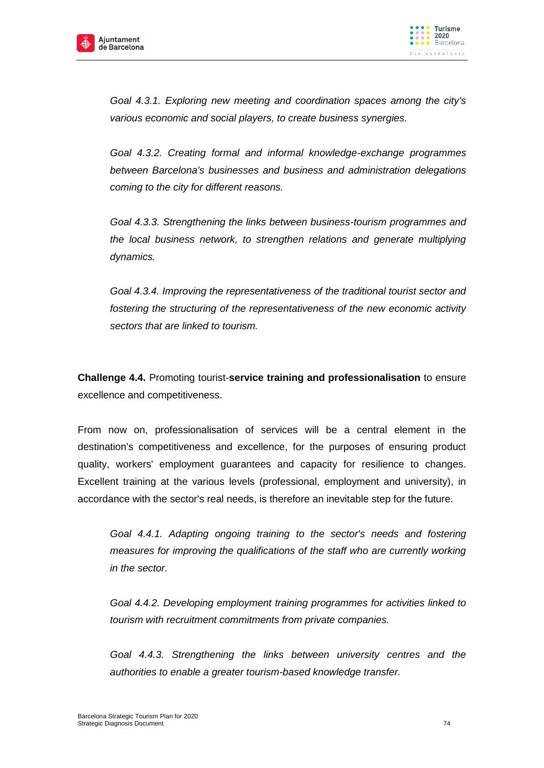



*Goal 4.3.1. Exploring new meeting and coordination spaces among the city's various economic and social players, to create business synergies.*

*Goal 4.3.2. Creating formal and informal knowledge-exchange programmes between Barcelona's businesses and business and administration delegations coming to the city for different reasons.*

*Goal 4.3.3. Strengthening the links between business-tourism programmes and the local business network, to strengthen relations and generate multiplying dynamics.*

*Goal 4.3.4. Improving the representativeness of the traditional tourist sector and fostering the structuring of the representativeness of the new economic activity sectors that are linked to tourism.*

**Challenge 4.4.** Promoting tourist-**service training and professionalisation** to ensure excellence and competitiveness.

From now on, professionalisation of services will be a central element in the destination's competitiveness and excellence, for the purposes of ensuring product quality, workers' employment guarantees and capacity for resilience to changes. Excellent training at the various levels (professional, employment and university), in accordance with the sector's real needs, is therefore an inevitable step for the future.

*Goal 4.4.1. Adapting ongoing training to the sector's needs and fostering measures for improving the qualifications of the staff who are currently working in the sector.*

*Goal 4.4.2. Developing employment training programmes for activities linked to tourism with recruitment commitments from private companies.*

*Goal 4.4.3. Strengthening the links between university centres and the authorities to enable a greater tourism-based knowledge transfer.*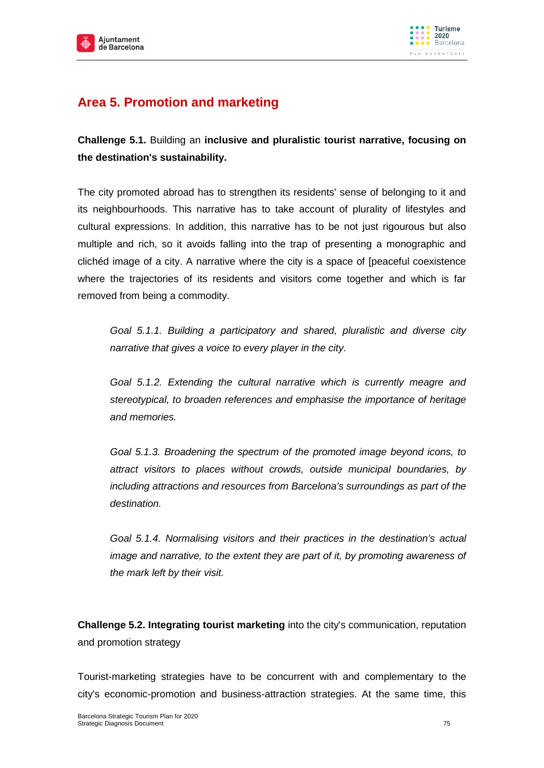



## **Area 5. Promotion and marketing**

**Challenge 5.1.** Building an **inclusive and pluralistic tourist narrative, focusing on the destination's sustainability.** 

The city promoted abroad has to strengthen its residents' sense of belonging to it and its neighbourhoods. This narrative has to take account of plurality of lifestyles and cultural expressions. In addition, this narrative has to be not just rigourous but also multiple and rich, so it avoids falling into the trap of presenting a monographic and clichéd image of a city. A narrative where the city is a space of [peaceful coexistence where the trajectories of its residents and visitors come together and which is far removed from being a commodity.

*Goal 5.1.1. Building a participatory and shared, pluralistic and diverse city narrative that gives a voice to every player in the city.* 

*Goal 5.1.2. Extending the cultural narrative which is currently meagre and stereotypical, to broaden references and emphasise the importance of heritage and memories.*

*Goal 5.1.3. Broadening the spectrum of the promoted image beyond icons, to attract visitors to places without crowds, outside municipal boundaries, by including attractions and resources from Barcelona's surroundings as part of the destination.*

*Goal 5.1.4. Normalising visitors and their practices in the destination's actual image and narrative, to the extent they are part of it, by promoting awareness of the mark left by their visit.*

**Challenge 5.2. Integrating tourist marketing** into the city's communication, reputation and promotion strategy

Tourist-marketing strategies have to be concurrent with and complementary to the city's economic-promotion and business-attraction strategies. At the same time, this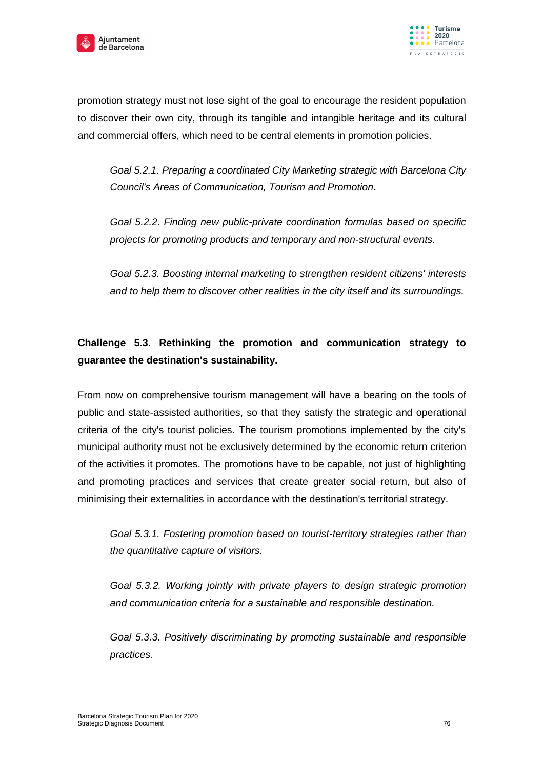



promotion strategy must not lose sight of the goal to encourage the resident population to discover their own city, through its tangible and intangible heritage and its cultural and commercial offers, which need to be central elements in promotion policies.

*Goal 5.2.1. Preparing a coordinated City Marketing strategic with Barcelona City Council's Areas of Communication, Tourism and Promotion.*

*Goal 5.2.2. Finding new public-private coordination formulas based on specific projects for promoting products and temporary and non-structural events.*

*Goal 5.2.3. Boosting internal marketing to strengthen resident citizens' interests and to help them to discover other realities in the city itself and its surroundings.*

### **Challenge 5.3. Rethinking the promotion and communication strategy to guarantee the destination's sustainability.**

From now on comprehensive tourism management will have a bearing on the tools of public and state-assisted authorities, so that they satisfy the strategic and operational criteria of the city's tourist policies. The tourism promotions implemented by the city's municipal authority must not be exclusively determined by the economic return criterion of the activities it promotes. The promotions have to be capable, not just of highlighting and promoting practices and services that create greater social return, but also of minimising their externalities in accordance with the destination's territorial strategy.

*Goal 5.3.1. Fostering promotion based on tourist-territory strategies rather than the quantitative capture of visitors.*

*Goal 5.3.2. Working jointly with private players to design strategic promotion and communication criteria for a sustainable and responsible destination.*

*Goal 5.3.3. Positively discriminating by promoting sustainable and responsible practices.*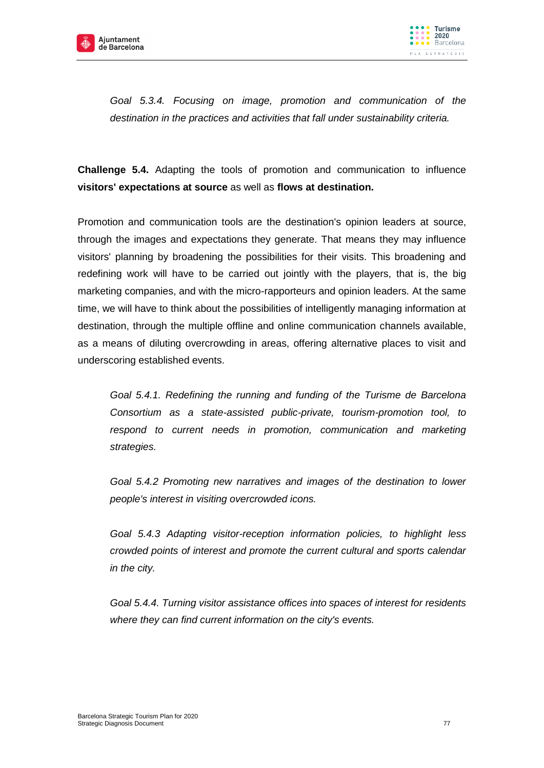



*Goal 5.3.4. Focusing on image, promotion and communication of the destination in the practices and activities that fall under sustainability criteria.*

**Challenge 5.4.** Adapting the tools of promotion and communication to influence **visitors' expectations at source** as well as **flows at destination.**

Promotion and communication tools are the destination's opinion leaders at source, through the images and expectations they generate. That means they may influence visitors' planning by broadening the possibilities for their visits. This broadening and redefining work will have to be carried out jointly with the players, that is, the big marketing companies, and with the micro-rapporteurs and opinion leaders. At the same time, we will have to think about the possibilities of intelligently managing information at destination, through the multiple offline and online communication channels available, as a means of diluting overcrowding in areas, offering alternative places to visit and underscoring established events.

*Goal 5.4.1. Redefining the running and funding of the Turisme de Barcelona Consortium as a state-assisted public-private, tourism-promotion tool, to respond to current needs in promotion, communication and marketing strategies.*

*Goal 5.4.2 Promoting new narratives and images of the destination to lower people's interest in visiting overcrowded icons.*

*Goal 5.4.3 Adapting visitor-reception information policies, to highlight less crowded points of interest and promote the current cultural and sports calendar in the city.*

*Goal 5.4.4. Turning visitor assistance offices into spaces of interest for residents where they can find current information on the city's events.*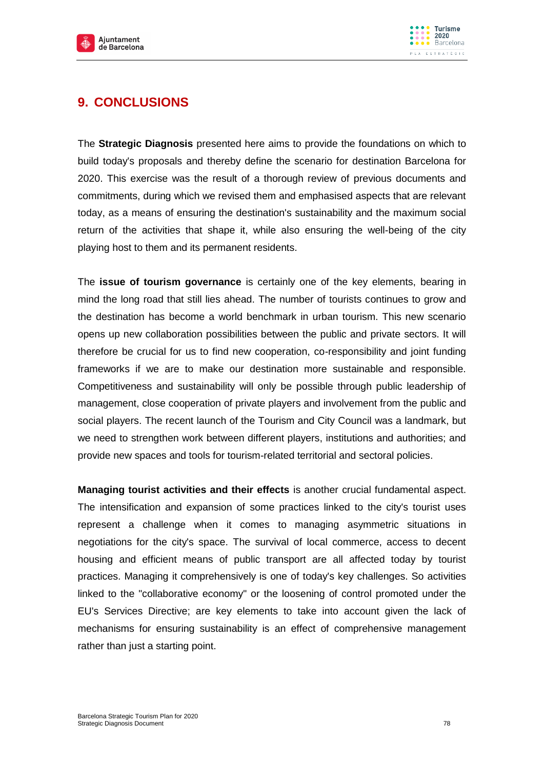



## **9. CONCLUSIONS**

The **Strategic Diagnosis** presented here aims to provide the foundations on which to build today's proposals and thereby define the scenario for destination Barcelona for 2020. This exercise was the result of a thorough review of previous documents and commitments, during which we revised them and emphasised aspects that are relevant today, as a means of ensuring the destination's sustainability and the maximum social return of the activities that shape it, while also ensuring the well-being of the city playing host to them and its permanent residents.

The **issue of tourism governance** is certainly one of the key elements, bearing in mind the long road that still lies ahead. The number of tourists continues to grow and the destination has become a world benchmark in urban tourism. This new scenario opens up new collaboration possibilities between the public and private sectors. It will therefore be crucial for us to find new cooperation, co-responsibility and joint funding frameworks if we are to make our destination more sustainable and responsible. Competitiveness and sustainability will only be possible through public leadership of management, close cooperation of private players and involvement from the public and social players. The recent launch of the Tourism and City Council was a landmark, but we need to strengthen work between different players, institutions and authorities; and provide new spaces and tools for tourism-related territorial and sectoral policies.

**Managing tourist activities and their effects** is another crucial fundamental aspect. The intensification and expansion of some practices linked to the city's tourist uses represent a challenge when it comes to managing asymmetric situations in negotiations for the city's space. The survival of local commerce, access to decent housing and efficient means of public transport are all affected today by tourist practices. Managing it comprehensively is one of today's key challenges. So activities linked to the "collaborative economy" or the loosening of control promoted under the EU's Services Directive; are key elements to take into account given the lack of mechanisms for ensuring sustainability is an effect of comprehensive management rather than just a starting point.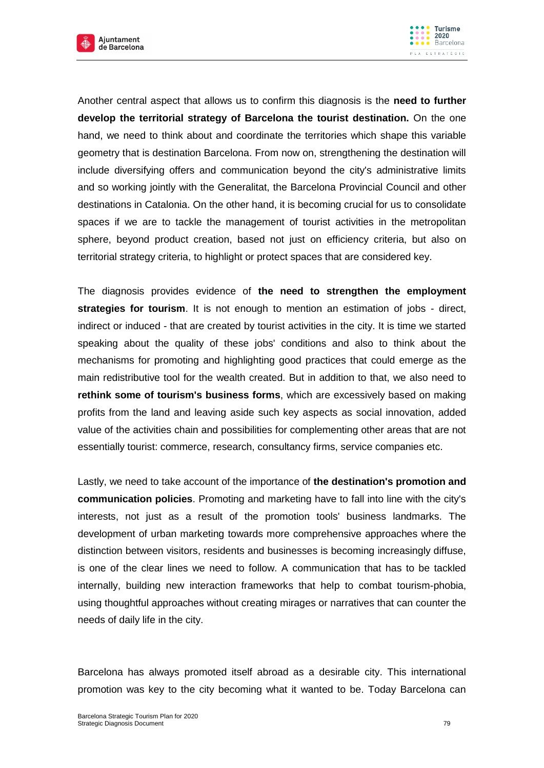



Another central aspect that allows us to confirm this diagnosis is the **need to further develop the territorial strategy of Barcelona the tourist destination.** On the one hand, we need to think about and coordinate the territories which shape this variable geometry that is destination Barcelona. From now on, strengthening the destination will include diversifying offers and communication beyond the city's administrative limits and so working jointly with the Generalitat, the Barcelona Provincial Council and other destinations in Catalonia. On the other hand, it is becoming crucial for us to consolidate spaces if we are to tackle the management of tourist activities in the metropolitan sphere, beyond product creation, based not just on efficiency criteria, but also on territorial strategy criteria, to highlight or protect spaces that are considered key.

The diagnosis provides evidence of **the need to strengthen the employment strategies for tourism**. It is not enough to mention an estimation of jobs - direct, indirect or induced - that are created by tourist activities in the city. It is time we started speaking about the quality of these jobs' conditions and also to think about the mechanisms for promoting and highlighting good practices that could emerge as the main redistributive tool for the wealth created. But in addition to that, we also need to **rethink some of tourism's business forms**, which are excessively based on making profits from the land and leaving aside such key aspects as social innovation, added value of the activities chain and possibilities for complementing other areas that are not essentially tourist: commerce, research, consultancy firms, service companies etc.

Lastly, we need to take account of the importance of **the destination's promotion and communication policies**. Promoting and marketing have to fall into line with the city's interests, not just as a result of the promotion tools' business landmarks. The development of urban marketing towards more comprehensive approaches where the distinction between visitors, residents and businesses is becoming increasingly diffuse, is one of the clear lines we need to follow. A communication that has to be tackled internally, building new interaction frameworks that help to combat tourism-phobia, using thoughtful approaches without creating mirages or narratives that can counter the needs of daily life in the city.

Barcelona has always promoted itself abroad as a desirable city. This international promotion was key to the city becoming what it wanted to be. Today Barcelona can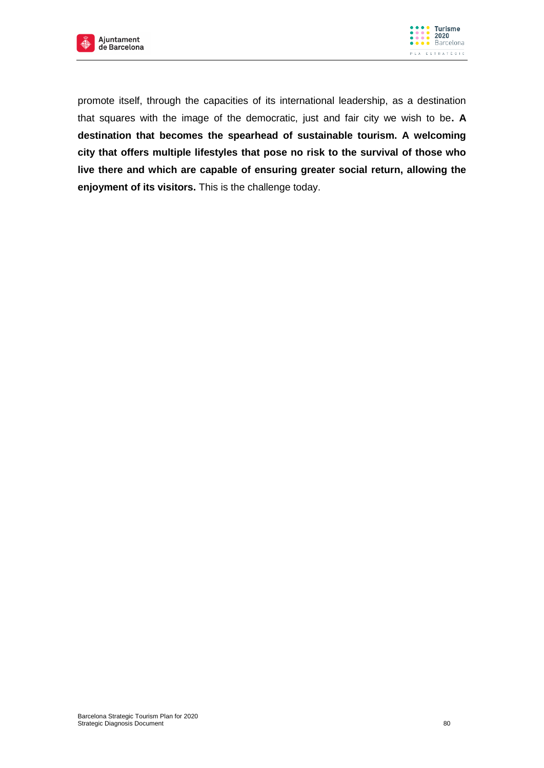



promote itself, through the capacities of its international leadership, as a destination that squares with the image of the democratic, just and fair city we wish to be**. A destination that becomes the spearhead of sustainable tourism. A welcoming city that offers multiple lifestyles that pose no risk to the survival of those who live there and which are capable of ensuring greater social return, allowing the enjoyment of its visitors.** This is the challenge today.